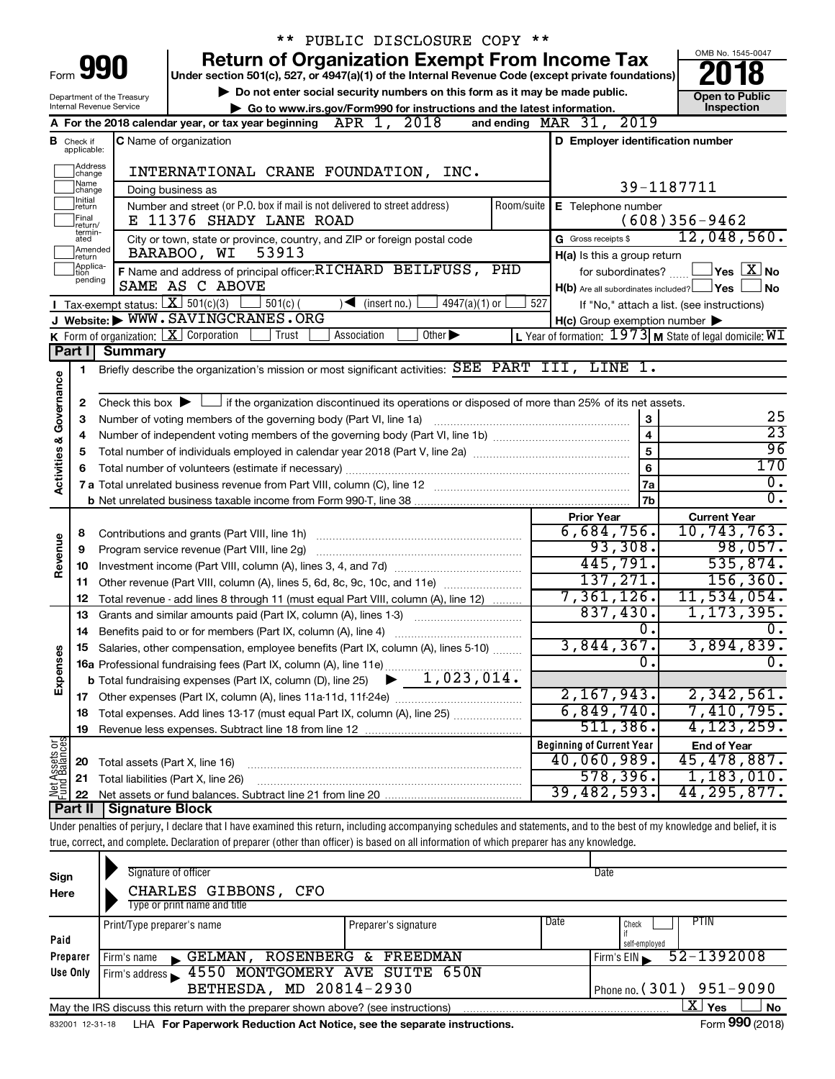|                         |                               |                                | ** PUBLIC DISCLOSURE COPY **                                                                                                                                               |                                                                                                                    |                        |
|-------------------------|-------------------------------|--------------------------------|----------------------------------------------------------------------------------------------------------------------------------------------------------------------------|--------------------------------------------------------------------------------------------------------------------|------------------------|
|                         |                               |                                | <b>Return of Organization Exempt From Income Tax</b>                                                                                                                       |                                                                                                                    | OMB No. 1545-0047      |
|                         |                               | Form <b>990</b>                | Under section 501(c), 527, or 4947(a)(1) of the Internal Revenue Code (except private foundations)                                                                         |                                                                                                                    |                        |
|                         |                               | Department of the Treasury     | Do not enter social security numbers on this form as it may be made public.                                                                                                |                                                                                                                    | <b>Open to Public</b>  |
|                         |                               | Internal Revenue Service       | Go to www.irs.gov/Form990 for instructions and the latest information.                                                                                                     |                                                                                                                    | Inspection             |
|                         |                               |                                | 2018<br>APR 1,<br>A For the 2018 calendar year, or tax year beginning                                                                                                      | 2019<br>and ending $\n  MAR\n  31$ ,                                                                               |                        |
|                         | <b>B</b> Check if applicable: |                                | <b>C</b> Name of organization                                                                                                                                              | D Employer identification number                                                                                   |                        |
|                         | Address<br> change            |                                | INTERNATIONAL CRANE FOUNDATION, INC.                                                                                                                                       |                                                                                                                    |                        |
|                         | ]Name<br>]change              |                                | Doing business as                                                                                                                                                          | 39-1187711                                                                                                         |                        |
|                         | Initial<br>]return            |                                | Number and street (or P.O. box if mail is not delivered to street address)<br>Room/suite                                                                                   | E Telephone number                                                                                                 |                        |
|                         | Final<br>return/<br>termin-   |                                | E 11376 SHADY LANE ROAD                                                                                                                                                    |                                                                                                                    | $(608)356 - 9462$      |
|                         | ated<br>Amended               |                                | City or town, state or province, country, and ZIP or foreign postal code                                                                                                   | G Gross receipts \$                                                                                                | 12,048,560.            |
|                         | Ireturn<br>Applica-           |                                | 53913<br>BARABOO, WI                                                                                                                                                       | H(a) Is this a group return                                                                                        |                        |
|                         | tion<br>pending               |                                | F Name and address of principal officer: RICHARD BEILFUSS,<br>PHD<br>SAME AS C ABOVE                                                                                       | for subordinates?                                                                                                  | $\Box$ Yes $\Box X$ No |
|                         |                               |                                | Tax-exempt status: $X \over 301(c)(3)$                                                                                                                                     | $H(b)$ Are all subordinates included? $\Box$ Yes                                                                   | ∣No                    |
|                         |                               |                                | $501(c)$ (<br>$4947(a)(1)$ or<br>$\sqrt{\frac{1}{1}}$ (insert no.)<br>J Website: WWW.SAVINGCRANES.ORG                                                                      | 527<br>If "No," attach a list. (see instructions)                                                                  |                        |
|                         |                               |                                | K Form of organization: $X$ Corporation<br>Association<br>Other $\blacktriangleright$<br>Trust                                                                             | $H(c)$ Group exemption number $\blacktriangleright$<br>L Year of formation: $1973$ M State of legal domicile: $WI$ |                        |
|                         | Part I                        | <b>Summary</b>                 |                                                                                                                                                                            |                                                                                                                    |                        |
|                         | 1                             |                                | Briefly describe the organization's mission or most significant activities: SEE PART III, LINE 1.                                                                          |                                                                                                                    |                        |
| Governance              |                               |                                |                                                                                                                                                                            |                                                                                                                    |                        |
|                         | 2                             |                                | Check this box $\blacktriangleright$ $\Box$ if the organization discontinued its operations or disposed of more than 25% of its net assets.                                |                                                                                                                    |                        |
|                         | з                             |                                | Number of voting members of the governing body (Part VI, line 1a)                                                                                                          | 3                                                                                                                  | 25                     |
|                         | 4                             |                                |                                                                                                                                                                            | $\overline{\mathbf{4}}$                                                                                            | $\overline{23}$        |
|                         | 5                             |                                |                                                                                                                                                                            | 5                                                                                                                  | 96                     |
| <b>Activities &amp;</b> | 6                             |                                | Total number of volunteers (estimate if necessary)                                                                                                                         | 6                                                                                                                  | 170                    |
|                         |                               |                                |                                                                                                                                                                            | 7a                                                                                                                 | $\overline{0}$ .       |
|                         |                               |                                |                                                                                                                                                                            | 7b                                                                                                                 | $\overline{0}$ .       |
|                         |                               |                                |                                                                                                                                                                            | <b>Prior Year</b>                                                                                                  | <b>Current Year</b>    |
|                         | 8                             |                                | Contributions and grants (Part VIII, line 1h)                                                                                                                              | 6,684,756.                                                                                                         | 10,743,763.            |
| Revenue                 | 9                             |                                | Program service revenue (Part VIII, line 2g)                                                                                                                               | 93,308.                                                                                                            | 98,057.                |
|                         | 10                            |                                |                                                                                                                                                                            | 445,791.                                                                                                           | 535,874.               |
|                         | 11                            |                                | Other revenue (Part VIII, column (A), lines 5, 6d, 8c, 9c, 10c, and 11e)                                                                                                   | 137, 271.                                                                                                          | 156, 360.              |
|                         | 12                            |                                | Total revenue - add lines 8 through 11 (must equal Part VIII, column (A), line 12)                                                                                         | 7,361,126.                                                                                                         | 11,534,054.            |
|                         | 13                            |                                | Grants and similar amounts paid (Part IX, column (A), lines 1-3)                                                                                                           | 837,430.                                                                                                           | 1, 173, 395.           |
|                         |                               |                                |                                                                                                                                                                            | Ο.                                                                                                                 | 0.                     |
|                         |                               |                                | Salaries, other compensation, employee benefits (Part IX, column (A), lines 5-10)                                                                                          | 3,844,367 <b>.</b>                                                                                                 | 3,894,839.             |
| Expenses                |                               |                                | 16a Professional fundraising fees (Part IX, column (A), line 11e)                                                                                                          | σ.                                                                                                                 | $\overline{0}$ .       |
|                         |                               |                                | 1,023,014.<br><b>b</b> Total fundraising expenses (Part IX, column (D), line 25)                                                                                           |                                                                                                                    |                        |
|                         |                               |                                |                                                                                                                                                                            | 2,167,943.                                                                                                         | 2,342,561.             |
|                         | 18                            |                                | Total expenses. Add lines 13-17 (must equal Part IX, column (A), line 25)                                                                                                  | 6,849,740.                                                                                                         | 7,410,795.             |
|                         | 19                            |                                |                                                                                                                                                                            | 511,386.                                                                                                           | 4, 123, 259.           |
| Net Assets or           |                               |                                |                                                                                                                                                                            | <b>Beginning of Current Year</b>                                                                                   | <b>End of Year</b>     |
|                         | 20                            | Total assets (Part X, line 16) |                                                                                                                                                                            | 40,060,989.                                                                                                        | 45,478,887.            |
|                         | 21                            |                                | Total liabilities (Part X, line 26)                                                                                                                                        | 578, 396.                                                                                                          | 1,183,010.             |
|                         | 22                            |                                |                                                                                                                                                                            | 39,482,593.                                                                                                        | 44, 295, 877.          |
|                         | <b>Part II</b>                | <b>Signature Block</b>         |                                                                                                                                                                            |                                                                                                                    |                        |
|                         |                               |                                | Under penalties of perjury, I declare that I have examined this return, including accompanying schedules and statements, and to the best of my knowledge and belief, it is |                                                                                                                    |                        |
|                         |                               |                                | true, correct, and complete. Declaration of preparer (other than officer) is based on all information of which preparer has any knowledge.                                 |                                                                                                                    |                        |
|                         |                               |                                |                                                                                                                                                                            |                                                                                                                    |                        |

| Sign<br>Here | Signature of officer<br>CHARLES GIBBONS,<br>CFO                                   |                      | Date                         |
|--------------|-----------------------------------------------------------------------------------|----------------------|------------------------------|
|              | Type or print name and title                                                      |                      |                              |
|              | Print/Type preparer's name                                                        | Preparer's signature | Date<br><b>PTIN</b><br>Check |
| Paid         |                                                                                   |                      | self-employed                |
| Preparer     | GELMAN.<br>, Firm's name<br>$\mathbf{r}$                                          | ROSENBERG & FREEDMAN | 52-1392008<br>Firm's EIN     |
| Use Only     | 4550 MONTGOMERY AVE SUITE 650N<br>Firm's address                                  |                      |                              |
|              | BETHESDA, MD 20814-2930                                                           |                      | Phone no. $(301)$ 951-9090   |
|              | May the IRS discuss this return with the preparer shown above? (see instructions) |                      | x.<br>No<br>Yes              |
|              |                                                                                   |                      | $0.00 \div 0.00$             |

832001 12-31-18 **For Paperwork Reduction Act Notice, see the separate instructions.** LHA Form (2018)

Form **990** (2018)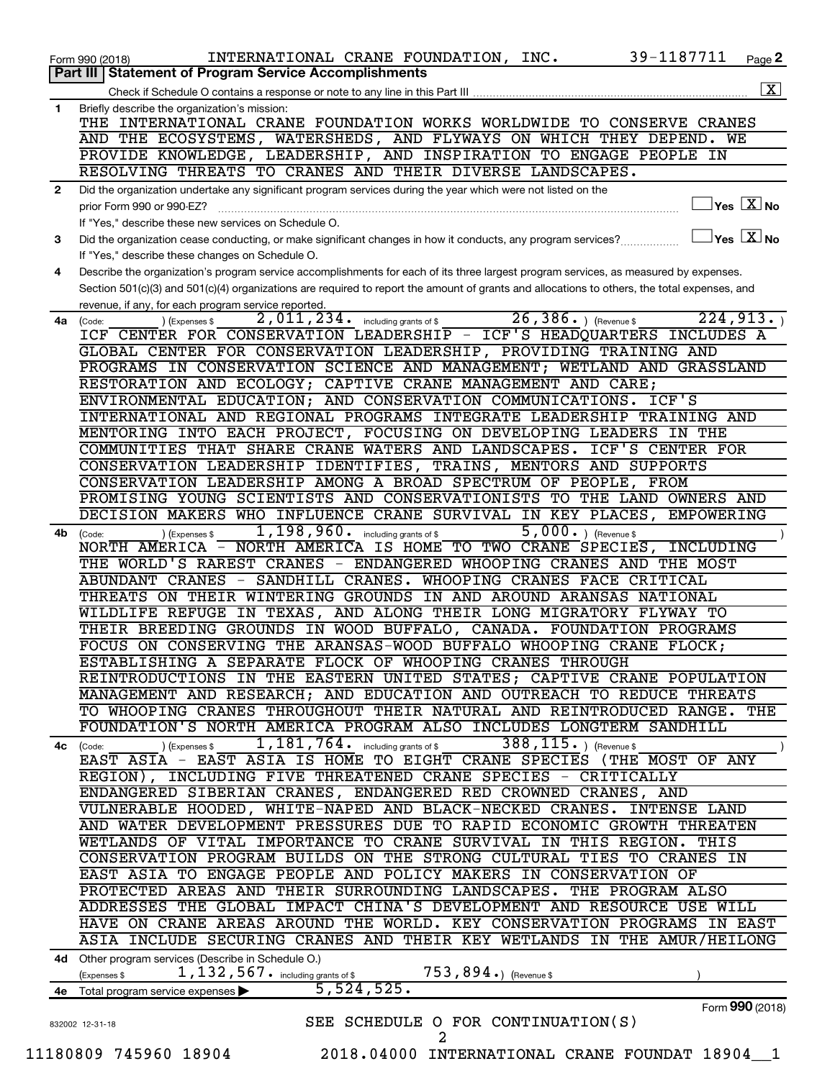|    | 39-1187711<br>INTERNATIONAL CRANE FOUNDATION, INC.<br>Page 2<br>Form 990 (2018)                                                                                                         |
|----|-----------------------------------------------------------------------------------------------------------------------------------------------------------------------------------------|
|    | <b>Statement of Program Service Accomplishments</b><br>Part III                                                                                                                         |
|    | $\overline{\mathbf{X}}$                                                                                                                                                                 |
| 1  | Briefly describe the organization's mission:<br>THE INTERNATIONAL CRANE FOUNDATION WORKS WORLDWIDE TO CONSERVE CRANES                                                                   |
|    | AND THE ECOSYSTEMS, WATERSHEDS, AND FLYWAYS ON WHICH THEY DEPEND. WE                                                                                                                    |
|    | PROVIDE KNOWLEDGE, LEADERSHIP, AND INSPIRATION TO ENGAGE PEOPLE IN                                                                                                                      |
|    | RESOLVING THREATS TO CRANES AND THEIR DIVERSE LANDSCAPES.                                                                                                                               |
| 2  | Did the organization undertake any significant program services during the year which were not listed on the                                                                            |
|    | $ {\mathsf Y}\mathsf{es}\ \boxed{{\mathsf X}}$ No<br>prior Form 990 or 990-EZ?                                                                                                          |
|    | If "Yes," describe these new services on Schedule O.                                                                                                                                    |
| З. | $\sqrt{}$ Yes $\sqrt{ \ \overline{\rm X}}$ No<br>Did the organization cease conducting, or make significant changes in how it conducts, any program services?                           |
| 4  | If "Yes," describe these changes on Schedule O.<br>Describe the organization's program service accomplishments for each of its three largest program services, as measured by expenses. |
|    | Section 501(c)(3) and 501(c)(4) organizations are required to report the amount of grants and allocations to others, the total expenses, and                                            |
|    | revenue, if any, for each program service reported.                                                                                                                                     |
| 4a | $26, 386.$ ) (Revenue \$<br>224, 913.<br>$\overline{2}$ , 011, 234. including grants of \$<br>(Code:<br>(Expenses \$                                                                    |
|    | ICF CENTER FOR CONSERVATION LEADERSHIP - ICF'S HEADQUARTERS INCLUDES A                                                                                                                  |
|    | GLOBAL CENTER FOR CONSERVATION LEADERSHIP, PROVIDING TRAINING AND                                                                                                                       |
|    | PROGRAMS IN CONSERVATION SCIENCE AND MANAGEMENT; WETLAND AND GRASSLAND                                                                                                                  |
|    | RESTORATION AND ECOLOGY; CAPTIVE CRANE MANAGEMENT AND CARE;<br>ENVIRONMENTAL EDUCATION; AND CONSERVATION COMMUNICATIONS. ICF'S                                                          |
|    | INTERNATIONAL AND REGIONAL PROGRAMS INTEGRATE LEADERSHIP TRAINING AND                                                                                                                   |
|    | MENTORING INTO EACH PROJECT, FOCUSING ON DEVELOPING LEADERS IN THE                                                                                                                      |
|    | COMMUNITIES THAT SHARE CRANE WATERS AND LANDSCAPES.<br>ICF'S CENTER FOR                                                                                                                 |
|    | CONSERVATION LEADERSHIP IDENTIFIES, TRAINS, MENTORS AND SUPPORTS                                                                                                                        |
|    | CONSERVATION LEADERSHIP AMONG A BROAD SPECTRUM OF PEOPLE, FROM                                                                                                                          |
|    | PROMISING YOUNG SCIENTISTS AND CONSERVATIONISTS TO THE LAND OWNERS AND                                                                                                                  |
|    | DECISION MAKERS WHO INFLUENCE CRANE SURVIVAL IN KEY PLACES,<br><b>EMPOWERING</b>                                                                                                        |
| 4b | 1,198,960.<br>$5,000.$ (Revenue \$<br>including grants of \$<br>(Expenses \$<br>(Code:                                                                                                  |
|    | NORTH AMERICA IS HOME TO TWO CRANE SPECIES,<br>NORTH AMERICA -<br>INCLUDING                                                                                                             |
|    | THE WORLD'S RAREST CRANES - ENDANGERED WHOOPING CRANES AND THE MOST                                                                                                                     |
|    | ABUNDANT CRANES - SANDHILL CRANES. WHOOPING CRANES FACE CRITICAL<br>THREATS ON THEIR WINTERING GROUNDS IN AND AROUND ARANSAS NATIONAL                                                   |
|    | WILDLIFE REFUGE IN TEXAS, AND ALONG THEIR LONG MIGRATORY FLYWAY TO                                                                                                                      |
|    | THEIR BREEDING GROUNDS IN WOOD BUFFALO, CANADA. FOUNDATION PROGRAMS                                                                                                                     |
|    | FOCUS ON CONSERVING THE ARANSAS-WOOD BUFFALO WHOOPING CRANE FLOCK;                                                                                                                      |
|    | ESTABLISHING A SEPARATE FLOCK OF WHOOPING CRANES THROUGH                                                                                                                                |
|    | REINTRODUCTIONS IN THE EASTERN UNITED STATES; CAPTIVE CRANE POPULATION                                                                                                                  |
|    | MANAGEMENT AND RESEARCH; AND EDUCATION AND OUTREACH TO REDUCE THREATS                                                                                                                   |
|    | TO WHOOPING CRANES THROUGHOUT THEIR NATURAL AND REINTRODUCED RANGE. THE                                                                                                                 |
|    | FOUNDATION'S NORTH AMERICA PROGRAM ALSO INCLUDES LONGTERM SANDHILL                                                                                                                      |
|    | 388, 115. ) (Revenue \$<br>$\overline{1}$ , $\overline{181}$ , $\overline{764}$ or including grants of \$<br>) (Expenses \$<br>4c (Code:                                                |
|    | EAST ASIA - EAST ASIA IS HOME TO EIGHT CRANE SPECIES (THE MOST OF ANY<br>REGION), INCLUDING FIVE THREATENED CRANE SPECIES - CRITICALLY                                                  |
|    | ENDANGERED SIBERIAN CRANES, ENDANGERED RED CROWNED CRANES, AND                                                                                                                          |
|    | VULNERABLE HOODED, WHITE-NAPED AND BLACK-NECKED CRANES. INTENSE LAND                                                                                                                    |
|    | AND WATER DEVELOPMENT PRESSURES DUE TO RAPID ECONOMIC GROWTH THREATEN                                                                                                                   |
|    | WETLANDS OF VITAL IMPORTANCE TO CRANE SURVIVAL IN THIS REGION. THIS                                                                                                                     |
|    | CONSERVATION PROGRAM BUILDS ON THE STRONG CULTURAL TIES TO CRANES IN                                                                                                                    |
|    | EAST ASIA TO ENGAGE PEOPLE AND POLICY MAKERS IN CONSERVATION OF                                                                                                                         |
|    | PROTECTED AREAS AND THEIR SURROUNDING LANDSCAPES. THE PROGRAM ALSO                                                                                                                      |
|    | ADDRESSES THE GLOBAL IMPACT CHINA'S DEVELOPMENT AND RESOURCE USE WILL                                                                                                                   |
|    | HAVE ON CRANE AREAS AROUND THE WORLD. KEY CONSERVATION PROGRAMS IN EAST                                                                                                                 |
|    | ASIA INCLUDE SECURING CRANES AND THEIR KEY WETLANDS IN THE AMUR/HEILONG                                                                                                                 |
|    | 4d Other program services (Describe in Schedule O.)                                                                                                                                     |
|    | 1, 132, 567. including grants of \$<br>$753, 894$ $\cdot$ (Revenue \$<br>(Expenses \$                                                                                                   |
|    | 5,524,525.<br>4e Total program service expenses >                                                                                                                                       |
|    | Form 990 (2018)<br>SEE SCHEDULE O FOR CONTINUATION(S)                                                                                                                                   |
|    | 832002 12-31-18<br>2                                                                                                                                                                    |
|    | 11180809 745960 18904<br>2018.04000 INTERNATIONAL CRANE FOUNDAT 18904 1                                                                                                                 |
|    |                                                                                                                                                                                         |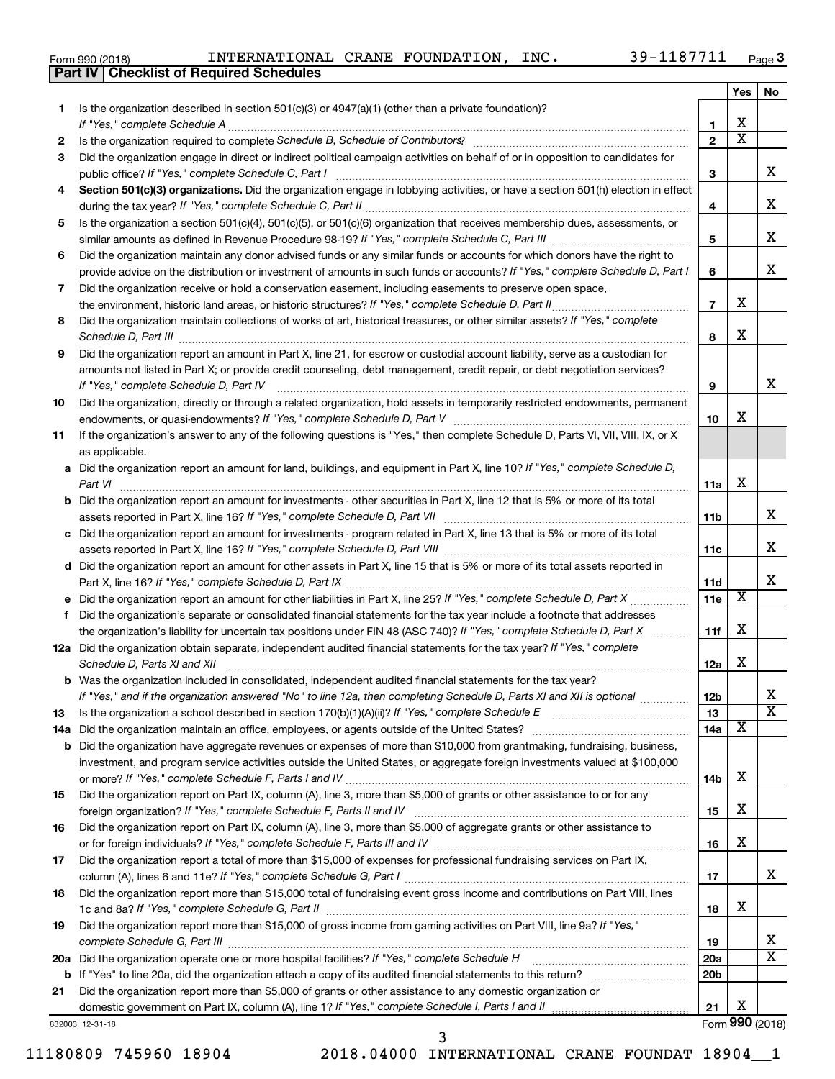|  | Form 990 (2018) |
|--|-----------------|
|  |                 |

**Part IV Checklist of Required Schedules**

|    |                                                                                                                                                                 |                          | Yes                   | No                    |
|----|-----------------------------------------------------------------------------------------------------------------------------------------------------------------|--------------------------|-----------------------|-----------------------|
| 1  | Is the organization described in section $501(c)(3)$ or $4947(a)(1)$ (other than a private foundation)?                                                         |                          |                       |                       |
|    | If "Yes," complete Schedule A                                                                                                                                   | 1                        | х                     |                       |
| 2  | Is the organization required to complete Schedule B, Schedule of Contributors? [11] The organization required to complete Schedule B, Schedule of Contributors? | $\overline{2}$           | $\overline{\text{x}}$ |                       |
| 3  | Did the organization engage in direct or indirect political campaign activities on behalf of or in opposition to candidates for                                 |                          |                       |                       |
|    | public office? If "Yes," complete Schedule C, Part I                                                                                                            | 3                        |                       | х                     |
| 4  | Section 501(c)(3) organizations. Did the organization engage in lobbying activities, or have a section 501(h) election in effect                                | 4                        |                       | х                     |
| 5  | Is the organization a section 501(c)(4), 501(c)(5), or 501(c)(6) organization that receives membership dues, assessments, or                                    |                          |                       |                       |
|    |                                                                                                                                                                 | 5                        |                       | х                     |
| 6  | Did the organization maintain any donor advised funds or any similar funds or accounts for which donors have the right to                                       |                          |                       |                       |
|    | provide advice on the distribution or investment of amounts in such funds or accounts? If "Yes," complete Schedule D, Part I                                    | 6                        |                       | х                     |
| 7  | Did the organization receive or hold a conservation easement, including easements to preserve open space,                                                       |                          |                       |                       |
|    | the environment, historic land areas, or historic structures? If "Yes," complete Schedule D, Part II                                                            | $\overline{\phantom{a}}$ | х                     |                       |
| 8  | Did the organization maintain collections of works of art, historical treasures, or other similar assets? If "Yes," complete                                    | 8                        | х                     |                       |
| 9  | Did the organization report an amount in Part X, line 21, for escrow or custodial account liability, serve as a custodian for                                   |                          |                       |                       |
|    | amounts not listed in Part X; or provide credit counseling, debt management, credit repair, or debt negotiation services?                                       |                          |                       |                       |
|    | If "Yes," complete Schedule D, Part IV                                                                                                                          | 9                        |                       | x                     |
| 10 | Did the organization, directly or through a related organization, hold assets in temporarily restricted endowments, permanent                                   |                          |                       |                       |
|    |                                                                                                                                                                 | 10                       | х                     |                       |
| 11 | If the organization's answer to any of the following questions is "Yes," then complete Schedule D, Parts VI, VII, VIII, IX, or X                                |                          |                       |                       |
|    | as applicable.<br>a Did the organization report an amount for land, buildings, and equipment in Part X, line 10? If "Yes," complete Schedule D,                 |                          |                       |                       |
|    | Part VI                                                                                                                                                         | 11a                      | х                     |                       |
|    | <b>b</b> Did the organization report an amount for investments - other securities in Part X, line 12 that is 5% or more of its total                            |                          |                       |                       |
|    |                                                                                                                                                                 | 11b                      |                       | х                     |
|    | c Did the organization report an amount for investments - program related in Part X, line 13 that is 5% or more of its total                                    |                          |                       |                       |
|    |                                                                                                                                                                 | 11c                      |                       | х                     |
|    | d Did the organization report an amount for other assets in Part X, line 15 that is 5% or more of its total assets reported in                                  |                          |                       |                       |
|    |                                                                                                                                                                 | 11d                      |                       | х                     |
|    |                                                                                                                                                                 | 11e                      | $\overline{\text{X}}$ |                       |
| f  | Did the organization's separate or consolidated financial statements for the tax year include a footnote that addresses                                         |                          |                       |                       |
|    | the organization's liability for uncertain tax positions under FIN 48 (ASC 740)? If "Yes," complete Schedule D, Part X                                          | 11f                      | х                     |                       |
|    | 12a Did the organization obtain separate, independent audited financial statements for the tax year? If "Yes," complete<br>Schedule D, Parts XI and XII         | 12a                      | х                     |                       |
|    | <b>b</b> Was the organization included in consolidated, independent audited financial statements for the tax year?                                              |                          |                       |                       |
|    | If "Yes," and if the organization answered "No" to line 12a, then completing Schedule D, Parts XI and XII is optional www.                                      | 12b                      |                       |                       |
| 13 | Is the organization a school described in section $170(b)(1)(A)(ii)$ ? If "Yes," complete Schedule E                                                            | 13                       |                       | $\overline{\text{x}}$ |
|    | 14a Did the organization maintain an office, employees, or agents outside of the United States?                                                                 | 14a                      | X                     |                       |
|    | <b>b</b> Did the organization have aggregate revenues or expenses of more than \$10,000 from grantmaking, fundraising, business,                                |                          |                       |                       |
|    | investment, and program service activities outside the United States, or aggregate foreign investments valued at \$100,000                                      |                          |                       |                       |
|    |                                                                                                                                                                 | 14b                      | х                     |                       |
| 15 | Did the organization report on Part IX, column (A), line 3, more than \$5,000 of grants or other assistance to or for any                                       |                          |                       |                       |
|    |                                                                                                                                                                 | 15                       | х                     |                       |
| 16 | Did the organization report on Part IX, column (A), line 3, more than \$5,000 of aggregate grants or other assistance to                                        |                          |                       |                       |
|    |                                                                                                                                                                 | 16                       | х                     |                       |
| 17 | Did the organization report a total of more than \$15,000 of expenses for professional fundraising services on Part IX,                                         |                          |                       |                       |
|    |                                                                                                                                                                 | 17                       |                       | X.                    |
| 18 | Did the organization report more than \$15,000 total of fundraising event gross income and contributions on Part VIII, lines                                    |                          |                       |                       |
|    |                                                                                                                                                                 | 18                       | х                     |                       |
| 19 | Did the organization report more than \$15,000 of gross income from gaming activities on Part VIII, line 9a? If "Yes,"                                          |                          |                       | х                     |
|    | 20a Did the organization operate one or more hospital facilities? If "Yes," complete Schedule H                                                                 | 19<br>20a                |                       | $\overline{\text{x}}$ |
|    | and a series of the contract of the contract of the contract of the contract of the contract of the contract of                                                 | 20 <sub>b</sub>          |                       |                       |
| 21 | Did the organization report more than \$5,000 of grants or other assistance to any domestic organization or                                                     |                          |                       |                       |
|    |                                                                                                                                                                 | 21                       | х                     |                       |
|    |                                                                                                                                                                 |                          |                       |                       |

832003 12-31-18

11180809 745960 18904 2018.04000 INTERNATIONAL CRANE FOUNDAT 18904\_\_1

3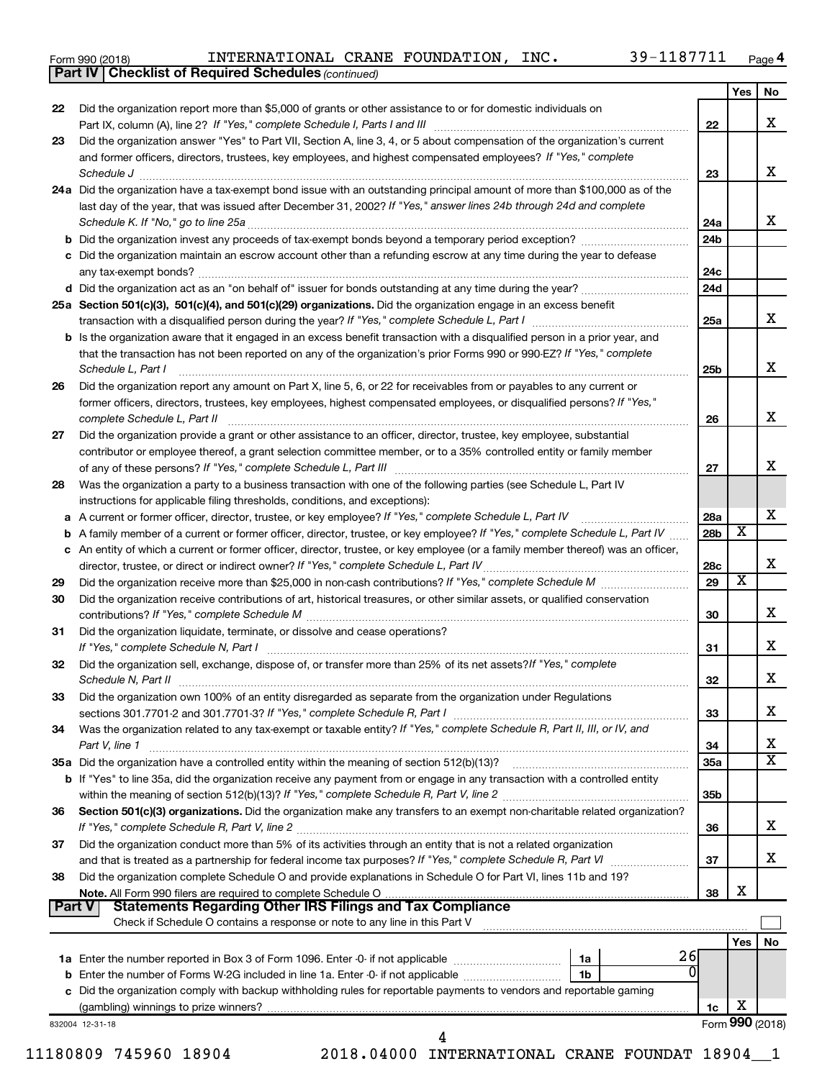|  | Form 990 (2018) |  |
|--|-----------------|--|
|  |                 |  |

*(continued)* **Part IV Checklist of Required Schedules**

|          | <b>Part IV   Checklist of Required Schedules</b> (continued)                                                                                                                                                                                                                                                                                                         |                 |     |                 |
|----------|----------------------------------------------------------------------------------------------------------------------------------------------------------------------------------------------------------------------------------------------------------------------------------------------------------------------------------------------------------------------|-----------------|-----|-----------------|
|          |                                                                                                                                                                                                                                                                                                                                                                      |                 | Yes | No              |
| 22       | Did the organization report more than \$5,000 of grants or other assistance to or for domestic individuals on                                                                                                                                                                                                                                                        |                 |     |                 |
|          |                                                                                                                                                                                                                                                                                                                                                                      | 22              |     | x               |
| 23       | Did the organization answer "Yes" to Part VII, Section A, line 3, 4, or 5 about compensation of the organization's current                                                                                                                                                                                                                                           |                 |     |                 |
|          | and former officers, directors, trustees, key employees, and highest compensated employees? If "Yes," complete                                                                                                                                                                                                                                                       |                 |     |                 |
|          |                                                                                                                                                                                                                                                                                                                                                                      | 23              |     | x               |
|          | 24a Did the organization have a tax-exempt bond issue with an outstanding principal amount of more than \$100,000 as of the                                                                                                                                                                                                                                          |                 |     |                 |
|          | last day of the year, that was issued after December 31, 2002? If "Yes," answer lines 24b through 24d and complete                                                                                                                                                                                                                                                   |                 |     |                 |
|          | Schedule K. If "No," go to line 25a                                                                                                                                                                                                                                                                                                                                  | 24a             |     | x               |
|          |                                                                                                                                                                                                                                                                                                                                                                      | 24 <sub>b</sub> |     |                 |
|          | c Did the organization maintain an escrow account other than a refunding escrow at any time during the year to defease                                                                                                                                                                                                                                               |                 |     |                 |
|          |                                                                                                                                                                                                                                                                                                                                                                      | 24c             |     |                 |
|          |                                                                                                                                                                                                                                                                                                                                                                      | 24d             |     |                 |
|          | 25a Section 501(c)(3), 501(c)(4), and 501(c)(29) organizations. Did the organization engage in an excess benefit                                                                                                                                                                                                                                                     |                 |     |                 |
|          |                                                                                                                                                                                                                                                                                                                                                                      | 25a             |     | x               |
|          | <b>b</b> Is the organization aware that it engaged in an excess benefit transaction with a disqualified person in a prior year, and                                                                                                                                                                                                                                  |                 |     |                 |
|          | that the transaction has not been reported on any of the organization's prior Forms 990 or 990-EZ? If "Yes," complete                                                                                                                                                                                                                                                |                 |     |                 |
|          | Schedule L, Part I                                                                                                                                                                                                                                                                                                                                                   |                 |     | х               |
| 26       | Did the organization report any amount on Part X, line 5, 6, or 22 for receivables from or payables to any current or                                                                                                                                                                                                                                                |                 |     |                 |
|          | former officers, directors, trustees, key employees, highest compensated employees, or disqualified persons? If "Yes,"                                                                                                                                                                                                                                               |                 |     |                 |
|          | complete Schedule L, Part II<br>$\begin{bmatrix} \begin{bmatrix} 0 & 0 & 0 & 0 \\ 0 & 0 & 0 & 0 \\ 0 & 0 & 0 & 0 \\ 0 & 0 & 0 & 0 \\ 0 & 0 & 0 & 0 \\ 0 & 0 & 0 & 0 \\ 0 & 0 & 0 & 0 \\ 0 & 0 & 0 & 0 & 0 \\ 0 & 0 & 0 & 0 & 0 \\ 0 & 0 & 0 & 0 & 0 \\ 0 & 0 & 0 & 0 & 0 \\ 0 & 0 & 0 & 0 & 0 \\ 0 & 0 & 0 & 0 & 0 & 0 \\ 0 & 0 & 0 & 0 & 0 & 0 \\ 0 & 0 & 0 & 0 & $ | 26              |     | x               |
| 27       | Did the organization provide a grant or other assistance to an officer, director, trustee, key employee, substantial                                                                                                                                                                                                                                                 |                 |     |                 |
|          | contributor or employee thereof, a grant selection committee member, or to a 35% controlled entity or family member                                                                                                                                                                                                                                                  |                 |     |                 |
|          |                                                                                                                                                                                                                                                                                                                                                                      | 27              |     | x               |
| 28       | Was the organization a party to a business transaction with one of the following parties (see Schedule L, Part IV                                                                                                                                                                                                                                                    |                 |     |                 |
|          | instructions for applicable filing thresholds, conditions, and exceptions):                                                                                                                                                                                                                                                                                          |                 |     |                 |
|          | a A current or former officer, director, trustee, or key employee? If "Yes," complete Schedule L, Part IV                                                                                                                                                                                                                                                            | 28a             |     | х               |
| b        | A family member of a current or former officer, director, trustee, or key employee? If "Yes," complete Schedule L, Part IV                                                                                                                                                                                                                                           | 28 <sub>b</sub> | х   |                 |
| с        | An entity of which a current or former officer, director, trustee, or key employee (or a family member thereof) was an officer,                                                                                                                                                                                                                                      |                 |     |                 |
|          |                                                                                                                                                                                                                                                                                                                                                                      | 28c             |     | x               |
| 29       |                                                                                                                                                                                                                                                                                                                                                                      | 29              | X   |                 |
| 30       | Did the organization receive contributions of art, historical treasures, or other similar assets, or qualified conservation                                                                                                                                                                                                                                          |                 |     |                 |
|          |                                                                                                                                                                                                                                                                                                                                                                      | 30              |     | х               |
| 31       | Did the organization liquidate, terminate, or dissolve and cease operations?                                                                                                                                                                                                                                                                                         |                 |     |                 |
|          |                                                                                                                                                                                                                                                                                                                                                                      | 31              |     | х               |
| 32       | Did the organization sell, exchange, dispose of, or transfer more than 25% of its net assets? If "Yes," complete                                                                                                                                                                                                                                                     |                 |     |                 |
|          | Schedule N. Part II                                                                                                                                                                                                                                                                                                                                                  | 32              |     | х               |
| 33       | Did the organization own 100% of an entity disregarded as separate from the organization under Regulations                                                                                                                                                                                                                                                           |                 |     |                 |
|          |                                                                                                                                                                                                                                                                                                                                                                      | 33              |     | х               |
| 34       | Was the organization related to any tax-exempt or taxable entity? If "Yes," complete Schedule R, Part II, III, or IV, and                                                                                                                                                                                                                                            |                 |     |                 |
|          | Part V, line 1                                                                                                                                                                                                                                                                                                                                                       | 34              |     | х               |
|          |                                                                                                                                                                                                                                                                                                                                                                      | 35a             |     | х               |
|          | b If "Yes" to line 35a, did the organization receive any payment from or engage in any transaction with a controlled entity                                                                                                                                                                                                                                          |                 |     |                 |
|          |                                                                                                                                                                                                                                                                                                                                                                      | 35 <sub>b</sub> |     |                 |
| 36       | Section 501(c)(3) organizations. Did the organization make any transfers to an exempt non-charitable related organization?                                                                                                                                                                                                                                           |                 |     |                 |
|          |                                                                                                                                                                                                                                                                                                                                                                      | 36              |     | х               |
| 37       | Did the organization conduct more than 5% of its activities through an entity that is not a related organization                                                                                                                                                                                                                                                     |                 |     |                 |
|          |                                                                                                                                                                                                                                                                                                                                                                      | 37              |     | х               |
| 38       | Did the organization complete Schedule O and provide explanations in Schedule O for Part VI, lines 11b and 19?                                                                                                                                                                                                                                                       |                 |     |                 |
|          | Note. All Form 990 filers are required to complete Schedule O                                                                                                                                                                                                                                                                                                        | 38              | х   |                 |
| ∣ Part V | <b>Statements Regarding Other IRS Filings and Tax Compliance</b>                                                                                                                                                                                                                                                                                                     |                 |     |                 |
|          | Check if Schedule O contains a response or note to any line in this Part V                                                                                                                                                                                                                                                                                           |                 |     |                 |
|          |                                                                                                                                                                                                                                                                                                                                                                      |                 | Yes | No              |
|          | 26<br>1a                                                                                                                                                                                                                                                                                                                                                             |                 |     |                 |
|          | 0<br>1b                                                                                                                                                                                                                                                                                                                                                              |                 |     |                 |
|          | c Did the organization comply with backup withholding rules for reportable payments to vendors and reportable gaming                                                                                                                                                                                                                                                 |                 |     |                 |
|          |                                                                                                                                                                                                                                                                                                                                                                      | 1c              | х   |                 |
|          | 832004 12-31-18                                                                                                                                                                                                                                                                                                                                                      |                 |     | Form 990 (2018) |
|          | 4                                                                                                                                                                                                                                                                                                                                                                    |                 |     |                 |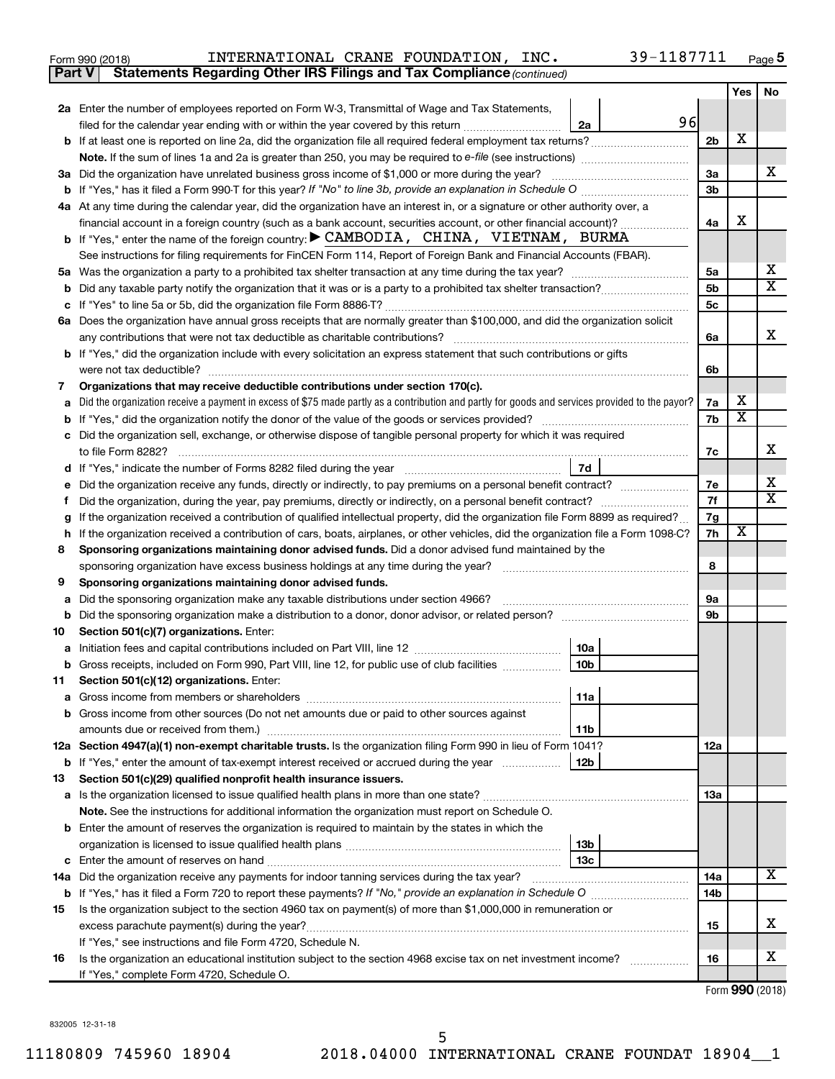| Form 990 (2018) |  | INTERNATIONAL CRANE FOUNDATION, |  |  | INC. | 39-1187711 | Page |
|-----------------|--|---------------------------------|--|--|------|------------|------|
|-----------------|--|---------------------------------|--|--|------|------------|------|

| Part V  | Statements Regarding Other IRS Filings and Tax Compliance (continued)                                                                           |          |                         |    |
|---------|-------------------------------------------------------------------------------------------------------------------------------------------------|----------|-------------------------|----|
|         |                                                                                                                                                 |          | Yes                     | No |
|         | 2a Enter the number of employees reported on Form W-3, Transmittal of Wage and Tax Statements,                                                  |          |                         |    |
|         | 96<br>filed for the calendar year ending with or within the year covered by this return<br>2a                                                   |          |                         |    |
|         | b If at least one is reported on line 2a, did the organization file all required federal employment tax returns?                                | 2b       | х                       |    |
|         | Note. If the sum of lines 1a and 2a is greater than 250, you may be required to e-file (see instructions) <i></i>                               |          |                         |    |
|         | 3a Did the organization have unrelated business gross income of \$1,000 or more during the year?                                                | За       |                         | х  |
| b       |                                                                                                                                                 | Зb       |                         |    |
|         | 4a At any time during the calendar year, did the organization have an interest in, or a signature or other authority over, a                    |          |                         |    |
|         | financial account in a foreign country (such as a bank account, securities account, or other financial account)?                                | 4a       | X                       |    |
|         | <b>b</b> If "Yes," enter the name of the foreign country: $\triangleright$ CAMBODIA, CHINA, VIETNAM, BURMA                                      |          |                         |    |
|         | See instructions for filing requirements for FinCEN Form 114, Report of Foreign Bank and Financial Accounts (FBAR).                             |          |                         |    |
| 5a      |                                                                                                                                                 | 5a       |                         | х  |
| b       |                                                                                                                                                 | 5b       |                         | X  |
| с       |                                                                                                                                                 | 5c       |                         |    |
|         | 6a Does the organization have annual gross receipts that are normally greater than \$100,000, and did the organization solicit                  |          |                         |    |
|         |                                                                                                                                                 | 6a       |                         | x  |
|         | <b>b</b> If "Yes," did the organization include with every solicitation an express statement that such contributions or gifts                   |          |                         |    |
|         |                                                                                                                                                 | 6b       |                         |    |
| 7       | Organizations that may receive deductible contributions under section 170(c).                                                                   |          |                         |    |
| а       | Did the organization receive a payment in excess of \$75 made partly as a contribution and partly for goods and services provided to the payor? | 7a       | х                       |    |
| b       |                                                                                                                                                 | 7b       | $\overline{\textbf{x}}$ |    |
| с       | Did the organization sell, exchange, or otherwise dispose of tangible personal property for which it was required                               |          |                         |    |
|         |                                                                                                                                                 | 7c       |                         | x  |
|         | 7d                                                                                                                                              |          |                         |    |
| е       | Did the organization receive any funds, directly or indirectly, to pay premiums on a personal benefit contract?                                 | 7е       |                         | х  |
| f.      |                                                                                                                                                 | 7f       |                         | X  |
| g       | If the organization received a contribution of qualified intellectual property, did the organization file Form 8899 as required?                | 7g       |                         |    |
| h       | If the organization received a contribution of cars, boats, airplanes, or other vehicles, did the organization file a Form 1098-C?              | 7h       | х                       |    |
| 8       | Sponsoring organizations maintaining donor advised funds. Did a donor advised fund maintained by the                                            |          |                         |    |
|         |                                                                                                                                                 | 8        |                         |    |
| 9       | Sponsoring organizations maintaining donor advised funds.                                                                                       |          |                         |    |
| а       | Did the sponsoring organization make any taxable distributions under section 4966?                                                              | 9а<br>9b |                         |    |
| b<br>10 | Section 501(c)(7) organizations. Enter:                                                                                                         |          |                         |    |
| а       | 10a                                                                                                                                             |          |                         |    |
|         | 10 <sub>b</sub><br>b Gross receipts, included on Form 990, Part VIII, line 12, for public use of club facilities                                |          |                         |    |
| 11      | Section 501(c)(12) organizations. Enter:                                                                                                        |          |                         |    |
| а       | 11a                                                                                                                                             |          |                         |    |
|         | b Gross income from other sources (Do not net amounts due or paid to other sources against                                                      |          |                         |    |
|         | 11b                                                                                                                                             |          |                         |    |
|         | 12a Section 4947(a)(1) non-exempt charitable trusts. Is the organization filing Form 990 in lieu of Form 1041?                                  | 12a      |                         |    |
|         | <b>b</b> If "Yes," enter the amount of tax-exempt interest received or accrued during the year<br>12b                                           |          |                         |    |
| 13      | Section 501(c)(29) qualified nonprofit health insurance issuers.                                                                                |          |                         |    |
| а       | Is the organization licensed to issue qualified health plans in more than one state?                                                            | 1За      |                         |    |
|         | Note. See the instructions for additional information the organization must report on Schedule O.                                               |          |                         |    |
|         | <b>b</b> Enter the amount of reserves the organization is required to maintain by the states in which the                                       |          |                         |    |
|         | 13b                                                                                                                                             |          |                         |    |
| с       | 13 <sub>c</sub>                                                                                                                                 |          |                         |    |
| 14a     | Did the organization receive any payments for indoor tanning services during the tax year?                                                      | 14a      |                         | x  |
| b       |                                                                                                                                                 | 14b      |                         |    |
| 15      | Is the organization subject to the section 4960 tax on payment(s) of more than \$1,000,000 in remuneration or                                   |          |                         |    |
|         |                                                                                                                                                 | 15       |                         | х  |
|         | If "Yes," see instructions and file Form 4720, Schedule N.                                                                                      |          |                         |    |
| 16      | Is the organization an educational institution subject to the section 4968 excise tax on net investment income?                                 | 16       |                         | х  |
|         | If "Yes," complete Form 4720, Schedule O.                                                                                                       |          |                         |    |

Form (2018) **990**

832005 12-31-18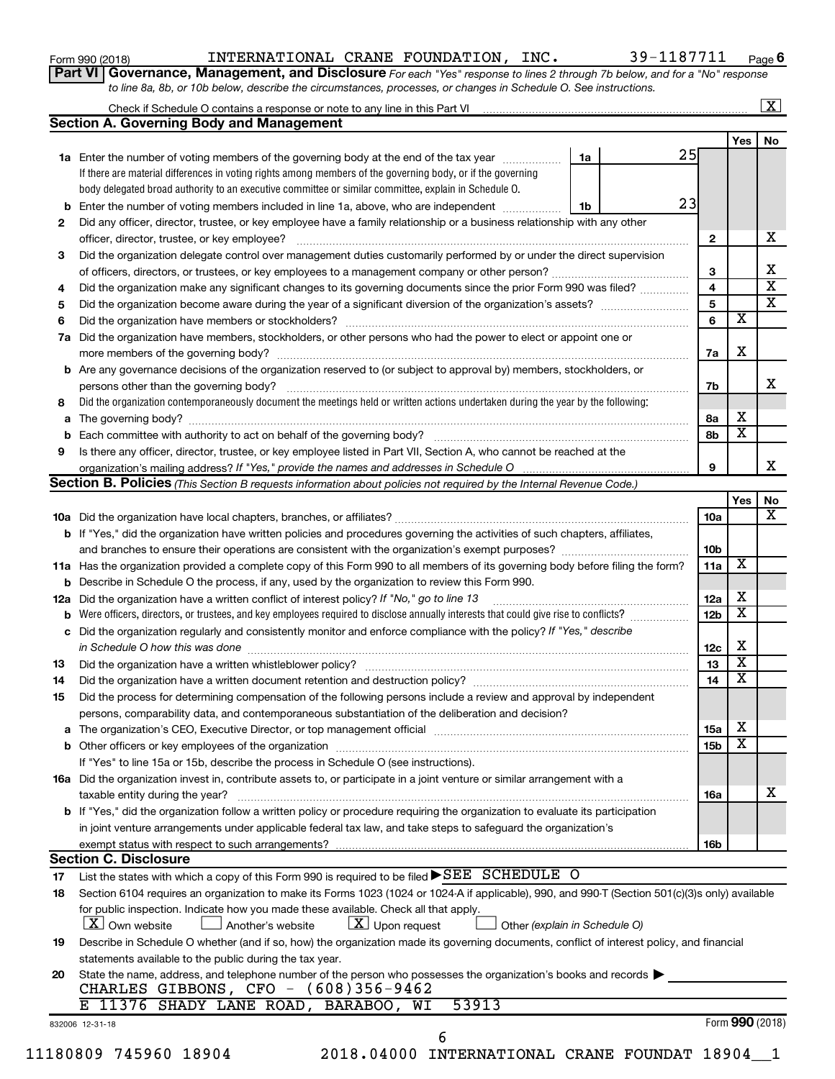|  |  | Form 990 (2018) |  |
|--|--|-----------------|--|
|--|--|-----------------|--|

Form 990 (2018)  ${\tt INTERNATIONAL \ \ \texttt{CRANE} \ \ \texttt{FOUNDATION, \ \ \ \texttt{INC.}} \qquad \qquad 39\,\texttt{-1187711} \quad \qquad \textcolor{red}{\mathsf{Page}}$ 

**Part VI** Governance, Management, and Disclosure For each "Yes" response to lines 2 through 7b below, and for a "No" response *to line 8a, 8b, or 10b below, describe the circumstances, processes, or changes in Schedule O. See instructions.*

|     | Check if Schedule O contains a response or note to any line in this Part VI [11] [12] [12] Check if Schedule O contains a response or note to any line in this Part VI |    |    |                 |                         | $\overline{\textbf{X}}$ |
|-----|------------------------------------------------------------------------------------------------------------------------------------------------------------------------|----|----|-----------------|-------------------------|-------------------------|
|     | <b>Section A. Governing Body and Management</b>                                                                                                                        |    |    |                 |                         |                         |
|     |                                                                                                                                                                        |    |    |                 | Yes                     | No.                     |
|     | 1a Enter the number of voting members of the governing body at the end of the tax year                                                                                 | 1a | 25 |                 |                         |                         |
|     | If there are material differences in voting rights among members of the governing body, or if the governing                                                            |    |    |                 |                         |                         |
|     | body delegated broad authority to an executive committee or similar committee, explain in Schedule O.                                                                  |    |    |                 |                         |                         |
| b   | Enter the number of voting members included in line 1a, above, who are independent <i>manamerican</i>                                                                  | 1b | 23 |                 |                         |                         |
| 2   | Did any officer, director, trustee, or key employee have a family relationship or a business relationship with any other                                               |    |    |                 |                         |                         |
|     | officer, director, trustee, or key employee?                                                                                                                           |    |    | $\mathbf{2}$    |                         |                         |
| 3   | Did the organization delegate control over management duties customarily performed by or under the direct supervision                                                  |    |    |                 |                         |                         |
|     |                                                                                                                                                                        |    |    | 3               |                         |                         |
| 4   | Did the organization make any significant changes to its governing documents since the prior Form 990 was filed?                                                       |    |    | $\overline{4}$  |                         |                         |
| 5   |                                                                                                                                                                        |    |    | $\overline{5}$  |                         |                         |
| 6   |                                                                                                                                                                        |    |    | 6               | $\overline{\mathbf{x}}$ |                         |
| 7a  | Did the organization have members, stockholders, or other persons who had the power to elect or appoint one or                                                         |    |    |                 |                         |                         |
|     |                                                                                                                                                                        |    |    | 7a              | Х                       |                         |
|     | <b>b</b> Are any governance decisions of the organization reserved to (or subject to approval by) members, stockholders, or                                            |    |    |                 |                         |                         |
|     | persons other than the governing body?                                                                                                                                 |    |    | 7b              |                         |                         |
| 8   | Did the organization contemporaneously document the meetings held or written actions undertaken during the year by the following:                                      |    |    |                 |                         |                         |
|     |                                                                                                                                                                        |    |    | 8а              | x                       |                         |
|     |                                                                                                                                                                        |    |    | 8b              | $\overline{\mathbf{x}}$ |                         |
| 9   | Is there any officer, director, trustee, or key employee listed in Part VII, Section A, who cannot be reached at the                                                   |    |    |                 |                         |                         |
|     |                                                                                                                                                                        |    |    | 9               |                         |                         |
|     | Section B. Policies (This Section B requests information about policies not required by the Internal Revenue Code.)                                                    |    |    |                 |                         |                         |
|     |                                                                                                                                                                        |    |    |                 | Yes                     |                         |
|     |                                                                                                                                                                        |    |    | 10a             |                         |                         |
|     | <b>b</b> If "Yes," did the organization have written policies and procedures governing the activities of such chapters, affiliates,                                    |    |    |                 |                         |                         |
|     |                                                                                                                                                                        |    |    | 10 <sub>b</sub> |                         |                         |
|     | 11a Has the organization provided a complete copy of this Form 990 to all members of its governing body before filing the form?                                        |    |    | 11a             | X                       |                         |
|     | <b>b</b> Describe in Schedule O the process, if any, used by the organization to review this Form 990.                                                                 |    |    |                 |                         |                         |
| 12a | Did the organization have a written conflict of interest policy? If "No," go to line 13                                                                                |    |    | 12a             | x                       |                         |
| b   | Were officers, directors, or trustees, and key employees required to disclose annually interests that could give rise to conflicts?                                    |    |    | 12 <sub>b</sub> | $\overline{\textbf{x}}$ |                         |
|     | c Did the organization regularly and consistently monitor and enforce compliance with the policy? If "Yes," describe                                                   |    |    |                 |                         |                         |
|     | in Schedule O how this was done manufactured and continuum and contact the way to the set of the set of the schedule O how this was done                               |    |    | 12c             | х                       |                         |
| 13  |                                                                                                                                                                        |    |    | 13              | $\overline{\textbf{x}}$ |                         |
| 14  | Did the organization have a written document retention and destruction policy? [11] manufaction manufaction in                                                         |    |    | 14              | $\overline{\textbf{x}}$ |                         |
| 15  | Did the process for determining compensation of the following persons include a review and approval by independent                                                     |    |    |                 |                         |                         |
|     | persons, comparability data, and contemporaneous substantiation of the deliberation and decision?                                                                      |    |    |                 |                         |                         |
|     |                                                                                                                                                                        |    |    | <b>15a</b>      | x                       |                         |
|     |                                                                                                                                                                        |    |    | 15b             | $\overline{\textbf{x}}$ |                         |
|     |                                                                                                                                                                        |    |    |                 |                         |                         |
|     | If "Yes" to line 15a or 15b, describe the process in Schedule O (see instructions).                                                                                    |    |    |                 |                         |                         |
|     | 16a Did the organization invest in, contribute assets to, or participate in a joint venture or similar arrangement with a                                              |    |    |                 |                         |                         |
|     | taxable entity during the year?<br>b If "Yes," did the organization follow a written policy or procedure requiring the organization to evaluate its participation      |    |    | 16a             |                         |                         |
|     |                                                                                                                                                                        |    |    |                 |                         |                         |
|     | in joint venture arrangements under applicable federal tax law, and take steps to safeguard the organization's                                                         |    |    |                 |                         |                         |
|     | exempt status with respect to such arrangements?                                                                                                                       |    |    | 16b             |                         |                         |
|     | <b>Section C. Disclosure</b>                                                                                                                                           |    |    |                 |                         |                         |
| 17  | List the states with which a copy of this Form 990 is required to be filed $\blacktriangleright$ SEE SCHEDULE O                                                        |    |    |                 |                         |                         |
| 18  | Section 6104 requires an organization to make its Forms 1023 (1024 or 1024 A if applicable), 990, and 990-T (Section 501(c)(3)s only) available                        |    |    |                 |                         |                         |
|     | for public inspection. Indicate how you made these available. Check all that apply.                                                                                    |    |    |                 |                         |                         |
|     | $X$ Own website<br>$\lfloor x \rfloor$ Upon request<br>Another's website<br>Other (explain in Schedule O)                                                              |    |    |                 |                         |                         |
|     | Describe in Schedule O whether (and if so, how) the organization made its governing documents, conflict of interest policy, and financial                              |    |    |                 |                         |                         |
| 19  | statements available to the public during the tax year.                                                                                                                |    |    |                 |                         |                         |
|     | State the name, address, and telephone number of the person who possesses the organization's books and records                                                         |    |    |                 |                         |                         |
| 20  |                                                                                                                                                                        |    |    |                 |                         |                         |
|     | CHARLES GIBBONS, CFO - (608)356-9462                                                                                                                                   |    |    |                 |                         |                         |
|     | 11376 SHADY LANE ROAD, BARABOO, WI<br>53913                                                                                                                            |    |    |                 | Form 990 (2018)         |                         |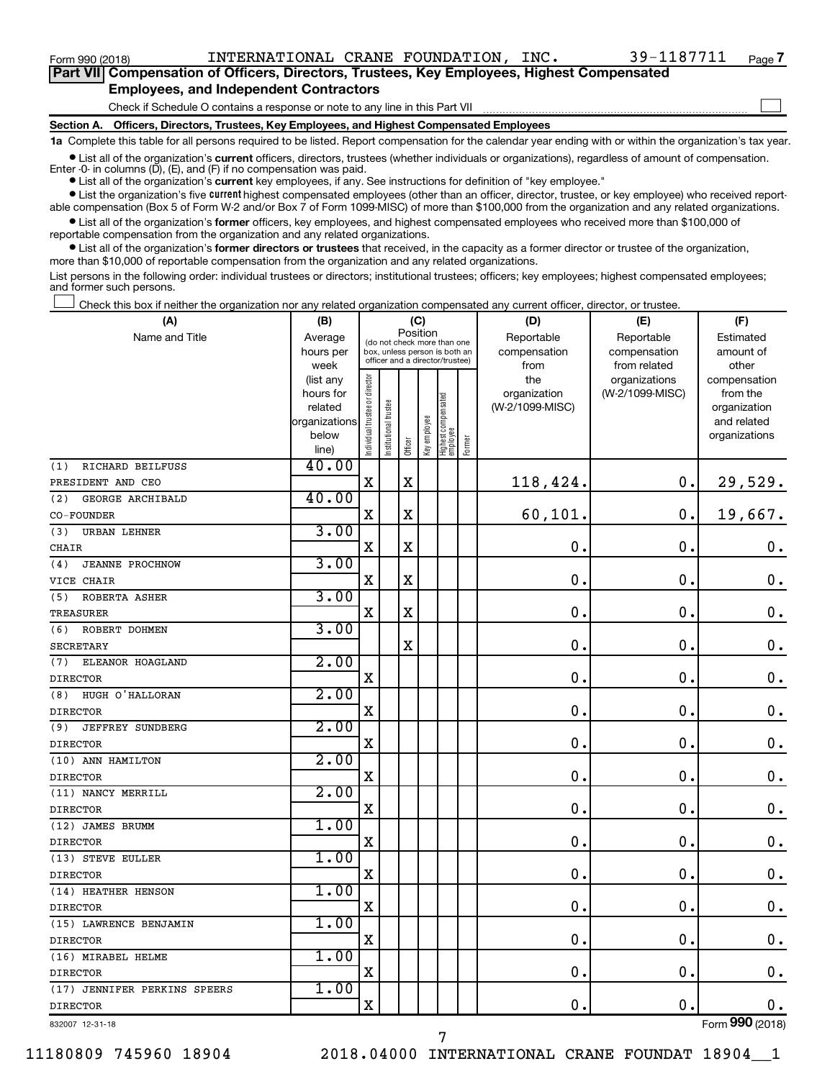$\Box$ 

| Part VII Compensation of Officers, Directors, Trustees, Key Employees, Highest Compensated |
|--------------------------------------------------------------------------------------------|
| <b>Employees, and Independent Contractors</b>                                              |

Check if Schedule O contains a response or note to any line in this Part VII

**Section A. Officers, Directors, Trustees, Key Employees, and Highest Compensated Employees**

**1a**  Complete this table for all persons required to be listed. Report compensation for the calendar year ending with or within the organization's tax year.

**•** List all of the organization's current officers, directors, trustees (whether individuals or organizations), regardless of amount of compensation. Enter -0- in columns  $(D)$ ,  $(E)$ , and  $(F)$  if no compensation was paid.

**•** List all of the organization's **current** key employees, if any. See instructions for definition of "key employee."

**•** List the organization's five current highest compensated employees (other than an officer, director, trustee, or key employee) who received reportable compensation (Box 5 of Form W-2 and/or Box 7 of Form 1099-MISC) of more than \$100,000 from the organization and any related organizations.

**•** List all of the organization's former officers, key employees, and highest compensated employees who received more than \$100,000 of reportable compensation from the organization and any related organizations.

**•** List all of the organization's former directors or trustees that received, in the capacity as a former director or trustee of the organization, more than \$10,000 of reportable compensation from the organization and any related organizations.

List persons in the following order: individual trustees or directors; institutional trustees; officers; key employees; highest compensated employees; and former such persons.

Check this box if neither the organization nor any related organization compensated any current officer, director, or trustee.  $\Box$ 

| (A)                            | (B)                    | (C)                                     |                                                                  | (D)         | (E)          | (F)                               |           |                 |                 |                              |
|--------------------------------|------------------------|-----------------------------------------|------------------------------------------------------------------|-------------|--------------|-----------------------------------|-----------|-----------------|-----------------|------------------------------|
| Name and Title                 | Average                | Position<br>(do not check more than one |                                                                  | Reportable  | Reportable   | Estimated                         |           |                 |                 |                              |
|                                | hours per              |                                         | box, unless person is both an<br>officer and a director/trustee) |             | compensation | compensation                      | amount of |                 |                 |                              |
|                                | week                   |                                         |                                                                  |             |              |                                   |           | from            | from related    | other                        |
|                                | (list any              |                                         |                                                                  |             |              |                                   |           | the             | organizations   | compensation                 |
|                                | hours for              |                                         |                                                                  |             |              |                                   |           | organization    | (W-2/1099-MISC) | from the                     |
|                                | related                |                                         |                                                                  |             |              |                                   |           | (W-2/1099-MISC) |                 | organization                 |
|                                | organizations<br>below |                                         |                                                                  |             |              |                                   |           |                 |                 | and related<br>organizations |
|                                | line)                  | Individual trustee or director          | nstitutional trustee                                             | Officer     | Key employee | Highest compensated<br>  employee | Former    |                 |                 |                              |
| RICHARD BEILFUSS<br>(1)        | 40.00                  |                                         |                                                                  |             |              |                                   |           |                 |                 |                              |
| PRESIDENT AND CEO              |                        | $\mathbf x$                             |                                                                  | $\mathbf X$ |              |                                   |           | 118,424.        | 0.              | 29,529.                      |
| GEORGE ARCHIBALD<br>(2)        | 40.00                  |                                         |                                                                  |             |              |                                   |           |                 |                 |                              |
| CO-FOUNDER                     |                        | $\mathbf X$                             |                                                                  | $\rm X$     |              |                                   |           | 60,101.         | $\mathbf 0$ .   | 19,667.                      |
| <b>URBAN LEHNER</b><br>(3)     | 3.00                   |                                         |                                                                  |             |              |                                   |           |                 |                 |                              |
| CHAIR                          |                        | X                                       |                                                                  | X           |              |                                   |           | $\mathbf 0$ .   | $\mathbf 0$ .   | $\mathbf 0$ .                |
| <b>JEANNE PROCHNOW</b><br>(4)  | 3.00                   |                                         |                                                                  |             |              |                                   |           |                 |                 |                              |
| VICE CHAIR                     |                        | $\mathbf X$                             |                                                                  | $\mathbf X$ |              |                                   |           | $\mathbf 0$ .   | $\mathbf 0$ .   | $\boldsymbol{0}$ .           |
| (5)<br>ROBERTA ASHER           | 3.00                   |                                         |                                                                  |             |              |                                   |           |                 |                 |                              |
| <b>TREASURER</b>               |                        | $\mathbf X$                             |                                                                  | X           |              |                                   |           | $\mathbf 0$ .   | $\mathbf 0$ .   | $\mathbf 0$ .                |
| ROBERT DOHMEN<br>(6)           | 3.00                   |                                         |                                                                  |             |              |                                   |           |                 |                 |                              |
| <b>SECRETARY</b>               |                        |                                         |                                                                  | $\mathbf X$ |              |                                   |           | $\mathbf 0$ .   | $\mathbf 0$ .   | $\mathbf 0$ .                |
| ELEANOR HOAGLAND<br>(7)        | 2.00                   |                                         |                                                                  |             |              |                                   |           |                 |                 |                              |
| <b>DIRECTOR</b>                |                        | $\mathbf X$                             |                                                                  |             |              |                                   |           | $\mathbf 0$ .   | $\mathbf 0$ .   | $\mathbf 0$ .                |
| HUGH O'HALLORAN<br>(8)         | 2.00                   |                                         |                                                                  |             |              |                                   |           |                 |                 |                              |
| <b>DIRECTOR</b>                |                        | $\mathbf X$                             |                                                                  |             |              |                                   |           | $\mathbf 0$ .   | $\mathbf 0$ .   | 0.                           |
| (9)<br><b>JEFFREY SUNDBERG</b> | 2.00                   |                                         |                                                                  |             |              |                                   |           |                 |                 |                              |
| <b>DIRECTOR</b>                |                        | $\mathbf X$                             |                                                                  |             |              |                                   |           | 0.              | $\mathbf 0$ .   | $\mathbf 0$ .                |
| (10) ANN HAMILTON              | 2.00                   |                                         |                                                                  |             |              |                                   |           |                 |                 |                              |
| <b>DIRECTOR</b>                |                        | $\mathbf X$                             |                                                                  |             |              |                                   |           | 0.              | $\mathbf 0$ .   | 0.                           |
| (11) NANCY MERRILL             | 2.00                   |                                         |                                                                  |             |              |                                   |           |                 |                 |                              |
| <b>DIRECTOR</b>                |                        | $\mathbf X$                             |                                                                  |             |              |                                   |           | 0.              | $\mathbf 0$     | $\mathbf 0$ .                |
| (12) JAMES BRUMM               | 1.00                   |                                         |                                                                  |             |              |                                   |           |                 |                 |                              |
| <b>DIRECTOR</b>                |                        | $\mathbf X$                             |                                                                  |             |              |                                   |           | $\mathbf 0$ .   | $\mathbf 0$ .   | $\mathbf 0$ .                |
| (13) STEVE EULLER              | 1.00                   |                                         |                                                                  |             |              |                                   |           |                 |                 |                              |
| <b>DIRECTOR</b>                |                        | $\mathbf X$                             |                                                                  |             |              |                                   |           | 0.              | $\mathbf 0$ .   | $\mathbf 0$ .                |
| (14) HEATHER HENSON            | 1.00                   |                                         |                                                                  |             |              |                                   |           |                 |                 |                              |
| <b>DIRECTOR</b>                |                        | $\mathbf X$                             |                                                                  |             |              |                                   |           | 0.              | О.              | $\mathbf 0$ .                |
| (15) LAWRENCE BENJAMIN         | 1.00                   |                                         |                                                                  |             |              |                                   |           |                 |                 |                              |
| <b>DIRECTOR</b>                |                        | $\mathbf X$                             |                                                                  |             |              |                                   |           | $\mathbf 0$ .   | $\mathbf 0$ .   | $\mathbf 0$ .                |
| (16) MIRABEL HELME             | 1.00                   |                                         |                                                                  |             |              |                                   |           |                 |                 |                              |
| <b>DIRECTOR</b>                |                        | $\mathbf X$                             |                                                                  |             |              |                                   |           | 0.              | $\mathbf 0$ .   | $\mathbf 0$ .                |
| (17) JENNIFER PERKINS SPEERS   | 1.00                   |                                         |                                                                  |             |              |                                   |           |                 |                 |                              |
| <b>DIRECTOR</b>                |                        | $\mathbf X$                             |                                                                  |             |              |                                   |           | 0.              | $\mathbf 0$ .   | 0.                           |
| 832007 12-31-18                |                        |                                         |                                                                  |             |              |                                   |           |                 |                 | Form 990 (2018)              |

832007 12-31-18

11180809 745960 18904 2018.04000 INTERNATIONAL CRANE FOUNDAT 18904\_\_1

7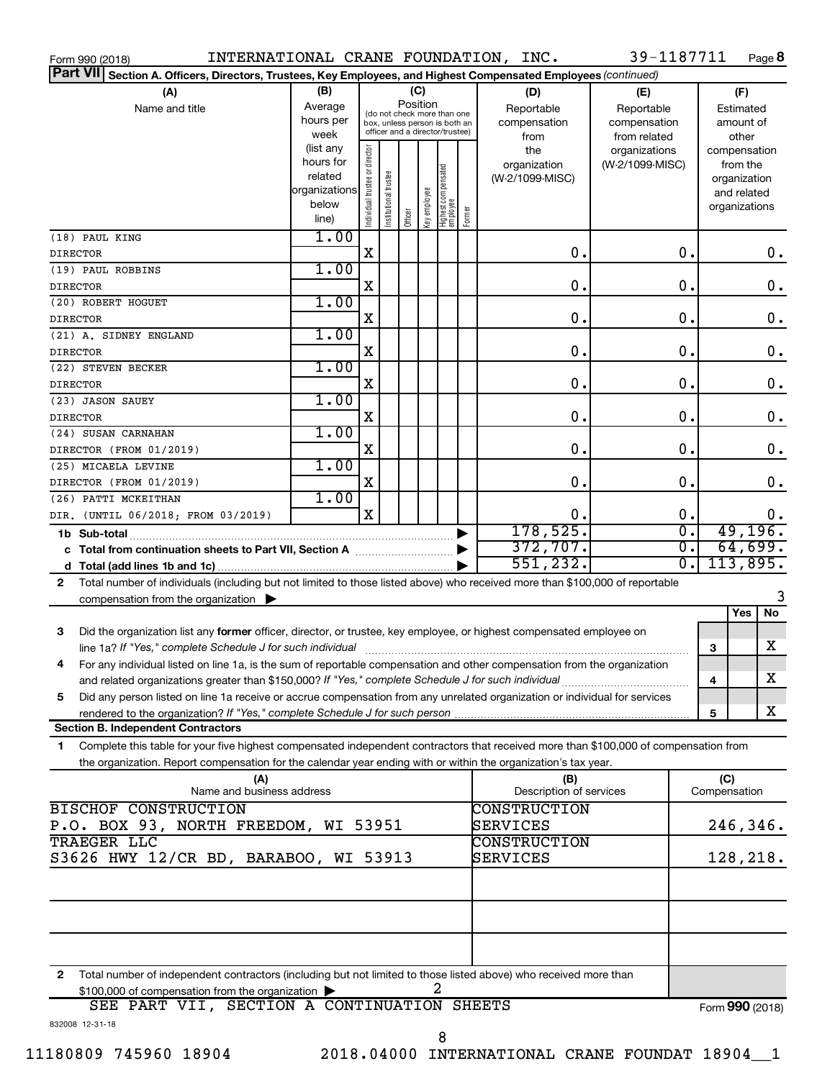| Form 990 (2018)                                                                                                                            |               |                                |                       |          |              |                                                              |        | INTERNATIONAL CRANE FOUNDATION, INC. | 39-1187711       |              | Page 8          |
|--------------------------------------------------------------------------------------------------------------------------------------------|---------------|--------------------------------|-----------------------|----------|--------------|--------------------------------------------------------------|--------|--------------------------------------|------------------|--------------|-----------------|
| <b>Part VII</b><br>Section A. Officers, Directors, Trustees, Key Employees, and Highest Compensated Employees (continued)                  |               |                                |                       |          |              |                                                              |        |                                      |                  |              |                 |
| (A)                                                                                                                                        | (B)           |                                |                       |          | (C)          |                                                              |        | (D)                                  | (E)              |              | (F)             |
| Name and title                                                                                                                             | Average       |                                |                       | Position |              |                                                              |        | Reportable                           | Reportable       |              | Estimated       |
|                                                                                                                                            | hours per     |                                |                       |          |              | (do not check more than one<br>box, unless person is both an |        | compensation                         | compensation     |              | amount of       |
|                                                                                                                                            | week          |                                |                       |          |              | officer and a director/trustee)                              |        | from                                 | from related     |              | other           |
|                                                                                                                                            | (list any     |                                |                       |          |              |                                                              |        | the                                  | organizations    |              | compensation    |
|                                                                                                                                            | hours for     |                                |                       |          |              |                                                              |        | organization                         | (W-2/1099-MISC)  |              | from the        |
|                                                                                                                                            | related       |                                |                       |          |              |                                                              |        | (W-2/1099-MISC)                      |                  |              | organization    |
|                                                                                                                                            | organizations |                                |                       |          |              |                                                              |        |                                      |                  |              | and related     |
|                                                                                                                                            | below         | Individual trustee or director | Institutional trustee |          | Key employee | Highest compensated<br> employee                             | Former |                                      |                  |              | organizations   |
|                                                                                                                                            | line)         |                                |                       | Officer  |              |                                                              |        |                                      |                  |              |                 |
| (18) PAUL KING                                                                                                                             | 1.00          |                                |                       |          |              |                                                              |        |                                      |                  |              |                 |
| <b>DIRECTOR</b>                                                                                                                            |               | X                              |                       |          |              |                                                              |        | 0.                                   | 0.               |              | 0.              |
| (19) PAUL ROBBINS                                                                                                                          | 1.00          |                                |                       |          |              |                                                              |        |                                      |                  |              |                 |
| <b>DIRECTOR</b>                                                                                                                            |               | X                              |                       |          |              |                                                              |        | 0.                                   | 0.               |              | $\mathbf 0$ .   |
| (20) ROBERT HOGUET                                                                                                                         | 1.00          |                                |                       |          |              |                                                              |        |                                      |                  |              |                 |
| <b>DIRECTOR</b>                                                                                                                            |               | X                              |                       |          |              |                                                              |        | 0.                                   | $\mathbf 0$ .    |              | $\mathbf 0$ .   |
| (21) A. SIDNEY ENGLAND                                                                                                                     | 1.00          |                                |                       |          |              |                                                              |        |                                      |                  |              |                 |
| <b>DIRECTOR</b>                                                                                                                            |               | X                              |                       |          |              |                                                              |        | 0.                                   | 0.               |              | $\mathbf 0$ .   |
| (22) STEVEN BECKER                                                                                                                         | 1.00          |                                |                       |          |              |                                                              |        |                                      |                  |              |                 |
| <b>DIRECTOR</b>                                                                                                                            |               | X                              |                       |          |              |                                                              |        | 0.                                   | 0.               |              | $\mathbf 0$ .   |
| (23) JASON SAUEY                                                                                                                           | 1.00          |                                |                       |          |              |                                                              |        |                                      |                  |              |                 |
| <b>DIRECTOR</b>                                                                                                                            |               | X                              |                       |          |              |                                                              |        | 0.                                   | $\mathbf 0$ .    |              | $\mathbf 0$ .   |
| (24) SUSAN CARNAHAN                                                                                                                        | 1.00          |                                |                       |          |              |                                                              |        |                                      |                  |              |                 |
|                                                                                                                                            |               | X                              |                       |          |              |                                                              |        | 0.                                   | $\mathbf 0$ .    |              | $\mathbf 0$ .   |
| DIRECTOR (FROM 01/2019)                                                                                                                    | 1.00          |                                |                       |          |              |                                                              |        |                                      |                  |              |                 |
| (25) MICAELA LEVINE                                                                                                                        |               |                                |                       |          |              |                                                              |        |                                      |                  |              |                 |
| DIRECTOR (FROM 01/2019)                                                                                                                    |               | X                              |                       |          |              |                                                              |        | 0.                                   | $\mathbf 0$ .    |              | $\mathbf 0$ .   |
| (26) PATTI MCKEITHAN                                                                                                                       | 1.00          |                                |                       |          |              |                                                              |        |                                      |                  |              |                 |
| DIR. (UNTIL 06/2018; FROM 03/2019)                                                                                                         |               | X                              |                       |          |              |                                                              |        | 0.                                   | 0.               |              | 0.              |
| 1b Sub-total                                                                                                                               |               |                                |                       |          |              |                                                              |        | 178,525.                             | $\overline{0}$ . |              | 49, 196.        |
| c Total from continuation sheets to Part VII, Section A manuscreen continuum                                                               |               |                                |                       |          |              |                                                              |        | 372,707.                             | σ.               |              | 64,699.         |
|                                                                                                                                            |               |                                |                       |          |              |                                                              |        | 551,232.                             | σ.               |              | 113,895.        |
| Total number of individuals (including but not limited to those listed above) who received more than \$100,000 of reportable<br>2          |               |                                |                       |          |              |                                                              |        |                                      |                  |              |                 |
| compensation from the organization $\blacktriangleright$                                                                                   |               |                                |                       |          |              |                                                              |        |                                      |                  |              | 3               |
|                                                                                                                                            |               |                                |                       |          |              |                                                              |        |                                      |                  |              | No<br>Yes       |
| Did the organization list any former officer, director, or trustee, key employee, or highest compensated employee on<br>3                  |               |                                |                       |          |              |                                                              |        |                                      |                  |              |                 |
|                                                                                                                                            |               |                                |                       |          |              |                                                              |        |                                      |                  | З            | X               |
| For any individual listed on line 1a, is the sum of reportable compensation and other compensation from the organization                   |               |                                |                       |          |              |                                                              |        |                                      |                  |              |                 |
| and related organizations greater than \$150,000? If "Yes," complete Schedule J for such individual                                        |               |                                |                       |          |              |                                                              |        |                                      |                  | 4            | X               |
| Did any person listed on line 1a receive or accrue compensation from any unrelated organization or individual for services<br>5            |               |                                |                       |          |              |                                                              |        |                                      |                  |              |                 |
|                                                                                                                                            |               |                                |                       |          |              |                                                              |        |                                      |                  | 5            | X               |
| <b>Section B. Independent Contractors</b>                                                                                                  |               |                                |                       |          |              |                                                              |        |                                      |                  |              |                 |
| Complete this table for your five highest compensated independent contractors that received more than \$100,000 of compensation from<br>1. |               |                                |                       |          |              |                                                              |        |                                      |                  |              |                 |
| the organization. Report compensation for the calendar year ending with or within the organization's tax year.                             |               |                                |                       |          |              |                                                              |        |                                      |                  |              |                 |
|                                                                                                                                            |               |                                |                       |          |              |                                                              |        |                                      |                  | (C)          |                 |
| (A)<br>Name and business address                                                                                                           |               |                                |                       |          |              |                                                              |        | (B)<br>Description of services       |                  | Compensation |                 |
| <b>BISCHOF CONSTRUCTION</b>                                                                                                                |               |                                |                       |          |              |                                                              |        | <b>CONSTRUCTION</b>                  |                  |              |                 |
|                                                                                                                                            |               |                                |                       |          |              |                                                              |        |                                      |                  |              |                 |
| P.O. BOX 93, NORTH FREEDOM, WI 53951                                                                                                       |               |                                |                       |          |              |                                                              |        | SERVICES                             |                  |              | 246,346.        |
| <b>TRAEGER LLC</b>                                                                                                                         |               |                                |                       |          |              |                                                              |        | <b>CONSTRUCTION</b>                  |                  |              |                 |
| S3626 HWY 12/CR BD, BARABOO, WI 53913                                                                                                      |               |                                |                       |          |              |                                                              |        | SERVICES                             |                  |              | 128,218.        |
|                                                                                                                                            |               |                                |                       |          |              |                                                              |        |                                      |                  |              |                 |
|                                                                                                                                            |               |                                |                       |          |              |                                                              |        |                                      |                  |              |                 |
|                                                                                                                                            |               |                                |                       |          |              |                                                              |        |                                      |                  |              |                 |
|                                                                                                                                            |               |                                |                       |          |              |                                                              |        |                                      |                  |              |                 |
|                                                                                                                                            |               |                                |                       |          |              |                                                              |        |                                      |                  |              |                 |
|                                                                                                                                            |               |                                |                       |          |              |                                                              |        |                                      |                  |              |                 |
| Total number of independent contractors (including but not limited to those listed above) who received more than<br>$\mathbf{2}$           |               |                                |                       |          |              |                                                              |        |                                      |                  |              |                 |
| \$100,000 of compensation from the organization                                                                                            |               |                                |                       |          |              |                                                              |        |                                      |                  |              |                 |
| SEE PART VII, SECTION A CONTINUATION SHEETS                                                                                                |               |                                |                       |          |              |                                                              |        |                                      |                  |              | Form 990 (2018) |
| 832008 12-31-18                                                                                                                            |               |                                |                       |          |              |                                                              |        |                                      |                  |              |                 |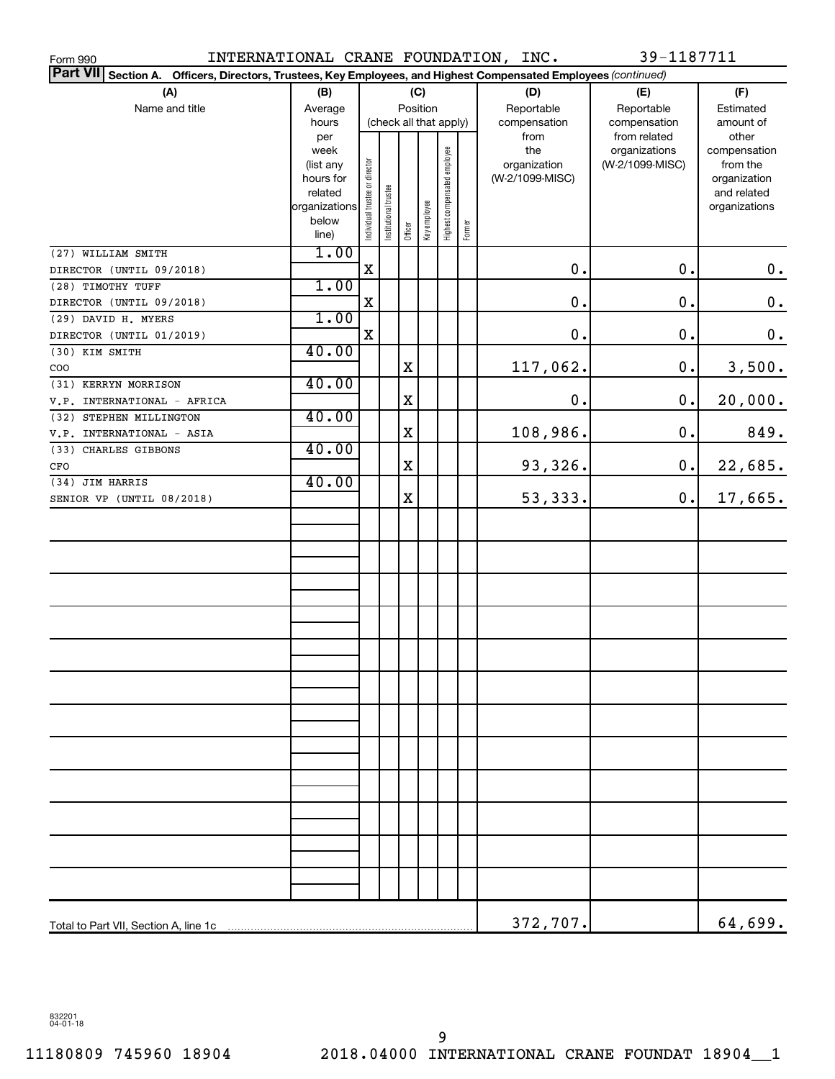| INTERNATIONAL CRANE FOUNDATION, INC.<br>Form 990                                                                   |                      |                                |                        |          |              |                              |        |                 | 39-1187711      |                             |
|--------------------------------------------------------------------------------------------------------------------|----------------------|--------------------------------|------------------------|----------|--------------|------------------------------|--------|-----------------|-----------------|-----------------------------|
| Part VII Section A.<br>Officers, Directors, Trustees, Key Employees, and Highest Compensated Employees (continued) |                      |                                |                        |          |              |                              |        |                 |                 |                             |
| (A)                                                                                                                | (B)                  |                                |                        |          | (C)          |                              |        | (D)             | (E)             | (F)                         |
| Name and title                                                                                                     | Average              |                                |                        | Position |              |                              |        | Reportable      | Reportable      | Estimated                   |
|                                                                                                                    | hours                |                                | (check all that apply) |          |              |                              |        | compensation    | compensation    | amount of                   |
|                                                                                                                    | per                  |                                |                        |          |              |                              |        | from            | from related    | other                       |
|                                                                                                                    | week                 |                                |                        |          |              |                              |        | the             | organizations   | compensation                |
|                                                                                                                    | (list any            |                                |                        |          |              |                              |        | organization    | (W-2/1099-MISC) | from the                    |
|                                                                                                                    | hours for<br>related |                                |                        |          |              |                              |        | (W-2/1099-MISC) |                 | organization<br>and related |
|                                                                                                                    | organizations        |                                |                        |          |              |                              |        |                 |                 | organizations               |
|                                                                                                                    | below                | Individual trustee or director |                        |          | Key employee | Highest compensated employee |        |                 |                 |                             |
|                                                                                                                    | line)                |                                | Institutional trustee  | Officer  |              |                              | Former |                 |                 |                             |
| (27) WILLIAM SMITH                                                                                                 | 1.00                 |                                |                        |          |              |                              |        |                 |                 |                             |
| DIRECTOR (UNTIL 09/2018)                                                                                           |                      | X                              |                        |          |              |                              |        | 0.              | 0.              | $\mathbf 0$ .               |
| (28) TIMOTHY TUFF                                                                                                  | 1.00                 |                                |                        |          |              |                              |        |                 |                 |                             |
| DIRECTOR (UNTIL 09/2018)                                                                                           |                      | $\mathbf X$                    |                        |          |              |                              |        | $0$ .           | 0.              | $\mathbf 0$ .               |
| (29) DAVID H. MYERS                                                                                                | 1.00                 |                                |                        |          |              |                              |        |                 |                 |                             |
| DIRECTOR (UNTIL 01/2019)                                                                                           |                      | $\mathbf X$                    |                        |          |              |                              |        | 0.              | 0.              | $\mathbf 0$ .               |
| (30) KIM SMITH                                                                                                     | 40.00                |                                |                        |          |              |                              |        |                 |                 |                             |
| COO                                                                                                                |                      |                                |                        | X        |              |                              |        | 117,062.        | 0.              | 3,500.                      |
| (31) KERRYN MORRISON                                                                                               | 40.00                |                                |                        |          |              |                              |        |                 |                 |                             |
| V.P. INTERNATIONAL - AFRICA                                                                                        |                      |                                |                        | X        |              |                              |        | $\mathbf 0$ .   | $\mathbf 0$ .   | 20,000.                     |
| (32) STEPHEN MILLINGTON                                                                                            | 40.00                |                                |                        |          |              |                              |        |                 |                 |                             |
| V.P. INTERNATIONAL - ASIA                                                                                          |                      |                                |                        | X        |              |                              |        | 108,986.        | $0$ .           | 849.                        |
| (33) CHARLES GIBBONS                                                                                               | 40.00                |                                |                        |          |              |                              |        |                 |                 |                             |
| $_{\mbox{\tiny CFO}}$                                                                                              |                      |                                |                        | X        |              |                              |        | 93,326.         | $\mathbf 0$ .   | 22,685.                     |
| (34) JIM HARRIS                                                                                                    | 40.00                |                                |                        |          |              |                              |        |                 |                 |                             |
| SENIOR VP (UNTIL 08/2018)                                                                                          |                      |                                |                        | X        |              |                              |        | 53, 333.        | $\mathbf 0$ .   | 17,665.                     |
|                                                                                                                    |                      |                                |                        |          |              |                              |        |                 |                 |                             |
|                                                                                                                    |                      |                                |                        |          |              |                              |        |                 |                 |                             |
|                                                                                                                    |                      |                                |                        |          |              |                              |        |                 |                 |                             |
|                                                                                                                    |                      |                                |                        |          |              |                              |        |                 |                 |                             |
|                                                                                                                    |                      |                                |                        |          |              |                              |        |                 |                 |                             |
|                                                                                                                    |                      |                                |                        |          |              |                              |        |                 |                 |                             |
|                                                                                                                    |                      |                                |                        |          |              |                              |        |                 |                 |                             |
|                                                                                                                    |                      |                                |                        |          |              |                              |        |                 |                 |                             |
|                                                                                                                    |                      |                                |                        |          |              |                              |        |                 |                 |                             |
|                                                                                                                    |                      |                                |                        |          |              |                              |        |                 |                 |                             |
|                                                                                                                    |                      |                                |                        |          |              |                              |        |                 |                 |                             |
|                                                                                                                    |                      |                                |                        |          |              |                              |        |                 |                 |                             |
|                                                                                                                    |                      |                                |                        |          |              |                              |        |                 |                 |                             |
|                                                                                                                    |                      |                                |                        |          |              |                              |        |                 |                 |                             |
|                                                                                                                    |                      |                                |                        |          |              |                              |        |                 |                 |                             |
|                                                                                                                    |                      |                                |                        |          |              |                              |        |                 |                 |                             |
|                                                                                                                    |                      |                                |                        |          |              |                              |        |                 |                 |                             |
|                                                                                                                    |                      |                                |                        |          |              |                              |        |                 |                 |                             |
|                                                                                                                    |                      |                                |                        |          |              |                              |        |                 |                 |                             |
|                                                                                                                    |                      |                                |                        |          |              |                              |        |                 |                 |                             |
|                                                                                                                    |                      |                                |                        |          |              |                              |        |                 |                 |                             |
|                                                                                                                    |                      |                                |                        |          |              |                              |        |                 |                 |                             |
|                                                                                                                    |                      |                                |                        |          |              |                              |        |                 |                 |                             |
|                                                                                                                    |                      |                                |                        |          |              |                              |        |                 |                 |                             |
|                                                                                                                    |                      |                                |                        |          |              |                              |        | 372,707.        |                 | 64,699.                     |

832201 04-01-18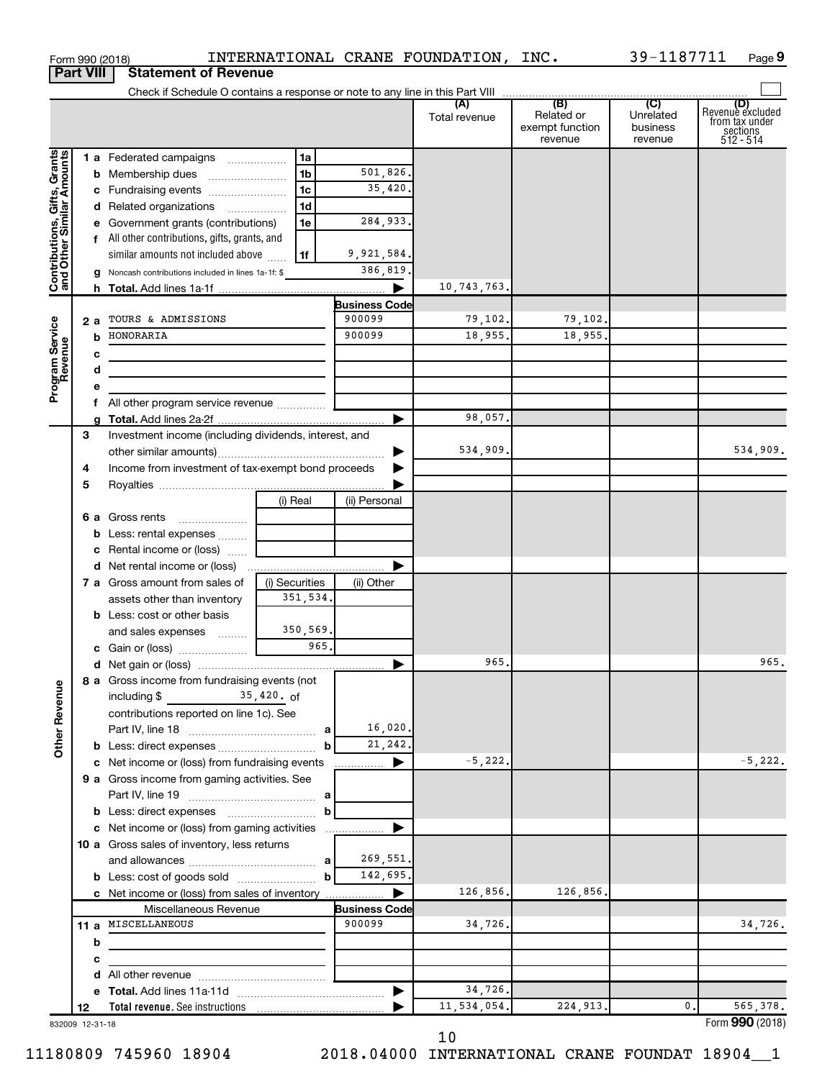|                                                           |                  | Form 990 (2018)                                                            |                |                      | INTERNATIONAL CRANE FOUNDATION, INC. |                                                 | 39-1187711                              | Page 9                                                             |
|-----------------------------------------------------------|------------------|----------------------------------------------------------------------------|----------------|----------------------|--------------------------------------|-------------------------------------------------|-----------------------------------------|--------------------------------------------------------------------|
|                                                           | <b>Part VIII</b> | <b>Statement of Revenue</b>                                                |                |                      |                                      |                                                 |                                         |                                                                    |
|                                                           |                  |                                                                            |                |                      |                                      |                                                 |                                         |                                                                    |
|                                                           |                  |                                                                            |                |                      | (A)<br>Total revenue                 | (B)<br>Related or<br>exempt function<br>revenue | (C)<br>Unrelated<br>business<br>revenue | (D)<br>Revenue excluded<br>from tax under<br>sections<br>512 - 514 |
|                                                           |                  | 1 a Federated campaigns                                                    | 1a             |                      |                                      |                                                 |                                         |                                                                    |
| Contributions, Gifts, Grants<br>and Other Similar Amounts |                  | <b>b</b> Membership dues                                                   | 1 <sub>b</sub> | 501,826.             |                                      |                                                 |                                         |                                                                    |
|                                                           |                  | c Fundraising events                                                       | 1 <sub>c</sub> | 35,420.              |                                      |                                                 |                                         |                                                                    |
|                                                           |                  | d Related organizations                                                    | 1 <sub>d</sub> |                      |                                      |                                                 |                                         |                                                                    |
|                                                           |                  | e Government grants (contributions)                                        | 1e             | 284,933.             |                                      |                                                 |                                         |                                                                    |
|                                                           |                  | f All other contributions, gifts, grants, and                              |                |                      |                                      |                                                 |                                         |                                                                    |
|                                                           |                  | similar amounts not included above                                         | 1f             | 9,921,584.           |                                      |                                                 |                                         |                                                                    |
|                                                           |                  | g Noncash contributions included in lines 1a-1f: \$                        |                | 386,819.             |                                      |                                                 |                                         |                                                                    |
|                                                           |                  |                                                                            |                | <b>Business Code</b> | 10,743,763.                          |                                                 |                                         |                                                                    |
|                                                           |                  | 2 a TOURS & ADMISSIONS                                                     |                | 900099               | 79,102.                              | 79,102.                                         |                                         |                                                                    |
|                                                           |                  | <b>b</b> HONORARIA                                                         |                | 900099               | 18,955.                              | 18,955.                                         |                                         |                                                                    |
|                                                           | с                |                                                                            |                |                      |                                      |                                                 |                                         |                                                                    |
|                                                           | d                | the control of the control of the control of the control of the control of |                |                      |                                      |                                                 |                                         |                                                                    |
| Program Service<br>Revenue                                | е                |                                                                            |                |                      |                                      |                                                 |                                         |                                                                    |
|                                                           | f.               | All other program service revenue                                          |                |                      |                                      |                                                 |                                         |                                                                    |
|                                                           |                  |                                                                            |                |                      | 98,057.                              |                                                 |                                         |                                                                    |
|                                                           | 3                | Investment income (including dividends, interest, and                      |                |                      |                                      |                                                 |                                         |                                                                    |
|                                                           |                  |                                                                            |                | ▶                    | 534,909.                             |                                                 |                                         | 534,909.                                                           |
|                                                           | 4                | Income from investment of tax-exempt bond proceeds                         |                | ▶                    |                                      |                                                 |                                         |                                                                    |
|                                                           | 5                |                                                                            |                |                      |                                      |                                                 |                                         |                                                                    |
|                                                           |                  |                                                                            | (i) Real       | (ii) Personal        |                                      |                                                 |                                         |                                                                    |
|                                                           |                  | 6 a Gross rents<br><b>b</b> Less: rental expenses                          |                |                      |                                      |                                                 |                                         |                                                                    |
|                                                           |                  | c Rental income or (loss)                                                  |                |                      |                                      |                                                 |                                         |                                                                    |
|                                                           |                  | d Net rental income or (loss)                                              |                |                      |                                      |                                                 |                                         |                                                                    |
|                                                           |                  | 7 a Gross amount from sales of                                             | (i) Securities | (ii) Other           |                                      |                                                 |                                         |                                                                    |
|                                                           |                  | assets other than inventory                                                | 351,534.       |                      |                                      |                                                 |                                         |                                                                    |
|                                                           |                  | <b>b</b> Less: cost or other basis                                         |                |                      |                                      |                                                 |                                         |                                                                    |
|                                                           |                  | and sales expenses                                                         | 350,569.       |                      |                                      |                                                 |                                         |                                                                    |
|                                                           |                  | c Gain or (loss)                                                           | 965.           |                      |                                      |                                                 |                                         |                                                                    |
|                                                           |                  |                                                                            |                |                      | 965.                                 |                                                 |                                         | 965.                                                               |
|                                                           |                  | 8 a Gross income from fundraising events (not                              |                |                      |                                      |                                                 |                                         |                                                                    |
|                                                           |                  | including $\frac{2}{3}$ $\frac{35}{420}$ of                                |                |                      |                                      |                                                 |                                         |                                                                    |
| <b>Other Revenue</b>                                      |                  | contributions reported on line 1c). See                                    |                |                      |                                      |                                                 |                                         |                                                                    |
|                                                           |                  |                                                                            | a              | 16,020.              |                                      |                                                 |                                         |                                                                    |
|                                                           |                  | c Net income or (loss) from fundraising events                             | b              | 21,242.<br>▶         | $-5, 222.$                           |                                                 |                                         | $-5,222.$                                                          |
|                                                           |                  | 9 a Gross income from gaming activities. See                               |                | .                    |                                      |                                                 |                                         |                                                                    |
|                                                           |                  |                                                                            | a              |                      |                                      |                                                 |                                         |                                                                    |
|                                                           |                  |                                                                            | b              |                      |                                      |                                                 |                                         |                                                                    |
|                                                           |                  | c Net income or (loss) from gaming activities                              |                |                      |                                      |                                                 |                                         |                                                                    |
|                                                           |                  | 10 a Gross sales of inventory, less returns                                |                |                      |                                      |                                                 |                                         |                                                                    |
|                                                           |                  |                                                                            | a              | 269,551.             |                                      |                                                 |                                         |                                                                    |
|                                                           |                  | <b>b</b> Less: cost of goods sold                                          | b              | 142,695.             |                                      |                                                 |                                         |                                                                    |
|                                                           |                  | c Net income or (loss) from sales of inventory                             |                |                      | 126,856.                             | 126,856.                                        |                                         |                                                                    |
|                                                           |                  | Miscellaneous Revenue                                                      |                | <b>Business Code</b> |                                      |                                                 |                                         |                                                                    |
|                                                           |                  | 11 a MISCELLANEOUS                                                         |                | 900099               | 34,726.                              |                                                 |                                         | 34,726.                                                            |
|                                                           | b                |                                                                            |                |                      |                                      |                                                 |                                         |                                                                    |
|                                                           | c                |                                                                            |                |                      |                                      |                                                 |                                         |                                                                    |
|                                                           | d                |                                                                            |                | ▶                    | 34,726.                              |                                                 |                                         |                                                                    |
|                                                           | 12               |                                                                            |                |                      | 11,534,054.                          | 224,913.                                        | 0.                                      | 565,378.                                                           |
|                                                           | 832009 12-31-18  |                                                                            |                |                      |                                      |                                                 |                                         | Form 990 (2018)                                                    |

832009 12-31-18

10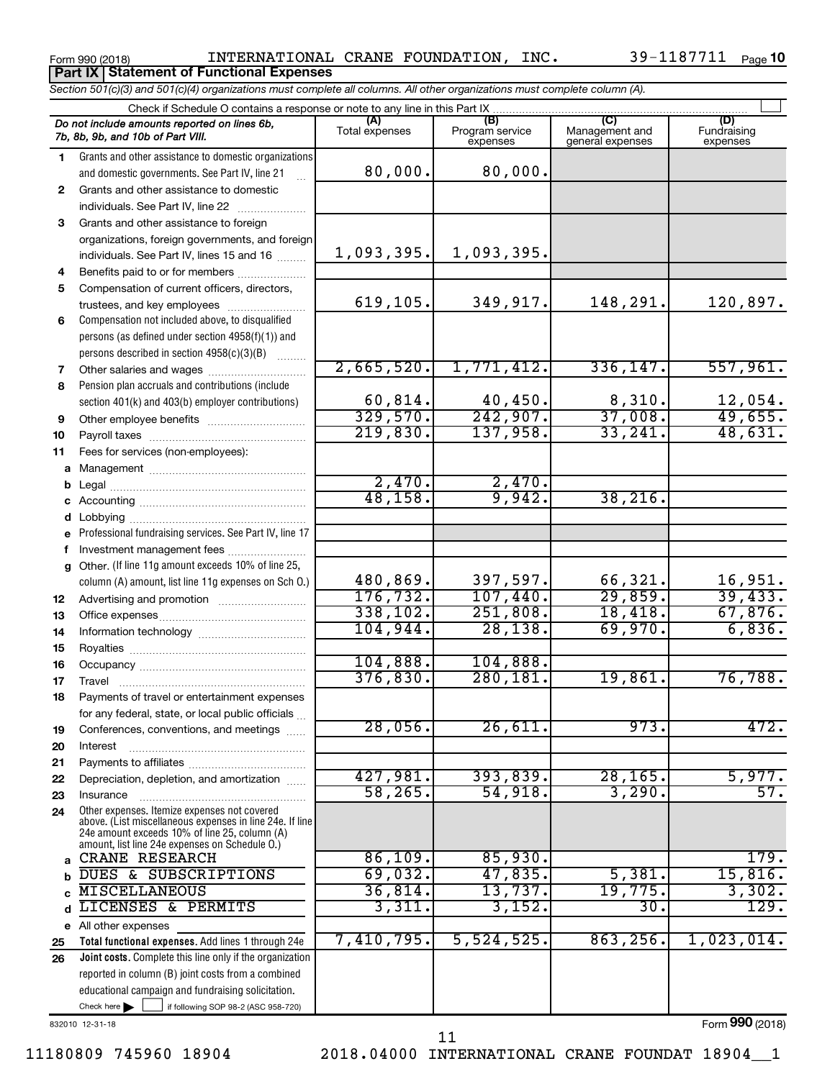**Part IX Statement of Functional Expenses**

Form 990 (2018)  $N$  INTERNATIONAL CRANE FOUNDATION, INC.  $39-1187711$   $_{\text{Page}}$ 

|    | Section 501(c)(3) and 501(c)(4) organizations must complete all columns. All other organizations must complete column (A).                                                                                  |                       |                                    |                                           |                                |
|----|-------------------------------------------------------------------------------------------------------------------------------------------------------------------------------------------------------------|-----------------------|------------------------------------|-------------------------------------------|--------------------------------|
|    | Check if Schedule O contains a response or note to any line in this Part IX                                                                                                                                 |                       |                                    |                                           |                                |
|    | Do not include amounts reported on lines 6b,<br>7b, 8b, 9b, and 10b of Part VIII.                                                                                                                           | (A)<br>Total expenses | (B)<br>Program service<br>expenses | (C)<br>Management and<br>general expenses | (D)<br>Fundraising<br>expenses |
| 1. | Grants and other assistance to domestic organizations                                                                                                                                                       |                       |                                    |                                           |                                |
|    | and domestic governments. See Part IV, line 21                                                                                                                                                              | 80,000.               | 80,000.                            |                                           |                                |
| 2  | Grants and other assistance to domestic                                                                                                                                                                     |                       |                                    |                                           |                                |
|    | individuals. See Part IV, line 22                                                                                                                                                                           |                       |                                    |                                           |                                |
| 3  | Grants and other assistance to foreign                                                                                                                                                                      |                       |                                    |                                           |                                |
|    | organizations, foreign governments, and foreign                                                                                                                                                             |                       |                                    |                                           |                                |
|    | individuals. See Part IV, lines 15 and 16                                                                                                                                                                   | 1,093,395.            | 1,093,395.                         |                                           |                                |
| 4  | Benefits paid to or for members                                                                                                                                                                             |                       |                                    |                                           |                                |
| 5  | Compensation of current officers, directors,                                                                                                                                                                |                       |                                    |                                           |                                |
|    | trustees, and key employees                                                                                                                                                                                 | 619, 105.             | 349,917.                           | 148,291.                                  | 120,897.                       |
| 6  | Compensation not included above, to disqualified                                                                                                                                                            |                       |                                    |                                           |                                |
|    | persons (as defined under section 4958(f)(1)) and                                                                                                                                                           |                       |                                    |                                           |                                |
|    | persons described in section 4958(c)(3)(B)                                                                                                                                                                  | 2,665,520.            | 1,771,412.                         | 336, 147.                                 | 557,961.                       |
| 7  | Other salaries and wages                                                                                                                                                                                    |                       |                                    |                                           |                                |
| 8  | Pension plan accruals and contributions (include                                                                                                                                                            | 60, 814.              | 40,450.                            | 8,310.                                    | 12,054.                        |
|    | section 401(k) and 403(b) employer contributions)                                                                                                                                                           | 329,570.              | $\overline{242,907}$ .             | 37,008.                                   | 49,655.                        |
| 9  |                                                                                                                                                                                                             | 219,830.              | 137,958.                           | 33,241.                                   | 48,631.                        |
| 10 |                                                                                                                                                                                                             |                       |                                    |                                           |                                |
| 11 | Fees for services (non-employees):                                                                                                                                                                          |                       |                                    |                                           |                                |
|    |                                                                                                                                                                                                             | 2,470.                | 2,470.                             |                                           |                                |
| b  |                                                                                                                                                                                                             | 48, 158.              | 9,942.                             | 38, 216.                                  |                                |
| d  |                                                                                                                                                                                                             |                       |                                    |                                           |                                |
|    | e Professional fundraising services. See Part IV, line 17                                                                                                                                                   |                       |                                    |                                           |                                |
| f  | Investment management fees                                                                                                                                                                                  |                       |                                    |                                           |                                |
|    | g Other. (If line 11g amount exceeds 10% of line 25,                                                                                                                                                        |                       |                                    |                                           |                                |
|    | column (A) amount, list line 11g expenses on Sch O.)                                                                                                                                                        | 480,869.              | 397,597.                           | 66,321.                                   | 16,951.                        |
| 12 |                                                                                                                                                                                                             | 176, 732.             | 107,440.                           | 29,859.                                   | 39,433.                        |
| 13 |                                                                                                                                                                                                             | 338, 102.             | 251,808.                           | 18,418.                                   | 67,876.                        |
| 14 |                                                                                                                                                                                                             | 104,944.              | 28, 138.                           | 69,970.                                   | 6,836.                         |
| 15 |                                                                                                                                                                                                             |                       |                                    |                                           |                                |
| 16 |                                                                                                                                                                                                             | 104,888.              | 104,888.                           |                                           |                                |
| 17 |                                                                                                                                                                                                             | 376,830.              | 280, 181.                          | 19,861.                                   | 76,788.                        |
| 18 | Payments of travel or entertainment expenses                                                                                                                                                                |                       |                                    |                                           |                                |
|    | for any federal, state, or local public officials                                                                                                                                                           |                       |                                    |                                           |                                |
| 19 | Conferences, conventions, and meetings                                                                                                                                                                      | 28,056.               | 26,611.                            | 973.                                      | 472.                           |
| 20 | Interest                                                                                                                                                                                                    |                       |                                    |                                           |                                |
| 21 |                                                                                                                                                                                                             |                       |                                    |                                           |                                |
| 22 | Depreciation, depletion, and amortization                                                                                                                                                                   | 427,981.              | 393,839.                           | 28, 165.                                  | 5,977.                         |
| 23 | Insurance                                                                                                                                                                                                   | 58, 265.              | 54,918.                            | 3,290.                                    | 57.                            |
| 24 | Other expenses. Itemize expenses not covered<br>above. (List miscellaneous expenses in line 24e. If line<br>24e amount exceeds 10% of line 25, column (A)<br>amount, list line 24e expenses on Schedule O.) |                       |                                    |                                           |                                |
|    | CRANE RESEARCH                                                                                                                                                                                              | 86,109.               | 85,930.                            |                                           | 179.                           |
| b  | DUES & SUBSCRIPTIONS                                                                                                                                                                                        | 69,032.               | 47,835.                            | 5,381.                                    | 15,816.                        |
| c  | <b>MISCELLANEOUS</b>                                                                                                                                                                                        | 36,814.               | 13,737.                            | 19,775.                                   | 3,302.                         |
| d  | LICENSES & PERMITS                                                                                                                                                                                          | 3,311.                | 3,152.                             | 30.                                       | 129.                           |
|    | e All other expenses                                                                                                                                                                                        |                       |                                    |                                           |                                |
| 25 | Total functional expenses. Add lines 1 through 24e                                                                                                                                                          | 7,410,795.            | 5,524,525.                         | 863, 256.                                 | 1,023,014.                     |
| 26 | Joint costs. Complete this line only if the organization                                                                                                                                                    |                       |                                    |                                           |                                |
|    | reported in column (B) joint costs from a combined                                                                                                                                                          |                       |                                    |                                           |                                |
|    | educational campaign and fundraising solicitation.                                                                                                                                                          |                       |                                    |                                           |                                |

832010 12-31-18

11180809 745960 18904 2018.04000 INTERNATIONAL CRANE FOUNDAT 18904\_\_1

Check here  $\blacktriangleright$ 

Check here  $\begin{array}{c} \begin{array}{|c} \hline \end{array} \end{array}$  if following SOP 98-2 (ASC 958-720)

11

Form (2018) **990**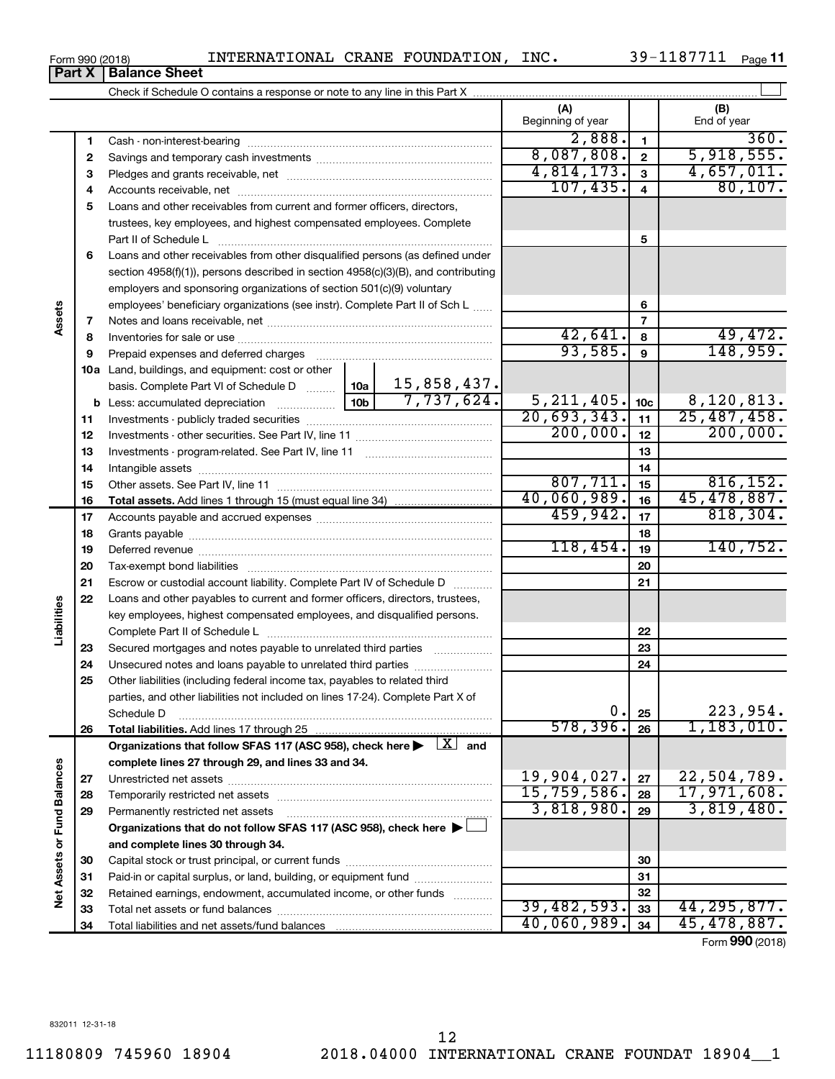| INTERNATIONAL CRANE FOUNDATION, ING |  |  |
|-------------------------------------|--|--|

Cash - non-interest-bearing ~~~~~~~~~~~~~~~~~~~~~~~~~

**11**  $-1187711$ 

| 018)<br>INIERNAIIONAL CRANE FOUNDAIION,                                    | INC.              | <b>JY-IIO//II</b><br>Pa |
|----------------------------------------------------------------------------|-------------------|-------------------------|
| <b>Balance Sheet</b>                                                       |                   |                         |
| Check if Schedule O contains a response or note to any line in this Part X |                   |                         |
|                                                                            | Beginning of year | End of year             |

| ) of year | (B)<br>End of year |
|-----------|--------------------|
| 2,888.    | 360                |

 $\perp$ 

|                             | 2  |                                                                                                                         |  |             | 8,087,808.   | $\mathbf 2$             | 5,918,555.      |
|-----------------------------|----|-------------------------------------------------------------------------------------------------------------------------|--|-------------|--------------|-------------------------|-----------------|
|                             | 3  |                                                                                                                         |  |             | 4,814,173.   | $\overline{3}$          | 4,657,011.      |
|                             | 4  |                                                                                                                         |  |             | 107,435.     | $\overline{\mathbf{4}}$ | 80, 107.        |
|                             | 5  | Loans and other receivables from current and former officers, directors,                                                |  |             |              |                         |                 |
|                             |    | trustees, key employees, and highest compensated employees. Complete                                                    |  |             |              |                         |                 |
|                             |    | Part II of Schedule L                                                                                                   |  | 5           |              |                         |                 |
|                             | 6  | Loans and other receivables from other disqualified persons (as defined under                                           |  |             |              |                         |                 |
|                             |    | section 4958(f)(1)), persons described in section 4958(c)(3)(B), and contributing                                       |  |             |              |                         |                 |
|                             |    | employers and sponsoring organizations of section 501(c)(9) voluntary                                                   |  |             |              |                         |                 |
|                             |    | employees' beneficiary organizations (see instr). Complete Part II of Sch L                                             |  |             | 6            |                         |                 |
| Assets                      | 7  |                                                                                                                         |  |             |              | $\overline{7}$          |                 |
|                             | 8  |                                                                                                                         |  |             | 42,641.      | 8                       | 49,472.         |
|                             | 9  | Prepaid expenses and deferred charges                                                                                   |  |             | 93,585.      | $\mathbf{9}$            | 148,959.        |
|                             |    | 10a Land, buildings, and equipment: cost or other                                                                       |  |             |              |                         |                 |
|                             |    | basis. Complete Part VI of Schedule D  10a                                                                              |  | 15,858,437. |              |                         |                 |
|                             |    |                                                                                                                         |  |             | 5, 211, 405. | 10 <sub>c</sub>         | 8,120,813.      |
|                             | 11 |                                                                                                                         |  |             | 20,693,343.  | 11                      | 25,487,458.     |
|                             | 12 |                                                                                                                         |  |             | 200,000.     | 12                      | 200,000.        |
|                             | 13 |                                                                                                                         |  |             |              | 13                      |                 |
|                             | 14 |                                                                                                                         |  |             |              | 14                      |                 |
|                             | 15 |                                                                                                                         |  |             | 807,711.     | 15                      | 816, 152.       |
|                             | 16 |                                                                                                                         |  |             | 40,060,989.  | 16                      | 45, 478, 887.   |
|                             | 17 |                                                                                                                         |  |             | 459,942.     | 17                      | 818, 304.       |
|                             | 18 |                                                                                                                         |  |             |              | 18                      |                 |
|                             | 19 |                                                                                                                         |  | 118,454.    | 19           | 140, 752.               |                 |
|                             | 20 |                                                                                                                         |  |             | 20           |                         |                 |
|                             | 21 | Escrow or custodial account liability. Complete Part IV of Schedule D                                                   |  | 21          |              |                         |                 |
|                             | 22 | Loans and other payables to current and former officers, directors, trustees,                                           |  |             |              |                         |                 |
| Liabilities                 |    | key employees, highest compensated employees, and disqualified persons.                                                 |  |             |              |                         |                 |
|                             |    |                                                                                                                         |  |             |              | 22                      |                 |
|                             | 23 | Secured mortgages and notes payable to unrelated third parties                                                          |  | 23          |              |                         |                 |
|                             | 24 |                                                                                                                         |  |             |              | 24                      |                 |
|                             | 25 | Other liabilities (including federal income tax, payables to related third                                              |  |             |              |                         |                 |
|                             |    | parties, and other liabilities not included on lines 17-24). Complete Part X of                                         |  |             |              |                         |                 |
|                             |    | Schedule D                                                                                                              |  |             | 0.           | 25                      | 223,954.        |
|                             | 26 | Total liabilities. Add lines 17 through 25                                                                              |  |             | 578, 396.    | 26                      | 1, 183, 010.    |
|                             |    | Organizations that follow SFAS 117 (ASC 958), check here $\blacktriangleright \begin{array}{c} \perp X \end{array}$ and |  |             |              |                         |                 |
|                             |    | complete lines 27 through 29, and lines 33 and 34.                                                                      |  |             |              |                         |                 |
|                             | 27 |                                                                                                                         |  |             | 19,904,027.  | 27                      | 22,504,789.     |
|                             | 28 | Temporarily restricted net assets                                                                                       |  | 15,759,586. | 28           | 17,971,608.             |                 |
|                             | 29 | Permanently restricted net assets                                                                                       |  | 3,818,980.  | 29           | 3,819,480.              |                 |
|                             |    | Organizations that do not follow SFAS 117 (ASC 958), check here $\blacktriangleright$                                   |  |             |              |                         |                 |
|                             |    | and complete lines 30 through 34.                                                                                       |  |             |              |                         |                 |
|                             | 30 |                                                                                                                         |  |             |              | 30                      |                 |
|                             | 31 | Paid-in or capital surplus, or land, building, or equipment fund                                                        |  |             |              | 31                      |                 |
| Net Assets or Fund Balances | 32 | Retained earnings, endowment, accumulated income, or other funds                                                        |  |             |              | 32                      |                 |
|                             | 33 |                                                                                                                         |  |             | 39,482,593.  | 33                      | 44, 295, 877.   |
|                             | 34 | Total liabilities and net assets/fund balances                                                                          |  |             | 40,060,989.  | 34                      | 45,478,887.     |
|                             |    |                                                                                                                         |  |             |              |                         | Form 990 (2018) |

Form 990 (2018)<br>**Part X | Ba** 

**Part X** 

**1**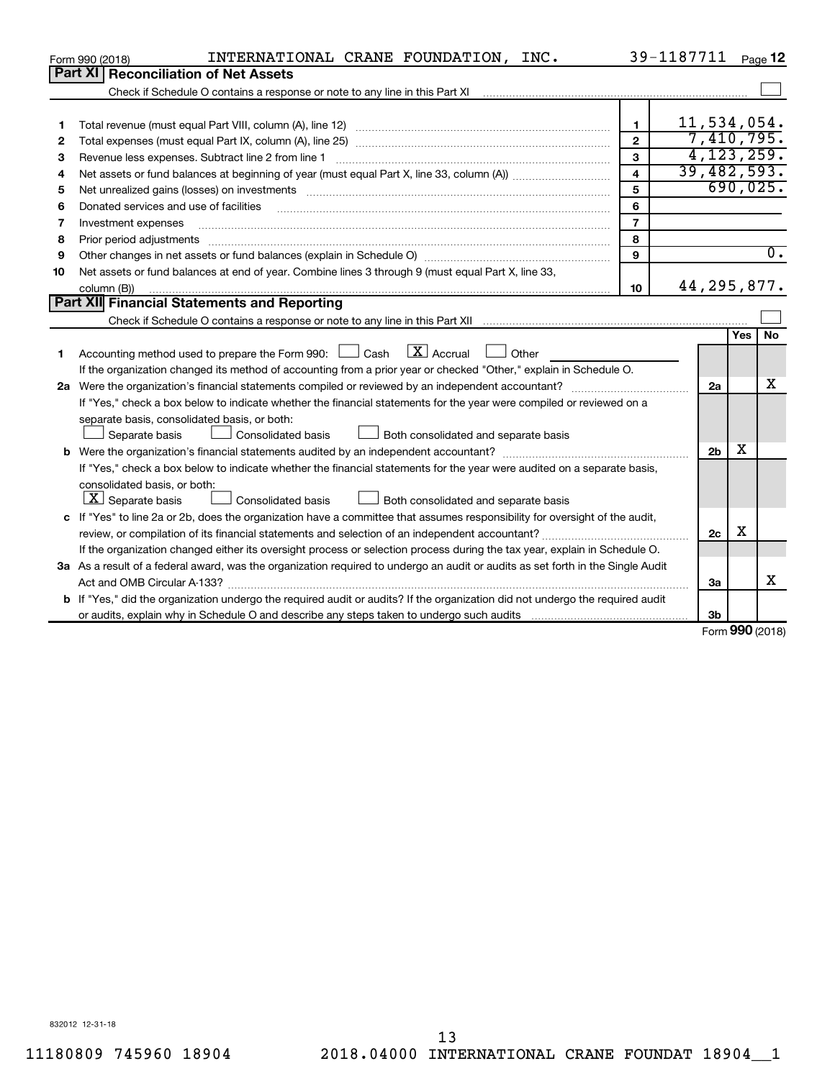|              | INTERNATIONAL CRANE FOUNDATION, INC.<br>Form 990 (2018)                                                                         |                         | 39-1187711     |            | Page 12          |  |  |
|--------------|---------------------------------------------------------------------------------------------------------------------------------|-------------------------|----------------|------------|------------------|--|--|
|              | Part XI   Reconciliation of Net Assets                                                                                          |                         |                |            |                  |  |  |
|              |                                                                                                                                 |                         |                |            |                  |  |  |
|              |                                                                                                                                 |                         |                |            |                  |  |  |
| 1            |                                                                                                                                 | $\blacksquare$          | 11,534,054.    |            |                  |  |  |
| $\mathbf{2}$ | 7,410,795.<br>$\overline{2}$                                                                                                    |                         |                |            |                  |  |  |
| 3            | Revenue less expenses. Subtract line 2 from line 1                                                                              | 3                       |                |            | 4, 123, 259.     |  |  |
| 4            |                                                                                                                                 | $\overline{\mathbf{4}}$ | 39,482,593.    |            |                  |  |  |
| 5            |                                                                                                                                 | 5                       |                |            | 690,025.         |  |  |
| 6            | Donated services and use of facilities                                                                                          | 6                       |                |            |                  |  |  |
| 7            | Investment expenses                                                                                                             | $\overline{7}$          |                |            |                  |  |  |
| 8            | Prior period adjustments                                                                                                        | 8                       |                |            |                  |  |  |
| 9            |                                                                                                                                 | 9                       |                |            | $\overline{0}$ . |  |  |
| 10           | Net assets or fund balances at end of year. Combine lines 3 through 9 (must equal Part X, line 33,                              |                         |                |            |                  |  |  |
|              | column (B))                                                                                                                     | 10 <sup>10</sup>        | 44, 295, 877.  |            |                  |  |  |
|              | Part XII Financial Statements and Reporting                                                                                     |                         |                |            |                  |  |  |
|              |                                                                                                                                 |                         |                |            |                  |  |  |
|              |                                                                                                                                 |                         |                | <b>Yes</b> | <b>No</b>        |  |  |
| 1            | Accounting method used to prepare the Form 990: $\Box$ Cash $\Box$ Accrual<br><b>Durier</b>                                     |                         |                |            |                  |  |  |
|              | If the organization changed its method of accounting from a prior year or checked "Other," explain in Schedule O.               |                         |                |            |                  |  |  |
|              |                                                                                                                                 |                         | 2a             |            | х                |  |  |
|              | If "Yes," check a box below to indicate whether the financial statements for the year were compiled or reviewed on a            |                         |                |            |                  |  |  |
|              | separate basis, consolidated basis, or both:                                                                                    |                         |                |            |                  |  |  |
|              | Both consolidated and separate basis<br>Separate basis<br>Consolidated basis                                                    |                         |                |            |                  |  |  |
|              |                                                                                                                                 |                         | 2 <sub>b</sub> | х          |                  |  |  |
|              | If "Yes," check a box below to indicate whether the financial statements for the year were audited on a separate basis,         |                         |                |            |                  |  |  |
|              | consolidated basis, or both:                                                                                                    |                         |                |            |                  |  |  |
|              | $ \mathbf{X} $ Separate basis<br><b>Consolidated basis</b><br>$\perp$ Both consolidated and separate basis                      |                         |                |            |                  |  |  |
|              | c If "Yes" to line 2a or 2b, does the organization have a committee that assumes responsibility for oversight of the audit,     |                         |                |            |                  |  |  |
|              |                                                                                                                                 |                         | 2c             | X          |                  |  |  |
|              | If the organization changed either its oversight process or selection process during the tax year, explain in Schedule O.       |                         |                |            |                  |  |  |
|              | 3a As a result of a federal award, was the organization required to undergo an audit or audits as set forth in the Single Audit |                         |                |            |                  |  |  |
|              |                                                                                                                                 |                         | За             |            | x                |  |  |
|              | b If "Yes," did the organization undergo the required audit or audits? If the organization did not undergo the required audit   |                         |                |            |                  |  |  |
|              |                                                                                                                                 |                         | 3 <sub>b</sub> |            |                  |  |  |

Form (2018) **990**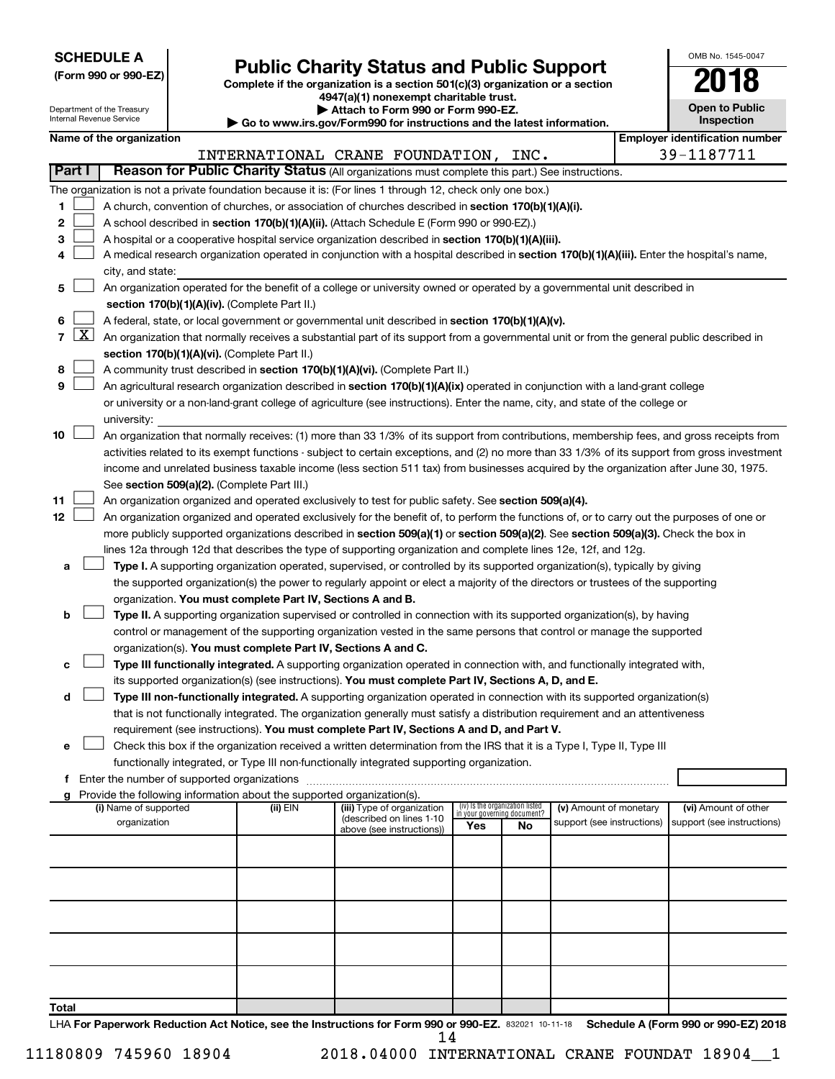| <b>SCHEDULE A</b> |  |
|-------------------|--|
|-------------------|--|

| (Form 990 or 990-EZ) |  |
|----------------------|--|
|----------------------|--|

**(Form 990 or 990-EZ) Complete if the organization is a section 501(c)(3) organization or a section Public Charity Status and Public Support**<br> **Addition is a section 501(c)(3) organization or a section**<br>  $4947(a)(1)$  nonexempt charitable trust.

| OMB No 1545-0047                    |
|-------------------------------------|
| U                                   |
| <b>Open to Public</b><br>Inspection |

 $\mathbf{I}$ 

| Department of the Treasury<br>Internal Revenue Service |                                                                                                                                                                |                       |  |                                                                        | Attach to Form 990 or Form 990-EZ.<br>Go to www.irs.gov/Form990 for instructions and the latest information.                                                                                                                                                                     |                                                                |    |                            |  | <b>Open to Public</b><br>Inspection   |
|--------------------------------------------------------|----------------------------------------------------------------------------------------------------------------------------------------------------------------|-----------------------|--|------------------------------------------------------------------------|----------------------------------------------------------------------------------------------------------------------------------------------------------------------------------------------------------------------------------------------------------------------------------|----------------------------------------------------------------|----|----------------------------|--|---------------------------------------|
| Name of the organization                               |                                                                                                                                                                |                       |  |                                                                        |                                                                                                                                                                                                                                                                                  |                                                                |    |                            |  | <b>Employer identification number</b> |
|                                                        |                                                                                                                                                                |                       |  |                                                                        | INTERNATIONAL CRANE FOUNDATION, INC.                                                                                                                                                                                                                                             |                                                                |    |                            |  | 39-1187711                            |
| <b>Part I</b>                                          |                                                                                                                                                                |                       |  |                                                                        | Reason for Public Charity Status (All organizations must complete this part.) See instructions.                                                                                                                                                                                  |                                                                |    |                            |  |                                       |
|                                                        |                                                                                                                                                                |                       |  |                                                                        | The organization is not a private foundation because it is: (For lines 1 through 12, check only one box.)                                                                                                                                                                        |                                                                |    |                            |  |                                       |
| 1.                                                     |                                                                                                                                                                |                       |  |                                                                        | A church, convention of churches, or association of churches described in section 170(b)(1)(A)(i).                                                                                                                                                                               |                                                                |    |                            |  |                                       |
| 2                                                      |                                                                                                                                                                |                       |  |                                                                        | A school described in section 170(b)(1)(A)(ii). (Attach Schedule E (Form 990 or 990-EZ).)                                                                                                                                                                                        |                                                                |    |                            |  |                                       |
| 3                                                      |                                                                                                                                                                |                       |  |                                                                        | A hospital or a cooperative hospital service organization described in section 170(b)(1)(A)(iii).                                                                                                                                                                                |                                                                |    |                            |  |                                       |
| 4                                                      | A medical research organization operated in conjunction with a hospital described in section 170(b)(1)(A)(iii). Enter the hospital's name,<br>city, and state: |                       |  |                                                                        |                                                                                                                                                                                                                                                                                  |                                                                |    |                            |  |                                       |
| 5                                                      |                                                                                                                                                                |                       |  |                                                                        | An organization operated for the benefit of a college or university owned or operated by a governmental unit described in                                                                                                                                                        |                                                                |    |                            |  |                                       |
|                                                        |                                                                                                                                                                |                       |  | section 170(b)(1)(A)(iv). (Complete Part II.)                          |                                                                                                                                                                                                                                                                                  |                                                                |    |                            |  |                                       |
| 6                                                      |                                                                                                                                                                |                       |  |                                                                        | A federal, state, or local government or governmental unit described in section 170(b)(1)(A)(v).                                                                                                                                                                                 |                                                                |    |                            |  |                                       |
| 7                                                      | $\lfloor x \rfloor$                                                                                                                                            |                       |  |                                                                        | An organization that normally receives a substantial part of its support from a governmental unit or from the general public described in                                                                                                                                        |                                                                |    |                            |  |                                       |
|                                                        |                                                                                                                                                                |                       |  | section 170(b)(1)(A)(vi). (Complete Part II.)                          |                                                                                                                                                                                                                                                                                  |                                                                |    |                            |  |                                       |
| 8                                                      |                                                                                                                                                                |                       |  |                                                                        | A community trust described in section 170(b)(1)(A)(vi). (Complete Part II.)                                                                                                                                                                                                     |                                                                |    |                            |  |                                       |
| 9                                                      |                                                                                                                                                                |                       |  |                                                                        | An agricultural research organization described in section 170(b)(1)(A)(ix) operated in conjunction with a land-grant college                                                                                                                                                    |                                                                |    |                            |  |                                       |
|                                                        |                                                                                                                                                                |                       |  |                                                                        | or university or a non-land-grant college of agriculture (see instructions). Enter the name, city, and state of the college or                                                                                                                                                   |                                                                |    |                            |  |                                       |
|                                                        |                                                                                                                                                                | university:           |  |                                                                        |                                                                                                                                                                                                                                                                                  |                                                                |    |                            |  |                                       |
| 10                                                     |                                                                                                                                                                |                       |  |                                                                        | An organization that normally receives: (1) more than 33 1/3% of its support from contributions, membership fees, and gross receipts from                                                                                                                                        |                                                                |    |                            |  |                                       |
|                                                        |                                                                                                                                                                |                       |  |                                                                        | activities related to its exempt functions - subject to certain exceptions, and (2) no more than 33 1/3% of its support from gross investment                                                                                                                                    |                                                                |    |                            |  |                                       |
|                                                        |                                                                                                                                                                |                       |  |                                                                        | income and unrelated business taxable income (less section 511 tax) from businesses acquired by the organization after June 30, 1975.                                                                                                                                            |                                                                |    |                            |  |                                       |
|                                                        |                                                                                                                                                                |                       |  | See section 509(a)(2). (Complete Part III.)                            |                                                                                                                                                                                                                                                                                  |                                                                |    |                            |  |                                       |
| 11                                                     |                                                                                                                                                                |                       |  |                                                                        | An organization organized and operated exclusively to test for public safety. See section 509(a)(4).                                                                                                                                                                             |                                                                |    |                            |  |                                       |
| 12                                                     |                                                                                                                                                                |                       |  |                                                                        | An organization organized and operated exclusively for the benefit of, to perform the functions of, or to carry out the purposes of one or<br>more publicly supported organizations described in section 509(a)(1) or section 509(a)(2). See section 509(a)(3). Check the box in |                                                                |    |                            |  |                                       |
|                                                        |                                                                                                                                                                |                       |  |                                                                        | lines 12a through 12d that describes the type of supporting organization and complete lines 12e, 12f, and 12g.                                                                                                                                                                   |                                                                |    |                            |  |                                       |
| а                                                      |                                                                                                                                                                |                       |  |                                                                        | Type I. A supporting organization operated, supervised, or controlled by its supported organization(s), typically by giving                                                                                                                                                      |                                                                |    |                            |  |                                       |
|                                                        |                                                                                                                                                                |                       |  |                                                                        | the supported organization(s) the power to regularly appoint or elect a majority of the directors or trustees of the supporting                                                                                                                                                  |                                                                |    |                            |  |                                       |
|                                                        |                                                                                                                                                                |                       |  | organization. You must complete Part IV, Sections A and B.             |                                                                                                                                                                                                                                                                                  |                                                                |    |                            |  |                                       |
| b                                                      |                                                                                                                                                                |                       |  |                                                                        | Type II. A supporting organization supervised or controlled in connection with its supported organization(s), by having                                                                                                                                                          |                                                                |    |                            |  |                                       |
|                                                        |                                                                                                                                                                |                       |  |                                                                        | control or management of the supporting organization vested in the same persons that control or manage the supported                                                                                                                                                             |                                                                |    |                            |  |                                       |
|                                                        |                                                                                                                                                                |                       |  | organization(s). You must complete Part IV, Sections A and C.          |                                                                                                                                                                                                                                                                                  |                                                                |    |                            |  |                                       |
| с                                                      |                                                                                                                                                                |                       |  |                                                                        | Type III functionally integrated. A supporting organization operated in connection with, and functionally integrated with,                                                                                                                                                       |                                                                |    |                            |  |                                       |
|                                                        |                                                                                                                                                                |                       |  |                                                                        | its supported organization(s) (see instructions). You must complete Part IV, Sections A, D, and E.                                                                                                                                                                               |                                                                |    |                            |  |                                       |
| d                                                      |                                                                                                                                                                |                       |  |                                                                        | Type III non-functionally integrated. A supporting organization operated in connection with its supported organization(s)                                                                                                                                                        |                                                                |    |                            |  |                                       |
|                                                        |                                                                                                                                                                |                       |  |                                                                        | that is not functionally integrated. The organization generally must satisfy a distribution requirement and an attentiveness                                                                                                                                                     |                                                                |    |                            |  |                                       |
|                                                        |                                                                                                                                                                |                       |  |                                                                        | requirement (see instructions). You must complete Part IV, Sections A and D, and Part V.                                                                                                                                                                                         |                                                                |    |                            |  |                                       |
| е                                                      |                                                                                                                                                                |                       |  |                                                                        | Check this box if the organization received a written determination from the IRS that it is a Type I, Type II, Type III                                                                                                                                                          |                                                                |    |                            |  |                                       |
|                                                        |                                                                                                                                                                |                       |  |                                                                        | functionally integrated, or Type III non-functionally integrated supporting organization.                                                                                                                                                                                        |                                                                |    |                            |  |                                       |
| f.                                                     |                                                                                                                                                                |                       |  | Provide the following information about the supported organization(s). |                                                                                                                                                                                                                                                                                  |                                                                |    |                            |  |                                       |
|                                                        |                                                                                                                                                                | (i) Name of supported |  | (ii) EIN                                                               | (iii) Type of organization                                                                                                                                                                                                                                                       | (iv) Is the organization listed<br>in your governing document? |    | (v) Amount of monetary     |  | (vi) Amount of other                  |
|                                                        |                                                                                                                                                                | organization          |  |                                                                        | (described on lines 1-10<br>above (see instructions))                                                                                                                                                                                                                            | Yes                                                            | No | support (see instructions) |  | support (see instructions)            |
|                                                        |                                                                                                                                                                |                       |  |                                                                        |                                                                                                                                                                                                                                                                                  |                                                                |    |                            |  |                                       |
|                                                        |                                                                                                                                                                |                       |  |                                                                        |                                                                                                                                                                                                                                                                                  |                                                                |    |                            |  |                                       |
|                                                        |                                                                                                                                                                |                       |  |                                                                        |                                                                                                                                                                                                                                                                                  |                                                                |    |                            |  |                                       |
|                                                        |                                                                                                                                                                |                       |  |                                                                        |                                                                                                                                                                                                                                                                                  |                                                                |    |                            |  |                                       |
|                                                        |                                                                                                                                                                |                       |  |                                                                        |                                                                                                                                                                                                                                                                                  |                                                                |    |                            |  |                                       |
|                                                        |                                                                                                                                                                |                       |  |                                                                        |                                                                                                                                                                                                                                                                                  |                                                                |    |                            |  |                                       |
|                                                        |                                                                                                                                                                |                       |  |                                                                        |                                                                                                                                                                                                                                                                                  |                                                                |    |                            |  |                                       |
|                                                        |                                                                                                                                                                |                       |  |                                                                        |                                                                                                                                                                                                                                                                                  |                                                                |    |                            |  |                                       |
|                                                        |                                                                                                                                                                |                       |  |                                                                        |                                                                                                                                                                                                                                                                                  |                                                                |    |                            |  |                                       |
| Total                                                  |                                                                                                                                                                |                       |  |                                                                        |                                                                                                                                                                                                                                                                                  |                                                                |    |                            |  |                                       |

LHA For Paperwork Reduction Act Notice, see the Instructions for Form 990 or 990-EZ. 832021 10-11-18 Schedule A (Form 990 or 990-EZ) 2018 14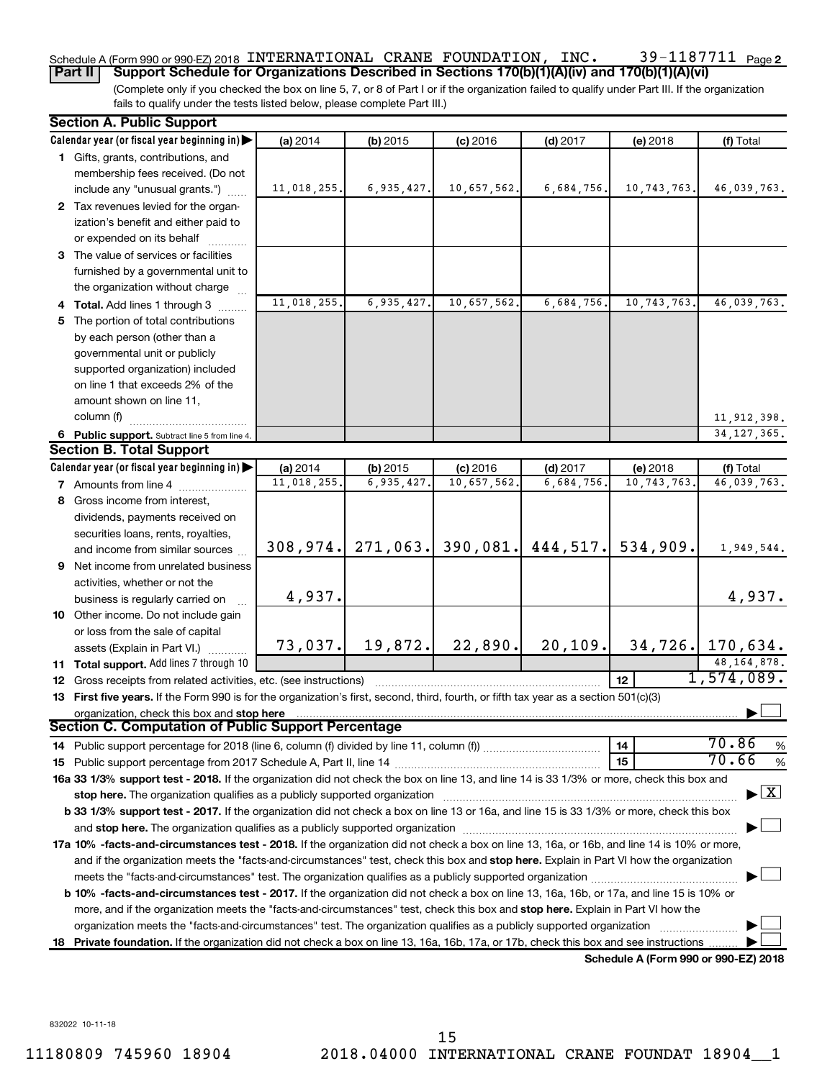### 39-1187711 Page 2 Schedule A (Form 990 or 990-EZ) 2018 <code>INTERNATIONAL CRANE FOUNDATION</code> , <code>INC</code> .  $39\text{--}1187711$  <code>Page</code>

(Complete only if you checked the box on line 5, 7, or 8 of Part I or if the organization failed to qualify under Part III. If the organization fails to qualify under the tests listed below, please complete Part III.) **Part II Support Schedule for Organizations Described in Sections 170(b)(1)(A)(iv) and 170(b)(1)(A)(vi)**

|    | <b>Section A. Public Support</b>                                                                                                                                                                                              |             |            |                               |            |                                      |                                          |
|----|-------------------------------------------------------------------------------------------------------------------------------------------------------------------------------------------------------------------------------|-------------|------------|-------------------------------|------------|--------------------------------------|------------------------------------------|
|    | Calendar year (or fiscal year beginning in)                                                                                                                                                                                   | (a) 2014    | $(b)$ 2015 | $(c)$ 2016                    | $(d)$ 2017 | (e) 2018                             | (f) Total                                |
|    | 1 Gifts, grants, contributions, and                                                                                                                                                                                           |             |            |                               |            |                                      |                                          |
|    | membership fees received. (Do not                                                                                                                                                                                             |             |            |                               |            |                                      |                                          |
|    | include any "unusual grants.")                                                                                                                                                                                                | 11,018,255. | 6,935,427. | 10,657,562.                   | 6,684,756. | 10,743,763.                          | 46,039,763.                              |
|    | 2 Tax revenues levied for the organ-                                                                                                                                                                                          |             |            |                               |            |                                      |                                          |
|    | ization's benefit and either paid to                                                                                                                                                                                          |             |            |                               |            |                                      |                                          |
|    | or expended on its behalf                                                                                                                                                                                                     |             |            |                               |            |                                      |                                          |
|    | 3 The value of services or facilities                                                                                                                                                                                         |             |            |                               |            |                                      |                                          |
|    | furnished by a governmental unit to                                                                                                                                                                                           |             |            |                               |            |                                      |                                          |
|    | the organization without charge                                                                                                                                                                                               |             |            |                               |            |                                      |                                          |
|    | 4 Total. Add lines 1 through 3                                                                                                                                                                                                | 11,018,255. | 6,935,427. | 10,657,562.                   | 6,684,756. | 10, 743, 763.                        | 46,039,763.                              |
| 5  | The portion of total contributions                                                                                                                                                                                            |             |            |                               |            |                                      |                                          |
|    | by each person (other than a                                                                                                                                                                                                  |             |            |                               |            |                                      |                                          |
|    | governmental unit or publicly                                                                                                                                                                                                 |             |            |                               |            |                                      |                                          |
|    | supported organization) included                                                                                                                                                                                              |             |            |                               |            |                                      |                                          |
|    | on line 1 that exceeds 2% of the                                                                                                                                                                                              |             |            |                               |            |                                      |                                          |
|    | amount shown on line 11,                                                                                                                                                                                                      |             |            |                               |            |                                      |                                          |
|    | column (f)                                                                                                                                                                                                                    |             |            |                               |            |                                      | 11, 912, 398.                            |
|    | 6 Public support. Subtract line 5 from line 4.                                                                                                                                                                                |             |            |                               |            |                                      | 34, 127, 365.                            |
|    | <b>Section B. Total Support</b>                                                                                                                                                                                               |             |            |                               |            |                                      |                                          |
|    | Calendar year (or fiscal year beginning in)                                                                                                                                                                                   | (a) 2014    | (b) 2015   | $(c)$ 2016                    | $(d)$ 2017 | (e) 2018                             | (f) Total                                |
|    | <b>7</b> Amounts from line 4                                                                                                                                                                                                  | 11,018,255. | 6,935,427. | 10,657,562.                   | 6,684,756. | 10,743,763.                          | 46,039,763.                              |
|    | 8 Gross income from interest,                                                                                                                                                                                                 |             |            |                               |            |                                      |                                          |
|    | dividends, payments received on                                                                                                                                                                                               |             |            |                               |            |                                      |                                          |
|    | securities loans, rents, royalties,                                                                                                                                                                                           |             |            |                               |            |                                      |                                          |
|    | and income from similar sources                                                                                                                                                                                               | 308, 974.   |            | $271,063$ , 390,081, 444,517. |            | 534,909.                             | 1,949,544.                               |
|    | <b>9</b> Net income from unrelated business                                                                                                                                                                                   |             |            |                               |            |                                      |                                          |
|    | activities, whether or not the                                                                                                                                                                                                |             |            |                               |            |                                      |                                          |
|    | business is regularly carried on                                                                                                                                                                                              | 4,937.      |            |                               |            |                                      | 4,937.                                   |
|    | 10 Other income. Do not include gain                                                                                                                                                                                          |             |            |                               |            |                                      |                                          |
|    | or loss from the sale of capital                                                                                                                                                                                              |             |            |                               |            |                                      |                                          |
|    | assets (Explain in Part VI.)                                                                                                                                                                                                  | 73,037.     | 19,872.    | 22,890.                       | 20, 109.   |                                      | $34, 726$ . 170,634.                     |
|    | 11 Total support. Add lines 7 through 10                                                                                                                                                                                      |             |            |                               |            |                                      | 48,164,878.<br>1,574,089.                |
|    | <b>12</b> Gross receipts from related activities, etc. (see instructions)                                                                                                                                                     |             |            |                               |            | 12 <sup>2</sup>                      |                                          |
|    | 13 First five years. If the Form 990 is for the organization's first, second, third, fourth, or fifth tax year as a section 501(c)(3)                                                                                         |             |            |                               |            |                                      |                                          |
|    | organization, check this box and stop here<br><b>Section C. Computation of Public Support Percentage</b>                                                                                                                      |             |            |                               |            |                                      |                                          |
|    |                                                                                                                                                                                                                               |             |            |                               |            | 14                                   | 70.86<br>%                               |
|    |                                                                                                                                                                                                                               |             |            |                               |            | 15                                   | 70.66<br>%                               |
|    | 16a 33 1/3% support test - 2018. If the organization did not check the box on line 13, and line 14 is 33 1/3% or more, check this box and                                                                                     |             |            |                               |            |                                      |                                          |
|    | stop here. The organization qualifies as a publicly supported organization manufaction manufacture content of the organization manufacture content of the organization of the state of the state of the state of the state of |             |            |                               |            |                                      | $\blacktriangleright$ $\boxed{\text{X}}$ |
|    | b 33 1/3% support test - 2017. If the organization did not check a box on line 13 or 16a, and line 15 is 33 1/3% or more, check this box                                                                                      |             |            |                               |            |                                      |                                          |
|    |                                                                                                                                                                                                                               |             |            |                               |            |                                      |                                          |
|    | 17a 10% -facts-and-circumstances test - 2018. If the organization did not check a box on line 13, 16a, or 16b, and line 14 is 10% or more,                                                                                    |             |            |                               |            |                                      |                                          |
|    | and if the organization meets the "facts-and-circumstances" test, check this box and stop here. Explain in Part VI how the organization                                                                                       |             |            |                               |            |                                      |                                          |
|    |                                                                                                                                                                                                                               |             |            |                               |            |                                      |                                          |
|    | b 10% -facts-and-circumstances test - 2017. If the organization did not check a box on line 13, 16a, 16b, or 17a, and line 15 is 10% or                                                                                       |             |            |                               |            |                                      |                                          |
|    | more, and if the organization meets the "facts-and-circumstances" test, check this box and stop here. Explain in Part VI how the                                                                                              |             |            |                               |            |                                      |                                          |
|    | organization meets the "facts-and-circumstances" test. The organization qualifies as a publicly supported organization                                                                                                        |             |            |                               |            |                                      |                                          |
| 18 | Private foundation. If the organization did not check a box on line 13, 16a, 16b, 17a, or 17b, check this box and see instructions                                                                                            |             |            |                               |            |                                      |                                          |
|    |                                                                                                                                                                                                                               |             |            |                               |            | Schedule A (Form 990 or 990-EZ) 2018 |                                          |

832022 10-11-18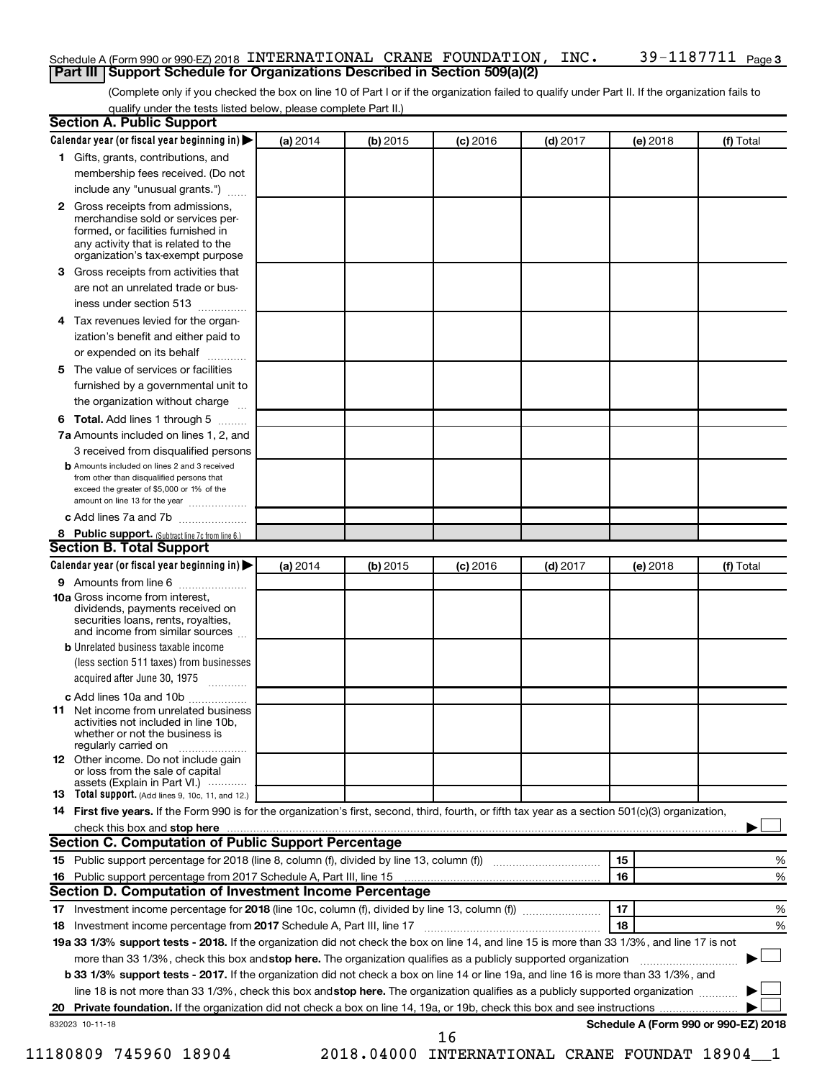### Schedule A (Form 990 or 990-EZ) 2018 <code>INTERNATIONAL CRANE FOUNDATION</code> , <code>INC</code> .  $39\text{--}1187711$  <code>Page</code> **Part III Support Schedule for Organizations Described in Section 509(a)(2)**

(Complete only if you checked the box on line 10 of Part I or if the organization failed to qualify under Part II. If the organization fails to qualify under the tests listed below, please complete Part II.)

| <b>Section A. Public Support</b>                                                                                                                                                                |          |          |            |            |          |                                      |
|-------------------------------------------------------------------------------------------------------------------------------------------------------------------------------------------------|----------|----------|------------|------------|----------|--------------------------------------|
| Calendar year (or fiscal year beginning in)                                                                                                                                                     | (a) 2014 | (b) 2015 | $(c)$ 2016 | $(d)$ 2017 | (e) 2018 | (f) Total                            |
| 1 Gifts, grants, contributions, and                                                                                                                                                             |          |          |            |            |          |                                      |
| membership fees received. (Do not                                                                                                                                                               |          |          |            |            |          |                                      |
| include any "unusual grants.")                                                                                                                                                                  |          |          |            |            |          |                                      |
| <b>2</b> Gross receipts from admissions,<br>merchandise sold or services per-<br>formed, or facilities furnished in<br>any activity that is related to the<br>organization's tax-exempt purpose |          |          |            |            |          |                                      |
| 3 Gross receipts from activities that                                                                                                                                                           |          |          |            |            |          |                                      |
| are not an unrelated trade or bus-<br>iness under section 513                                                                                                                                   |          |          |            |            |          |                                      |
| 4 Tax revenues levied for the organ-                                                                                                                                                            |          |          |            |            |          |                                      |
| ization's benefit and either paid to<br>or expended on its behalf                                                                                                                               |          |          |            |            |          |                                      |
| 5 The value of services or facilities                                                                                                                                                           |          |          |            |            |          |                                      |
| furnished by a governmental unit to                                                                                                                                                             |          |          |            |            |          |                                      |
| the organization without charge                                                                                                                                                                 |          |          |            |            |          |                                      |
| <b>6 Total.</b> Add lines 1 through 5                                                                                                                                                           |          |          |            |            |          |                                      |
| 7a Amounts included on lines 1, 2, and                                                                                                                                                          |          |          |            |            |          |                                      |
| 3 received from disqualified persons                                                                                                                                                            |          |          |            |            |          |                                      |
| <b>b</b> Amounts included on lines 2 and 3 received<br>from other than disqualified persons that<br>exceed the greater of \$5,000 or 1% of the<br>amount on line 13 for the year                |          |          |            |            |          |                                      |
| c Add lines 7a and 7b                                                                                                                                                                           |          |          |            |            |          |                                      |
| 8 Public support. (Subtract line 7c from line 6.)                                                                                                                                               |          |          |            |            |          |                                      |
| <b>Section B. Total Support</b>                                                                                                                                                                 |          |          |            |            |          |                                      |
| Calendar year (or fiscal year beginning in)                                                                                                                                                     | (a) 2014 | (b) 2015 | $(c)$ 2016 | $(d)$ 2017 | (e) 2018 | (f) Total                            |
| 9 Amounts from line 6                                                                                                                                                                           |          |          |            |            |          |                                      |
| <b>10a</b> Gross income from interest,<br>dividends, payments received on<br>securities loans, rents, royalties,<br>and income from similar sources                                             |          |          |            |            |          |                                      |
| <b>b</b> Unrelated business taxable income<br>(less section 511 taxes) from businesses<br>acquired after June 30, 1975                                                                          |          |          |            |            |          |                                      |
| c Add lines 10a and 10b                                                                                                                                                                         |          |          |            |            |          |                                      |
| <b>11</b> Net income from unrelated business<br>activities not included in line 10b.<br>whether or not the business is<br>regularly carried on                                                  |          |          |            |            |          |                                      |
| 12 Other income. Do not include gain<br>or loss from the sale of capital<br>assets (Explain in Part VI.)                                                                                        |          |          |            |            |          |                                      |
| <b>13</b> Total support. (Add lines 9, 10c, 11, and 12.)                                                                                                                                        |          |          |            |            |          |                                      |
| 14 First five years. If the Form 990 is for the organization's first, second, third, fourth, or fifth tax year as a section 501(c)(3) organization,                                             |          |          |            |            |          |                                      |
| check this box and stop here                                                                                                                                                                    |          |          |            |            |          |                                      |
| Section C. Computation of Public Support Percentage                                                                                                                                             |          |          |            |            |          |                                      |
| 15 Public support percentage for 2018 (line 8, column (f), divided by line 13, column (f) <i></i>                                                                                               |          |          |            |            | 15       | %                                    |
| 16 Public support percentage from 2017 Schedule A, Part III, line 15                                                                                                                            |          |          |            |            | 16       | %                                    |
| Section D. Computation of Investment Income Percentage                                                                                                                                          |          |          |            |            |          |                                      |
| 17 Investment income percentage for 2018 (line 10c, column (f), divided by line 13, column (f))                                                                                                 |          |          |            |            | 17       | %                                    |
| 18 Investment income percentage from 2017 Schedule A, Part III, line 17                                                                                                                         |          |          |            |            | 18       | %                                    |
|                                                                                                                                                                                                 |          |          |            |            |          |                                      |
| 19a 33 1/3% support tests - 2018. If the organization did not check the box on line 14, and line 15 is more than 33 1/3%, and line 17 is not                                                    |          |          |            |            |          |                                      |
| more than 33 1/3%, check this box and stop here. The organization qualifies as a publicly supported organization                                                                                |          |          |            |            |          |                                      |
| b 33 1/3% support tests - 2017. If the organization did not check a box on line 14 or line 19a, and line 16 is more than 33 1/3%, and                                                           |          |          |            |            |          |                                      |
| line 18 is not more than 33 1/3%, check this box and stop here. The organization qualifies as a publicly supported organization                                                                 |          |          |            |            |          |                                      |
|                                                                                                                                                                                                 |          |          |            |            |          |                                      |
| 832023 10-11-18                                                                                                                                                                                 |          |          | 16         |            |          | Schedule A (Form 990 or 990-EZ) 2018 |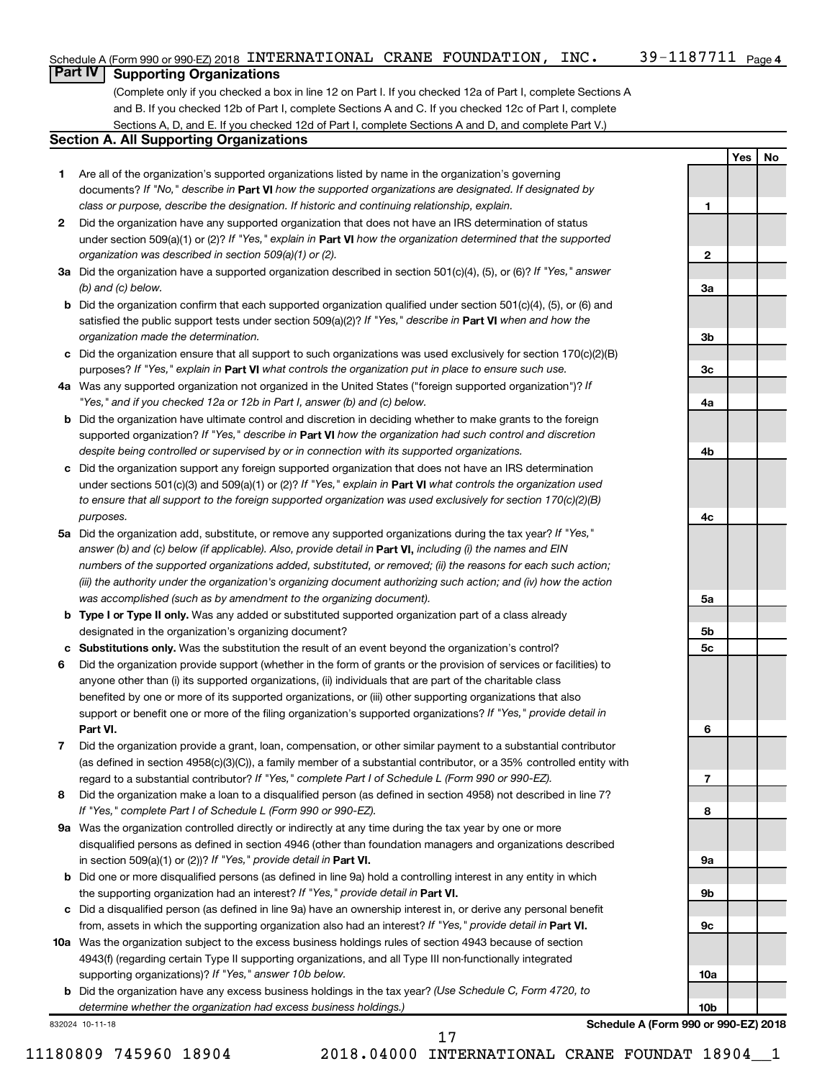**1**

**2**

**3a**

**3b**

**3c**

**4a**

**4b**

**4c**

**5a**

**5b 5c**

**6**

**7**

**8**

**9a**

**9b**

**9c**

**10a**

**10b**

**Yes No**

## **Part IV Supporting Organizations**

(Complete only if you checked a box in line 12 on Part I. If you checked 12a of Part I, complete Sections A and B. If you checked 12b of Part I, complete Sections A and C. If you checked 12c of Part I, complete Sections A, D, and E. If you checked 12d of Part I, complete Sections A and D, and complete Part V.)

### **Section A. All Supporting Organizations**

- **1** Are all of the organization's supported organizations listed by name in the organization's governing documents? If "No," describe in Part VI how the supported organizations are designated. If designated by *class or purpose, describe the designation. If historic and continuing relationship, explain.*
- **2** Did the organization have any supported organization that does not have an IRS determination of status under section 509(a)(1) or (2)? If "Yes," explain in Part **VI** how the organization determined that the supported *organization was described in section 509(a)(1) or (2).*
- **3a** Did the organization have a supported organization described in section 501(c)(4), (5), or (6)? If "Yes," answer *(b) and (c) below.*
- **b** Did the organization confirm that each supported organization qualified under section 501(c)(4), (5), or (6) and satisfied the public support tests under section 509(a)(2)? If "Yes," describe in Part VI when and how the *organization made the determination.*
- **c** Did the organization ensure that all support to such organizations was used exclusively for section 170(c)(2)(B) purposes? If "Yes," explain in Part VI what controls the organization put in place to ensure such use.
- **4 a** *If* Was any supported organization not organized in the United States ("foreign supported organization")? *"Yes," and if you checked 12a or 12b in Part I, answer (b) and (c) below.*
- **b** Did the organization have ultimate control and discretion in deciding whether to make grants to the foreign supported organization? If "Yes," describe in Part VI how the organization had such control and discretion *despite being controlled or supervised by or in connection with its supported organizations.*
- **c** Did the organization support any foreign supported organization that does not have an IRS determination under sections 501(c)(3) and 509(a)(1) or (2)? If "Yes," explain in Part VI what controls the organization used *to ensure that all support to the foreign supported organization was used exclusively for section 170(c)(2)(B) purposes.*
- **5a** Did the organization add, substitute, or remove any supported organizations during the tax year? If "Yes," answer (b) and (c) below (if applicable). Also, provide detail in **Part VI,** including (i) the names and EIN *numbers of the supported organizations added, substituted, or removed; (ii) the reasons for each such action; (iii) the authority under the organization's organizing document authorizing such action; and (iv) how the action was accomplished (such as by amendment to the organizing document).*
- **b** Type I or Type II only. Was any added or substituted supported organization part of a class already designated in the organization's organizing document?
- **c Substitutions only.**  Was the substitution the result of an event beyond the organization's control?
- **6** Did the organization provide support (whether in the form of grants or the provision of services or facilities) to **Part VI.** support or benefit one or more of the filing organization's supported organizations? If "Yes," provide detail in anyone other than (i) its supported organizations, (ii) individuals that are part of the charitable class benefited by one or more of its supported organizations, or (iii) other supporting organizations that also
- **7** Did the organization provide a grant, loan, compensation, or other similar payment to a substantial contributor regard to a substantial contributor? If "Yes," complete Part I of Schedule L (Form 990 or 990-EZ). (as defined in section 4958(c)(3)(C)), a family member of a substantial contributor, or a 35% controlled entity with
- **8** Did the organization make a loan to a disqualified person (as defined in section 4958) not described in line 7? *If "Yes," complete Part I of Schedule L (Form 990 or 990-EZ).*
- **9 a** Was the organization controlled directly or indirectly at any time during the tax year by one or more in section 509(a)(1) or (2))? If "Yes," provide detail in **Part VI.** disqualified persons as defined in section 4946 (other than foundation managers and organizations described
- **b** Did one or more disqualified persons (as defined in line 9a) hold a controlling interest in any entity in which the supporting organization had an interest? If "Yes," provide detail in Part VI.
- **c** Did a disqualified person (as defined in line 9a) have an ownership interest in, or derive any personal benefit from, assets in which the supporting organization also had an interest? If "Yes," provide detail in Part VI.
- **10 a** Was the organization subject to the excess business holdings rules of section 4943 because of section supporting organizations)? If "Yes," answer 10b below. 4943(f) (regarding certain Type II supporting organizations, and all Type III non-functionally integrated
	- **b** Did the organization have any excess business holdings in the tax year? (Use Schedule C, Form 4720, to *determine whether the organization had excess business holdings.)*

832024 10-11-18

**Schedule A (Form 990 or 990-EZ) 2018**

11180809 745960 18904 2018.04000 INTERNATIONAL CRANE FOUNDAT 18904\_\_1

17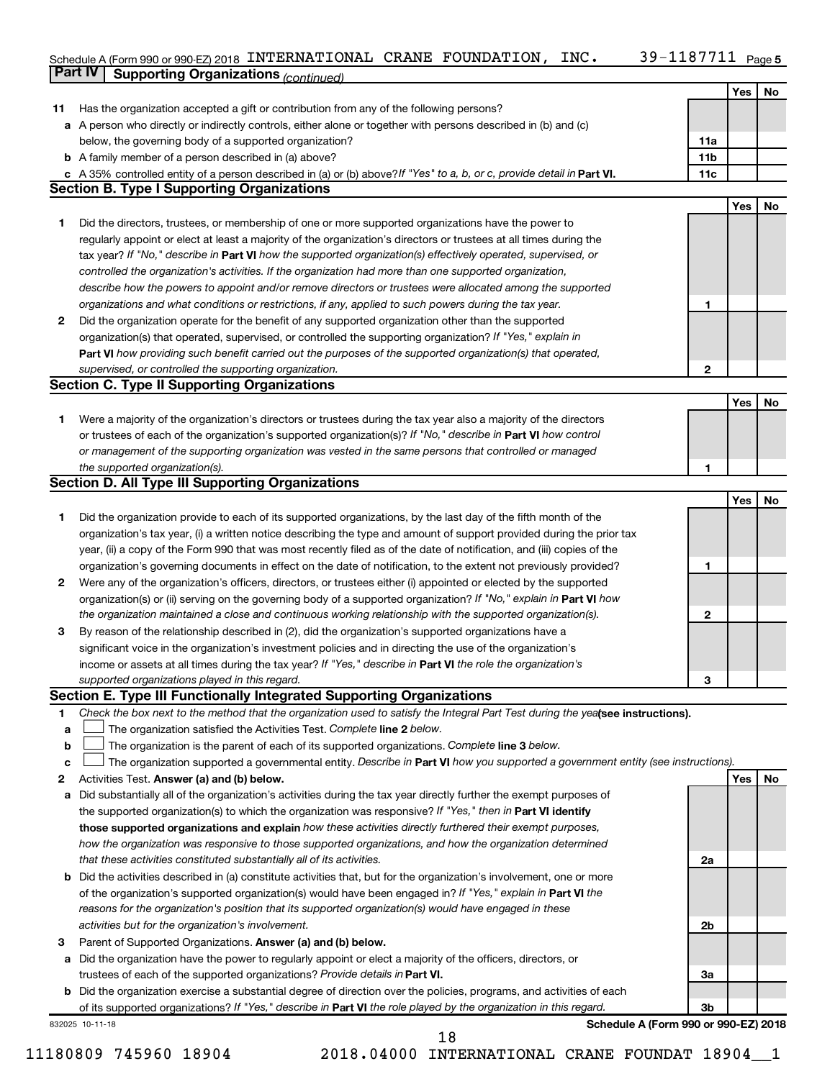### 39-1187711 Page 5 Schedule A (Form 990 or 990-EZ) 2018 INTERNATIONAL CRANE FOUNDATION,INC。 39-II8 / /II Page INTERNATIONAL CRANE FOUNDATION, INC. 39-1187711

|    | <b>Part IV</b>  | <b>Supporting Organizations (continued)</b>                                                                                     |                 |     |    |
|----|-----------------|---------------------------------------------------------------------------------------------------------------------------------|-----------------|-----|----|
|    |                 |                                                                                                                                 |                 | Yes | No |
| 11 |                 | Has the organization accepted a gift or contribution from any of the following persons?                                         |                 |     |    |
|    |                 | a A person who directly or indirectly controls, either alone or together with persons described in (b) and (c)                  |                 |     |    |
|    |                 | below, the governing body of a supported organization?                                                                          | 11a             |     |    |
|    |                 | <b>b</b> A family member of a person described in (a) above?                                                                    | 11 <sub>b</sub> |     |    |
|    |                 | c A 35% controlled entity of a person described in (a) or (b) above? If "Yes" to a, b, or c, provide detail in Part VI.         | 11c             |     |    |
|    |                 | <b>Section B. Type I Supporting Organizations</b>                                                                               |                 |     |    |
|    |                 |                                                                                                                                 |                 | Yes | No |
| 1. |                 | Did the directors, trustees, or membership of one or more supported organizations have the power to                             |                 |     |    |
|    |                 | regularly appoint or elect at least a majority of the organization's directors or trustees at all times during the              |                 |     |    |
|    |                 | tax year? If "No," describe in Part VI how the supported organization(s) effectively operated, supervised, or                   |                 |     |    |
|    |                 |                                                                                                                                 |                 |     |    |
|    |                 | controlled the organization's activities. If the organization had more than one supported organization,                         |                 |     |    |
|    |                 | describe how the powers to appoint and/or remove directors or trustees were allocated among the supported                       |                 |     |    |
|    |                 | organizations and what conditions or restrictions, if any, applied to such powers during the tax year.                          | 1               |     |    |
| 2  |                 | Did the organization operate for the benefit of any supported organization other than the supported                             |                 |     |    |
|    |                 | organization(s) that operated, supervised, or controlled the supporting organization? If "Yes," explain in                      |                 |     |    |
|    |                 | Part VI how providing such benefit carried out the purposes of the supported organization(s) that operated,                     |                 |     |    |
|    |                 | supervised, or controlled the supporting organization.                                                                          | $\mathbf{2}$    |     |    |
|    |                 | <b>Section C. Type II Supporting Organizations</b>                                                                              |                 |     |    |
|    |                 |                                                                                                                                 |                 | Yes | No |
| 1. |                 | Were a majority of the organization's directors or trustees during the tax year also a majority of the directors                |                 |     |    |
|    |                 | or trustees of each of the organization's supported organization(s)? If "No," describe in Part VI how control                   |                 |     |    |
|    |                 | or management of the supporting organization was vested in the same persons that controlled or managed                          |                 |     |    |
|    |                 | the supported organization(s).                                                                                                  | 1               |     |    |
|    |                 | <b>Section D. All Type III Supporting Organizations</b>                                                                         |                 |     |    |
|    |                 |                                                                                                                                 |                 | Yes | No |
| 1  |                 | Did the organization provide to each of its supported organizations, by the last day of the fifth month of the                  |                 |     |    |
|    |                 | organization's tax year, (i) a written notice describing the type and amount of support provided during the prior tax           |                 |     |    |
|    |                 | year, (ii) a copy of the Form 990 that was most recently filed as of the date of notification, and (iii) copies of the          |                 |     |    |
|    |                 | organization's governing documents in effect on the date of notification, to the extent not previously provided?                | 1               |     |    |
| 2  |                 | Were any of the organization's officers, directors, or trustees either (i) appointed or elected by the supported                |                 |     |    |
|    |                 | organization(s) or (ii) serving on the governing body of a supported organization? If "No," explain in Part VI how              |                 |     |    |
|    |                 | the organization maintained a close and continuous working relationship with the supported organization(s).                     | $\mathbf{2}$    |     |    |
| 3  |                 | By reason of the relationship described in (2), did the organization's supported organizations have a                           |                 |     |    |
|    |                 | significant voice in the organization's investment policies and in directing the use of the organization's                      |                 |     |    |
|    |                 | income or assets at all times during the tax year? If "Yes," describe in Part VI the role the organization's                    |                 |     |    |
|    |                 | supported organizations played in this regard.                                                                                  | З               |     |    |
|    |                 | Section E. Type III Functionally Integrated Supporting Organizations                                                            |                 |     |    |
| 1  |                 | Check the box next to the method that the organization used to satisfy the Integral Part Test during the yealsee instructions). |                 |     |    |
| a  |                 | The organization satisfied the Activities Test. Complete line 2 below.                                                          |                 |     |    |
| b  |                 | The organization is the parent of each of its supported organizations. Complete line 3 below.                                   |                 |     |    |
| c  |                 | The organization supported a governmental entity. Describe in Part VI how you supported a government entity (see instructions). |                 |     |    |
| 2  |                 | Activities Test. Answer (a) and (b) below.                                                                                      |                 | Yes | No |
| а  |                 | Did substantially all of the organization's activities during the tax year directly further the exempt purposes of              |                 |     |    |
|    |                 | the supported organization(s) to which the organization was responsive? If "Yes," then in Part VI identify                      |                 |     |    |
|    |                 | those supported organizations and explain how these activities directly furthered their exempt purposes,                        |                 |     |    |
|    |                 | how the organization was responsive to those supported organizations, and how the organization determined                       |                 |     |    |
|    |                 | that these activities constituted substantially all of its activities.                                                          | 2a              |     |    |
|    |                 |                                                                                                                                 |                 |     |    |
| b  |                 | Did the activities described in (a) constitute activities that, but for the organization's involvement, one or more             |                 |     |    |
|    |                 | of the organization's supported organization(s) would have been engaged in? If "Yes," explain in Part VI the                    |                 |     |    |
|    |                 | reasons for the organization's position that its supported organization(s) would have engaged in these                          |                 |     |    |
|    |                 | activities but for the organization's involvement.                                                                              | 2b              |     |    |
| З  |                 | Parent of Supported Organizations. Answer (a) and (b) below.                                                                    |                 |     |    |
| а  |                 | Did the organization have the power to regularly appoint or elect a majority of the officers, directors, or                     |                 |     |    |
|    |                 | trustees of each of the supported organizations? Provide details in Part VI.                                                    | За              |     |    |
|    |                 | <b>b</b> Did the organization exercise a substantial degree of direction over the policies, programs, and activities of each    |                 |     |    |
|    |                 | of its supported organizations? If "Yes," describe in Part VI the role played by the organization in this regard.               | 3b              |     |    |
|    | 832025 10-11-18 | Schedule A (Form 990 or 990-EZ) 2018                                                                                            |                 |     |    |
|    |                 | 18                                                                                                                              |                 |     |    |

<sup>11180809 745960 18904 2018.04000</sup> INTERNATIONAL CRANE FOUNDAT 18904\_\_1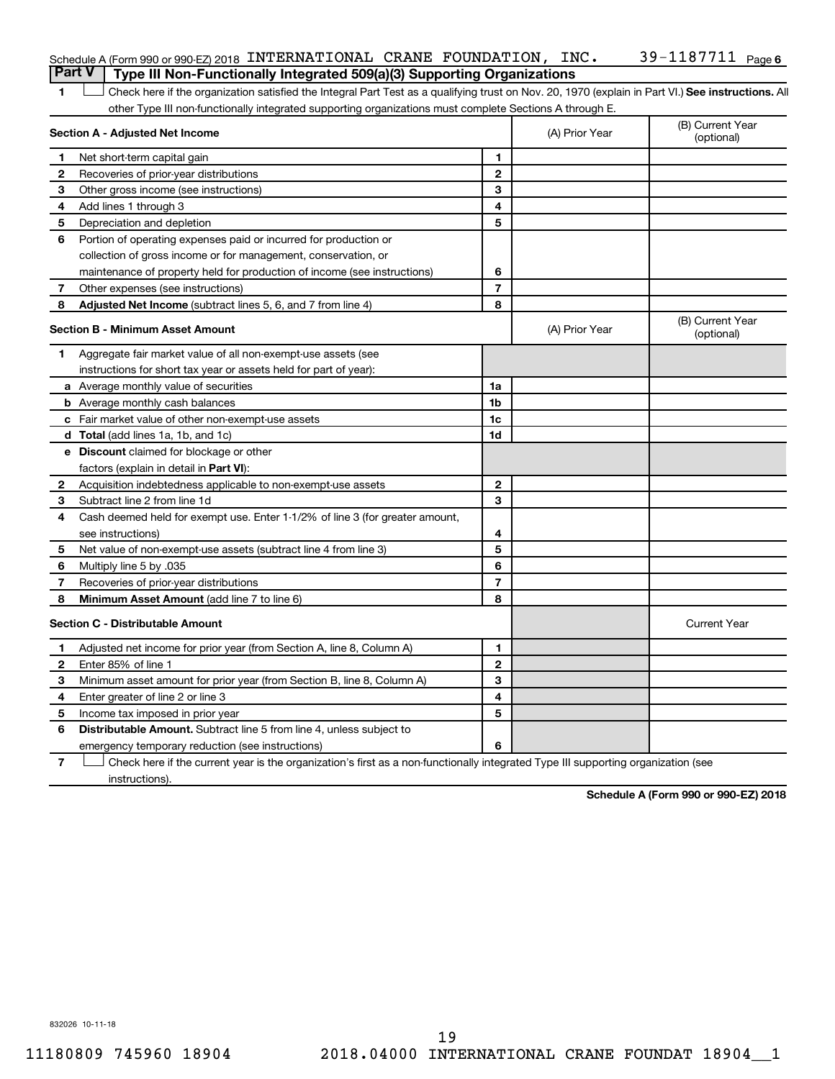|   | Schedule A (Form 990 or 990-EZ) 2018 INTERNATIONAL CRANE FOUNDATION, INC. | 39-1187711 <sub>Page 6</sub> |
|---|---------------------------------------------------------------------------|------------------------------|
| . |                                                                           |                              |

### **Part V Type III Non-Functionally Integrated 509(a)(3) Supporting Organizations**

1 **Letter See instructions.** All Check here if the organization satisfied the Integral Part Test as a qualifying trust on Nov. 20, 1970 (explain in Part VI.) See instructions. All other Type III non-functionally integrated supporting organizations must complete Sections A through E.

|              | Section A - Adjusted Net Income                                              |                | (A) Prior Year | (B) Current Year<br>(optional) |
|--------------|------------------------------------------------------------------------------|----------------|----------------|--------------------------------|
| 1            | Net short-term capital gain                                                  | 1              |                |                                |
| 2            | Recoveries of prior-year distributions                                       | 2              |                |                                |
| З            | Other gross income (see instructions)                                        | 3              |                |                                |
| 4            | Add lines 1 through 3                                                        | 4              |                |                                |
| 5            | Depreciation and depletion                                                   | 5              |                |                                |
| 6            | Portion of operating expenses paid or incurred for production or             |                |                |                                |
|              | collection of gross income or for management, conservation, or               |                |                |                                |
|              | maintenance of property held for production of income (see instructions)     | 6              |                |                                |
| 7            | Other expenses (see instructions)                                            | 7              |                |                                |
| 8            | <b>Adjusted Net Income</b> (subtract lines 5, 6, and 7 from line 4)          | 8              |                |                                |
|              | <b>Section B - Minimum Asset Amount</b>                                      |                | (A) Prior Year | (B) Current Year<br>(optional) |
| 1.           | Aggregate fair market value of all non-exempt-use assets (see                |                |                |                                |
|              | instructions for short tax year or assets held for part of year):            |                |                |                                |
|              | a Average monthly value of securities                                        | 1a             |                |                                |
|              | <b>b</b> Average monthly cash balances                                       | 1b             |                |                                |
|              | c Fair market value of other non-exempt-use assets                           | 1c             |                |                                |
|              | d Total (add lines 1a, 1b, and 1c)                                           | 1d             |                |                                |
|              | <b>e</b> Discount claimed for blockage or other                              |                |                |                                |
|              | factors (explain in detail in <b>Part VI</b> ):                              |                |                |                                |
| $\mathbf{2}$ | Acquisition indebtedness applicable to non-exempt-use assets                 | $\mathbf{2}$   |                |                                |
| З.           | Subtract line 2 from line 1d                                                 | 3              |                |                                |
| 4            | Cash deemed held for exempt use. Enter 1-1/2% of line 3 (for greater amount, |                |                |                                |
|              | see instructions)                                                            | 4              |                |                                |
| 5            | Net value of non-exempt-use assets (subtract line 4 from line 3)             | 5              |                |                                |
| 6            | Multiply line 5 by .035                                                      | 6              |                |                                |
| 7            | Recoveries of prior-year distributions                                       | $\overline{7}$ |                |                                |
| 8            | <b>Minimum Asset Amount (add line 7 to line 6)</b>                           | 8              |                |                                |
|              | <b>Section C - Distributable Amount</b>                                      |                |                | <b>Current Year</b>            |
| 1            | Adjusted net income for prior year (from Section A, line 8, Column A)        | 1              |                |                                |
| 2            | Enter 85% of line 1                                                          | $\overline{2}$ |                |                                |
| 3            | Minimum asset amount for prior year (from Section B, line 8, Column A)       | 3              |                |                                |
| 4            | Enter greater of line 2 or line 3                                            | 4              |                |                                |
| 5            | Income tax imposed in prior year                                             | 5              |                |                                |
| 6            | <b>Distributable Amount.</b> Subtract line 5 from line 4, unless subject to  |                |                |                                |
|              | emergency temporary reduction (see instructions)                             | 6              |                |                                |
|              |                                                                              |                |                |                                |

**7** Let Check here if the current year is the organization's first as a non-functionally integrated Type III supporting organization (see instructions).

**Schedule A (Form 990 or 990-EZ) 2018**

832026 10-11-18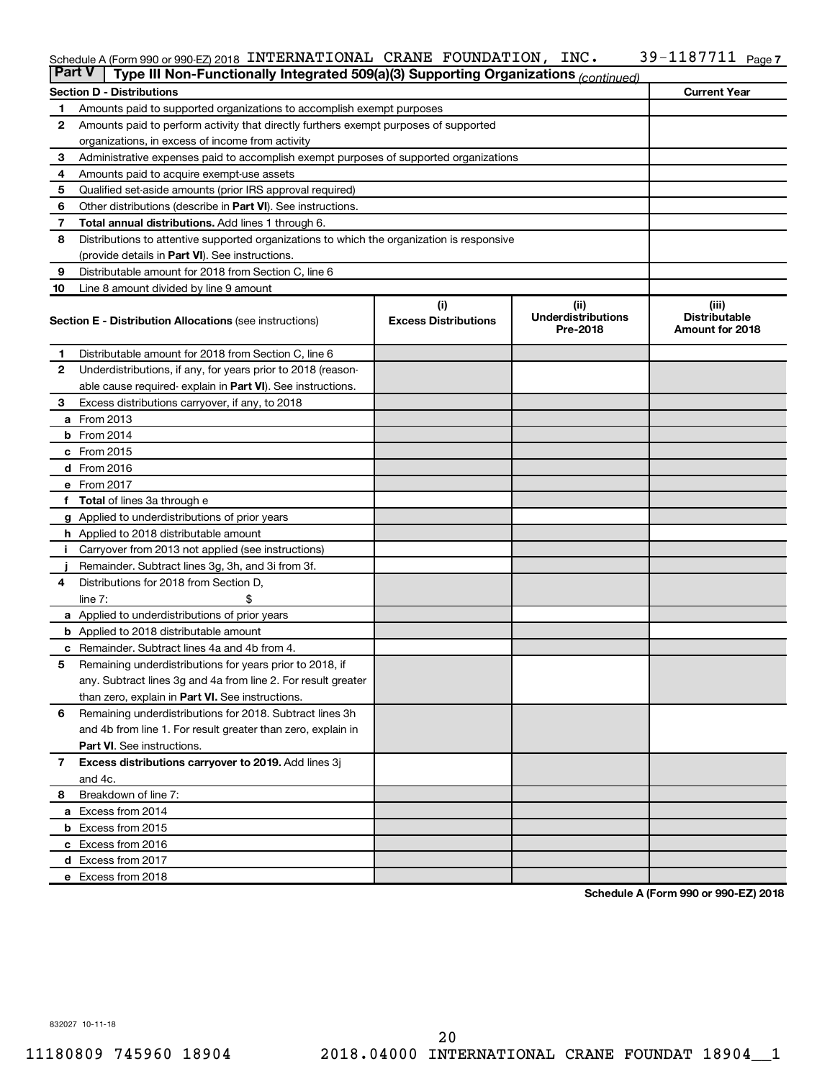### Schedule A (Form 990 or 990-EZ) 2018 INTERNATIONAL CRANE FOUNDATION,INC。 39-II8 / /II Page INTERNATIONAL CRANE FOUNDATION, INC. 39-1187711

| <b>Part V</b>  | Type III Non-Functionally Integrated 509(a)(3) Supporting Organizations (continued)        |                                    |                                   |                               |  |  |  |  |  |
|----------------|--------------------------------------------------------------------------------------------|------------------------------------|-----------------------------------|-------------------------------|--|--|--|--|--|
|                | <b>Current Year</b><br><b>Section D - Distributions</b>                                    |                                    |                                   |                               |  |  |  |  |  |
| 1              | Amounts paid to supported organizations to accomplish exempt purposes                      |                                    |                                   |                               |  |  |  |  |  |
| $\mathbf{2}$   | Amounts paid to perform activity that directly furthers exempt purposes of supported       |                                    |                                   |                               |  |  |  |  |  |
|                | organizations, in excess of income from activity                                           |                                    |                                   |                               |  |  |  |  |  |
| 3              | Administrative expenses paid to accomplish exempt purposes of supported organizations      |                                    |                                   |                               |  |  |  |  |  |
| 4              | Amounts paid to acquire exempt-use assets                                                  |                                    |                                   |                               |  |  |  |  |  |
| 5              | Qualified set-aside amounts (prior IRS approval required)                                  |                                    |                                   |                               |  |  |  |  |  |
| 6              | Other distributions (describe in <b>Part VI</b> ). See instructions.                       |                                    |                                   |                               |  |  |  |  |  |
| 7              | <b>Total annual distributions.</b> Add lines 1 through 6.                                  |                                    |                                   |                               |  |  |  |  |  |
| 8              | Distributions to attentive supported organizations to which the organization is responsive |                                    |                                   |                               |  |  |  |  |  |
|                | (provide details in Part VI). See instructions.                                            |                                    |                                   |                               |  |  |  |  |  |
| 9              | Distributable amount for 2018 from Section C, line 6                                       |                                    |                                   |                               |  |  |  |  |  |
| 10             | Line 8 amount divided by line 9 amount                                                     |                                    |                                   |                               |  |  |  |  |  |
|                | <b>Section E - Distribution Allocations (see instructions)</b>                             | (i)<br><b>Excess Distributions</b> | (ii)<br><b>Underdistributions</b> | (iii)<br><b>Distributable</b> |  |  |  |  |  |
|                |                                                                                            |                                    | Pre-2018                          | Amount for 2018               |  |  |  |  |  |
| 1              | Distributable amount for 2018 from Section C, line 6                                       |                                    |                                   |                               |  |  |  |  |  |
| 2              | Underdistributions, if any, for years prior to 2018 (reason-                               |                                    |                                   |                               |  |  |  |  |  |
|                | able cause required-explain in Part VI). See instructions.                                 |                                    |                                   |                               |  |  |  |  |  |
| 3              | Excess distributions carryover, if any, to 2018                                            |                                    |                                   |                               |  |  |  |  |  |
|                | <b>a</b> From 2013                                                                         |                                    |                                   |                               |  |  |  |  |  |
|                | $b$ From 2014                                                                              |                                    |                                   |                               |  |  |  |  |  |
|                | c From 2015                                                                                |                                    |                                   |                               |  |  |  |  |  |
|                | d From 2016                                                                                |                                    |                                   |                               |  |  |  |  |  |
|                | e From 2017                                                                                |                                    |                                   |                               |  |  |  |  |  |
|                | f Total of lines 3a through e                                                              |                                    |                                   |                               |  |  |  |  |  |
|                | <b>g</b> Applied to underdistributions of prior years                                      |                                    |                                   |                               |  |  |  |  |  |
|                | <b>h</b> Applied to 2018 distributable amount                                              |                                    |                                   |                               |  |  |  |  |  |
| Ť.             | Carryover from 2013 not applied (see instructions)                                         |                                    |                                   |                               |  |  |  |  |  |
|                | Remainder. Subtract lines 3g, 3h, and 3i from 3f.                                          |                                    |                                   |                               |  |  |  |  |  |
| 4              | Distributions for 2018 from Section D,                                                     |                                    |                                   |                               |  |  |  |  |  |
|                | line $7:$                                                                                  |                                    |                                   |                               |  |  |  |  |  |
|                | a Applied to underdistributions of prior years                                             |                                    |                                   |                               |  |  |  |  |  |
|                | <b>b</b> Applied to 2018 distributable amount                                              |                                    |                                   |                               |  |  |  |  |  |
| c              | Remainder. Subtract lines 4a and 4b from 4.                                                |                                    |                                   |                               |  |  |  |  |  |
| 5              | Remaining underdistributions for years prior to 2018, if                                   |                                    |                                   |                               |  |  |  |  |  |
|                | any. Subtract lines 3g and 4a from line 2. For result greater                              |                                    |                                   |                               |  |  |  |  |  |
|                | than zero, explain in Part VI. See instructions.                                           |                                    |                                   |                               |  |  |  |  |  |
| 6              | Remaining underdistributions for 2018. Subtract lines 3h                                   |                                    |                                   |                               |  |  |  |  |  |
|                | and 4b from line 1. For result greater than zero, explain in                               |                                    |                                   |                               |  |  |  |  |  |
|                | <b>Part VI.</b> See instructions.                                                          |                                    |                                   |                               |  |  |  |  |  |
| $\overline{7}$ | Excess distributions carryover to 2019. Add lines 3j                                       |                                    |                                   |                               |  |  |  |  |  |
|                | and 4c.                                                                                    |                                    |                                   |                               |  |  |  |  |  |
| 8              | Breakdown of line 7:                                                                       |                                    |                                   |                               |  |  |  |  |  |
|                | a Excess from 2014                                                                         |                                    |                                   |                               |  |  |  |  |  |
|                | <b>b</b> Excess from 2015                                                                  |                                    |                                   |                               |  |  |  |  |  |
|                | c Excess from 2016                                                                         |                                    |                                   |                               |  |  |  |  |  |
|                | d Excess from 2017                                                                         |                                    |                                   |                               |  |  |  |  |  |
|                | e Excess from 2018                                                                         |                                    |                                   |                               |  |  |  |  |  |

**Schedule A (Form 990 or 990-EZ) 2018**

832027 10-11-18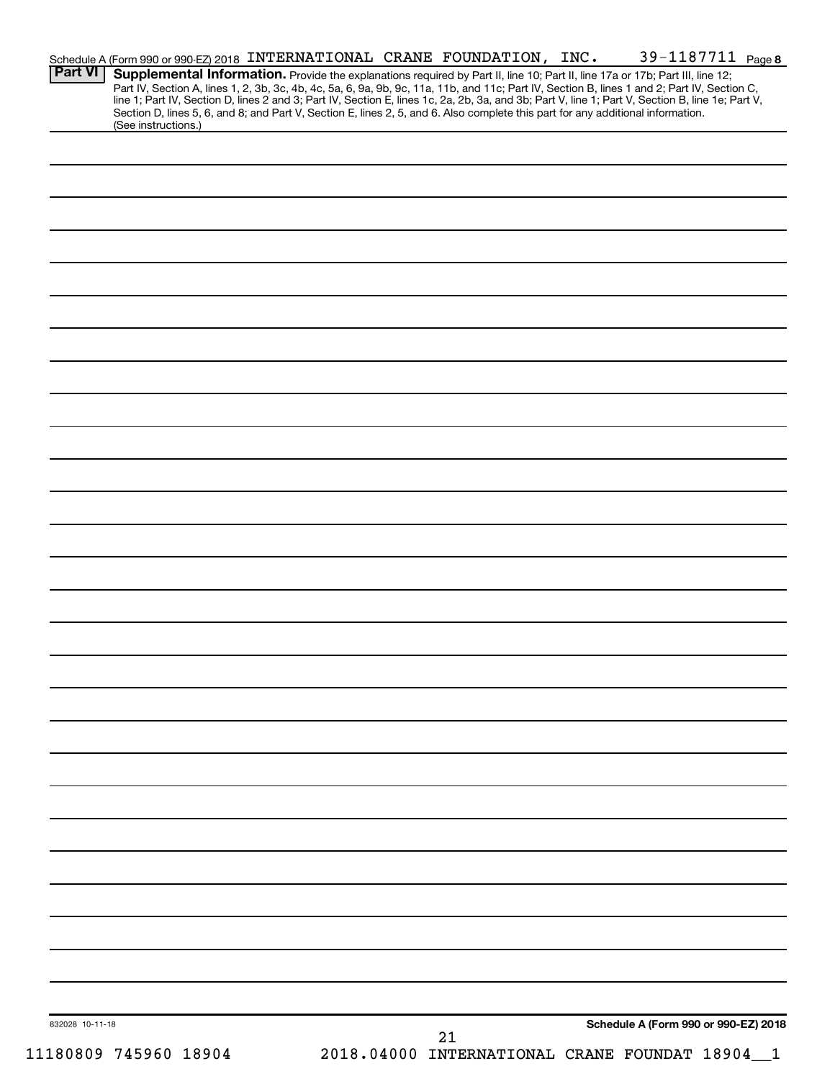|                 |                       | Schedule A (Form 990 or 990-EZ) 2018 INTERNATIONAL CRANE FOUNDATION, INC.                                                                                                                                                                                                     |                                              | 39-1187711 Page 8                    |  |
|-----------------|-----------------------|-------------------------------------------------------------------------------------------------------------------------------------------------------------------------------------------------------------------------------------------------------------------------------|----------------------------------------------|--------------------------------------|--|
| <b>Part VI</b>  |                       | Supplemental Information. Provide the explanations required by Part II, line 10; Part II, line 17a or 17b; Part III, line 12;<br>Part IV, Section A, lines 1, 2, 3b, 3c, 4b, 4c, 5a, 6, 9a, 9b, 9c, 11a, 11b, and 11c; Part IV, Section B, lines 1 and 2; Part IV, Section C, |                                              |                                      |  |
|                 |                       | line 1; Part IV, Section D, lines 2 and 3; Part IV, Section E, lines 1c, 2a, 2b, 3a, and 3b; Part V, line 1; Part V, Section B, line 1e; Part V,                                                                                                                              |                                              |                                      |  |
|                 | (See instructions.)   | Section D, lines 5, 6, and 8; and Part V, Section E, lines 2, 5, and 6. Also complete this part for any additional information.                                                                                                                                               |                                              |                                      |  |
|                 |                       |                                                                                                                                                                                                                                                                               |                                              |                                      |  |
|                 |                       |                                                                                                                                                                                                                                                                               |                                              |                                      |  |
|                 |                       |                                                                                                                                                                                                                                                                               |                                              |                                      |  |
|                 |                       |                                                                                                                                                                                                                                                                               |                                              |                                      |  |
|                 |                       |                                                                                                                                                                                                                                                                               |                                              |                                      |  |
|                 |                       |                                                                                                                                                                                                                                                                               |                                              |                                      |  |
|                 |                       |                                                                                                                                                                                                                                                                               |                                              |                                      |  |
|                 |                       |                                                                                                                                                                                                                                                                               |                                              |                                      |  |
|                 |                       |                                                                                                                                                                                                                                                                               |                                              |                                      |  |
|                 |                       |                                                                                                                                                                                                                                                                               |                                              |                                      |  |
|                 |                       |                                                                                                                                                                                                                                                                               |                                              |                                      |  |
|                 |                       |                                                                                                                                                                                                                                                                               |                                              |                                      |  |
|                 |                       |                                                                                                                                                                                                                                                                               |                                              |                                      |  |
|                 |                       |                                                                                                                                                                                                                                                                               |                                              |                                      |  |
|                 |                       |                                                                                                                                                                                                                                                                               |                                              |                                      |  |
|                 |                       |                                                                                                                                                                                                                                                                               |                                              |                                      |  |
|                 |                       |                                                                                                                                                                                                                                                                               |                                              |                                      |  |
|                 |                       |                                                                                                                                                                                                                                                                               |                                              |                                      |  |
|                 |                       |                                                                                                                                                                                                                                                                               |                                              |                                      |  |
|                 |                       |                                                                                                                                                                                                                                                                               |                                              |                                      |  |
|                 |                       |                                                                                                                                                                                                                                                                               |                                              |                                      |  |
|                 |                       |                                                                                                                                                                                                                                                                               |                                              |                                      |  |
|                 |                       |                                                                                                                                                                                                                                                                               |                                              |                                      |  |
|                 |                       |                                                                                                                                                                                                                                                                               |                                              |                                      |  |
|                 |                       |                                                                                                                                                                                                                                                                               |                                              |                                      |  |
|                 |                       |                                                                                                                                                                                                                                                                               |                                              |                                      |  |
|                 |                       |                                                                                                                                                                                                                                                                               |                                              |                                      |  |
|                 |                       |                                                                                                                                                                                                                                                                               |                                              |                                      |  |
|                 |                       |                                                                                                                                                                                                                                                                               |                                              |                                      |  |
|                 |                       |                                                                                                                                                                                                                                                                               |                                              |                                      |  |
|                 |                       |                                                                                                                                                                                                                                                                               |                                              |                                      |  |
|                 |                       |                                                                                                                                                                                                                                                                               |                                              |                                      |  |
|                 |                       |                                                                                                                                                                                                                                                                               |                                              |                                      |  |
|                 |                       |                                                                                                                                                                                                                                                                               |                                              |                                      |  |
|                 |                       |                                                                                                                                                                                                                                                                               |                                              |                                      |  |
|                 |                       |                                                                                                                                                                                                                                                                               |                                              |                                      |  |
|                 |                       |                                                                                                                                                                                                                                                                               |                                              |                                      |  |
|                 |                       |                                                                                                                                                                                                                                                                               |                                              |                                      |  |
|                 |                       |                                                                                                                                                                                                                                                                               |                                              |                                      |  |
|                 |                       |                                                                                                                                                                                                                                                                               |                                              |                                      |  |
|                 |                       |                                                                                                                                                                                                                                                                               |                                              |                                      |  |
|                 |                       |                                                                                                                                                                                                                                                                               |                                              |                                      |  |
|                 |                       |                                                                                                                                                                                                                                                                               |                                              |                                      |  |
|                 |                       |                                                                                                                                                                                                                                                                               |                                              |                                      |  |
|                 |                       |                                                                                                                                                                                                                                                                               |                                              |                                      |  |
|                 |                       |                                                                                                                                                                                                                                                                               |                                              |                                      |  |
|                 |                       |                                                                                                                                                                                                                                                                               |                                              |                                      |  |
| 832028 10-11-18 |                       |                                                                                                                                                                                                                                                                               | 21                                           | Schedule A (Form 990 or 990-EZ) 2018 |  |
|                 | 11180809 745960 18904 |                                                                                                                                                                                                                                                                               | 2018.04000 INTERNATIONAL CRANE FOUNDAT 18904 |                                      |  |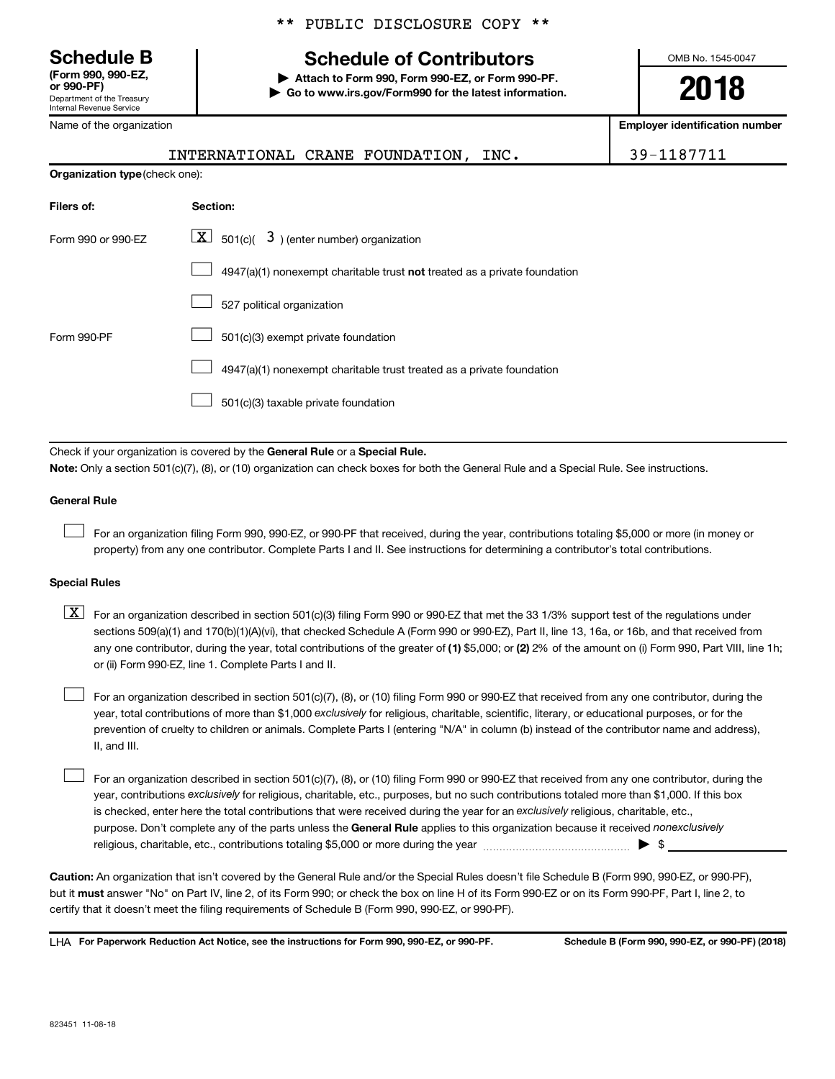**(Form 990, 990-EZ,**

Department of the Treasury Internal Revenue Service

Name of the organization

### \*\* PUBLIC DISCLOSURE COPY \*\*

# **Schedule B Schedule of Contributors**

**or 990-PF) | Attach to Form 990, Form 990-EZ, or Form 990-PF. | Go to www.irs.gov/Form990 for the latest information.** OMB No. 1545-0047

**2018**

**Employer identification number**

|                    | INTERNATIONAL CRANE FOUNDATION, INC.                                        | 39-1187711 |  |  |  |  |  |
|--------------------|-----------------------------------------------------------------------------|------------|--|--|--|--|--|
|                    | Organization type (check one):                                              |            |  |  |  |  |  |
| Filers of:         | Section:                                                                    |            |  |  |  |  |  |
| Form 990 or 990-EZ | $\boxed{\textbf{X}}$ 501(c)( 3) (enter number) organization                 |            |  |  |  |  |  |
|                    | $4947(a)(1)$ nonexempt charitable trust not treated as a private foundation |            |  |  |  |  |  |
|                    | 527 political organization                                                  |            |  |  |  |  |  |
| Form 990-PF        | 501(c)(3) exempt private foundation                                         |            |  |  |  |  |  |
|                    | 4947(a)(1) nonexempt charitable trust treated as a private foundation       |            |  |  |  |  |  |
|                    | 501(c)(3) taxable private foundation                                        |            |  |  |  |  |  |
|                    |                                                                             |            |  |  |  |  |  |

Check if your organization is covered by the General Rule or a Special Rule. **Note:**  Only a section 501(c)(7), (8), or (10) organization can check boxes for both the General Rule and a Special Rule. See instructions.

### **General Rule**

 $\Box$ 

For an organization filing Form 990, 990-EZ, or 990-PF that received, during the year, contributions totaling \$5,000 or more (in money or property) from any one contributor. Complete Parts I and II. See instructions for determining a contributor's total contributions.

### **Special Rules**

any one contributor, during the year, total contributions of the greater of (1) \$5,000; or (2) 2% of the amount on (i) Form 990, Part VIII, line 1h;  $\boxed{\text{X}}$  For an organization described in section 501(c)(3) filing Form 990 or 990-EZ that met the 33 1/3% support test of the regulations under sections 509(a)(1) and 170(b)(1)(A)(vi), that checked Schedule A (Form 990 or 990-EZ), Part II, line 13, 16a, or 16b, and that received from or (ii) Form 990-EZ, line 1. Complete Parts I and II.

year, total contributions of more than \$1,000 *exclusively* for religious, charitable, scientific, literary, or educational purposes, or for the For an organization described in section 501(c)(7), (8), or (10) filing Form 990 or 990-EZ that received from any one contributor, during the prevention of cruelty to children or animals. Complete Parts I (entering "N/A" in column (b) instead of the contributor name and address), II, and III.  $\Box$ 

purpose. Don't complete any of the parts unless the General Rule applies to this organization because it received nonexclusively year, contributions exclusively for religious, charitable, etc., purposes, but no such contributions totaled more than \$1,000. If this box is checked, enter here the total contributions that were received during the year for an exclusively religious, charitable, etc., For an organization described in section 501(c)(7), (8), or (10) filing Form 990 or 990-EZ that received from any one contributor, during the religious, charitable, etc., contributions totaling \$5,000 or more during the year  $\ldots$  $\ldots$  $\ldots$  $\ldots$  $\ldots$  $\ldots$  $\Box$ 

**Caution:**  An organization that isn't covered by the General Rule and/or the Special Rules doesn't file Schedule B (Form 990, 990-EZ, or 990-PF),  **must** but it answer "No" on Part IV, line 2, of its Form 990; or check the box on line H of its Form 990-EZ or on its Form 990-PF, Part I, line 2, to certify that it doesn't meet the filing requirements of Schedule B (Form 990, 990-EZ, or 990-PF).

**For Paperwork Reduction Act Notice, see the instructions for Form 990, 990-EZ, or 990-PF. Schedule B (Form 990, 990-EZ, or 990-PF) (2018)** LHA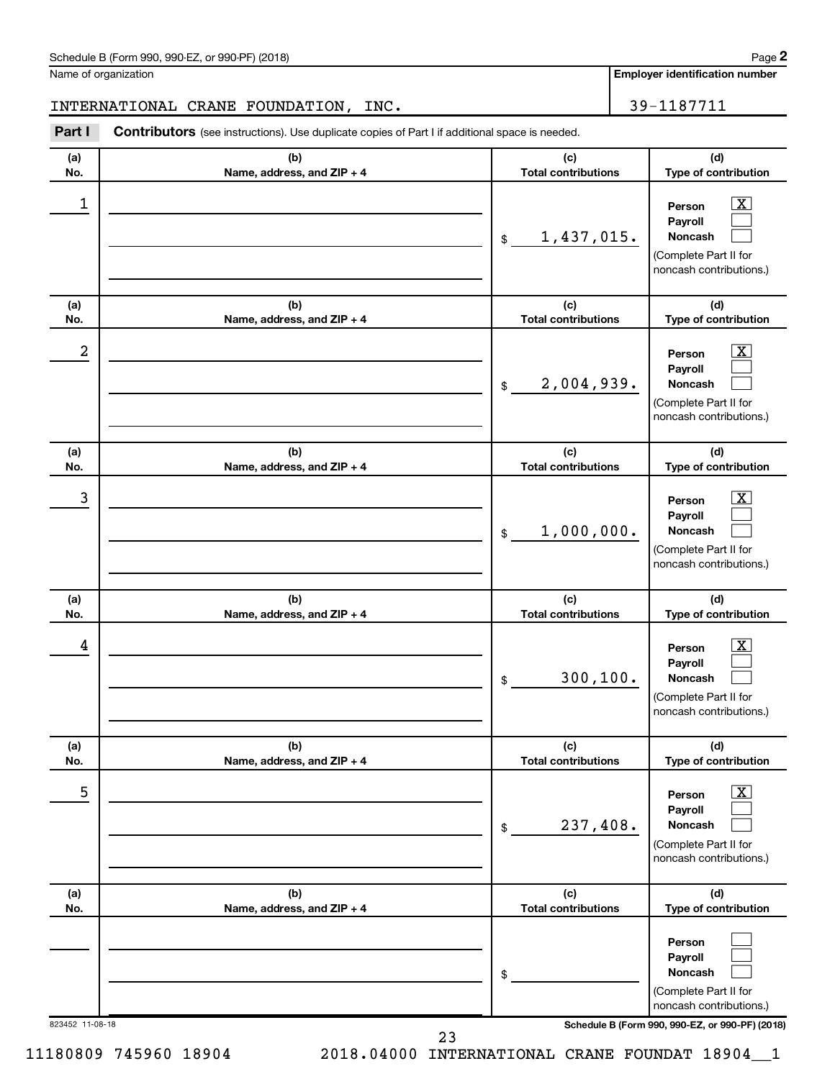| Schedule B (Form 990, 990-EZ, or 990-PF) (2018)<br>$\sqrt{2}$ , $\sqrt{2}$ , $\sqrt{2}$ , $\sqrt{2}$ , $\sqrt{2}$ | Page |
|-------------------------------------------------------------------------------------------------------------------|------|
|-------------------------------------------------------------------------------------------------------------------|------|

Name of organization

**Employer identification number**

### INTERNATIONAL CRANE FOUNDATION, INC. 29-1187711

**Part I** Contributors (see instructions). Use duplicate copies of Part I if additional space is needed.

| (a)<br>No.       | (b)<br>Name, address, and ZIP + 4 | (c)<br><b>Total contributions</b> | (d)<br>Type of contribution                                                                                                         |
|------------------|-----------------------------------|-----------------------------------|-------------------------------------------------------------------------------------------------------------------------------------|
| $\mathbf 1$      |                                   | 1,437,015.<br>\$                  | $\overline{\mathbf{X}}$<br>Person<br>Payroll<br>Noncash<br>(Complete Part II for<br>noncash contributions.)                         |
| (a)<br>No.       | (b)<br>Name, address, and ZIP + 4 | (c)<br><b>Total contributions</b> | (d)<br>Type of contribution                                                                                                         |
| $\boldsymbol{2}$ |                                   | 2,004,939.<br>\$                  | $\overline{\text{X}}$<br>Person<br>Payroll<br>Noncash<br>(Complete Part II for<br>noncash contributions.)                           |
| (a)<br>No.       | (b)<br>Name, address, and ZIP + 4 | (c)<br><b>Total contributions</b> | (d)<br>Type of contribution                                                                                                         |
| 3                |                                   | 1,000,000.<br>\$                  | $\overline{\text{X}}$<br>Person<br>Payroll<br>Noncash<br>(Complete Part II for<br>noncash contributions.)                           |
| (a)<br>No.       | (b)<br>Name, address, and ZIP + 4 | (c)<br><b>Total contributions</b> | (d)<br>Type of contribution                                                                                                         |
| 4                |                                   | 300, 100.<br>\$                   | $\overline{\text{X}}$<br>Person<br>Payroll<br>Noncash<br>(Complete Part II for<br>noncash contributions.)                           |
| (a)<br>NO.       | (b)<br>Name, address, and ZIP + 4 | (c)<br>Total contributions        | (d)<br>Type of contribution                                                                                                         |
| 5                |                                   | 237,408.<br>\$                    | $\boxed{\text{X}}$<br>Person<br>Payroll<br>Noncash<br>(Complete Part II for<br>noncash contributions.)                              |
| (a)<br>No.       | (b)<br>Name, address, and ZIP + 4 | (c)<br><b>Total contributions</b> | (d)<br>Type of contribution                                                                                                         |
| 823452 11-08-18  |                                   | \$                                | Person<br>Payroll<br>Noncash<br>(Complete Part II for<br>noncash contributions.)<br>Schedule B (Form 990, 990-EZ, or 990-PF) (2018) |
|                  | 23                                |                                   |                                                                                                                                     |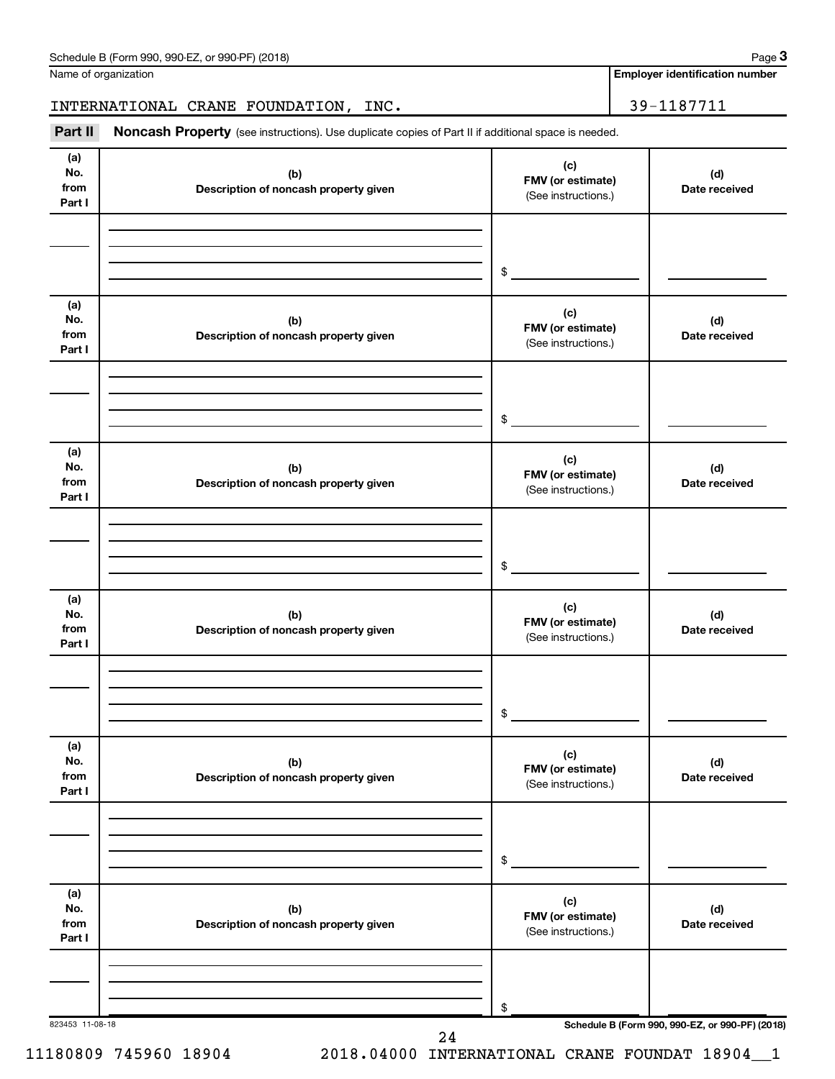| Schedule B (Form 990, 990-EZ, or 990-PF) (2018) | Page |
|-------------------------------------------------|------|
|-------------------------------------------------|------|

Name of organization

**Employer identification number**

INTERNATIONAL CRANE FOUNDATION, INC. 29-1187711

Part II Noncash Property (see instructions). Use duplicate copies of Part II if additional space is needed.

| (a)<br>No.<br>from<br>Part I | (b)<br>Description of noncash property given | (c)<br>FMV (or estimate)<br>(See instructions.) | (d)<br>Date received |
|------------------------------|----------------------------------------------|-------------------------------------------------|----------------------|
|                              |                                              | \$                                              |                      |
| (a)<br>No.<br>from<br>Part I | (b)<br>Description of noncash property given | (c)<br>FMV (or estimate)<br>(See instructions.) | (d)<br>Date received |
|                              |                                              | \$                                              |                      |
| (a)<br>No.<br>from<br>Part I | (b)<br>Description of noncash property given | (c)<br>FMV (or estimate)<br>(See instructions.) | (d)<br>Date received |
|                              |                                              | \$                                              |                      |
| (a)<br>No.<br>from<br>Part I | (b)<br>Description of noncash property given | (c)<br>FMV (or estimate)<br>(See instructions.) | (d)<br>Date received |
|                              |                                              | \$                                              |                      |
| (a)<br>No.<br>from<br>Part I | (b)<br>Description of noncash property given | (c)<br>FMV (or estimate)<br>(See instructions.) | (d)<br>Date received |
|                              |                                              | $\,$                                            |                      |
| (a)<br>No.<br>from<br>Part I | (b)<br>Description of noncash property given | (c)<br>FMV (or estimate)<br>(See instructions.) | (d)<br>Date received |
|                              |                                              | \$                                              |                      |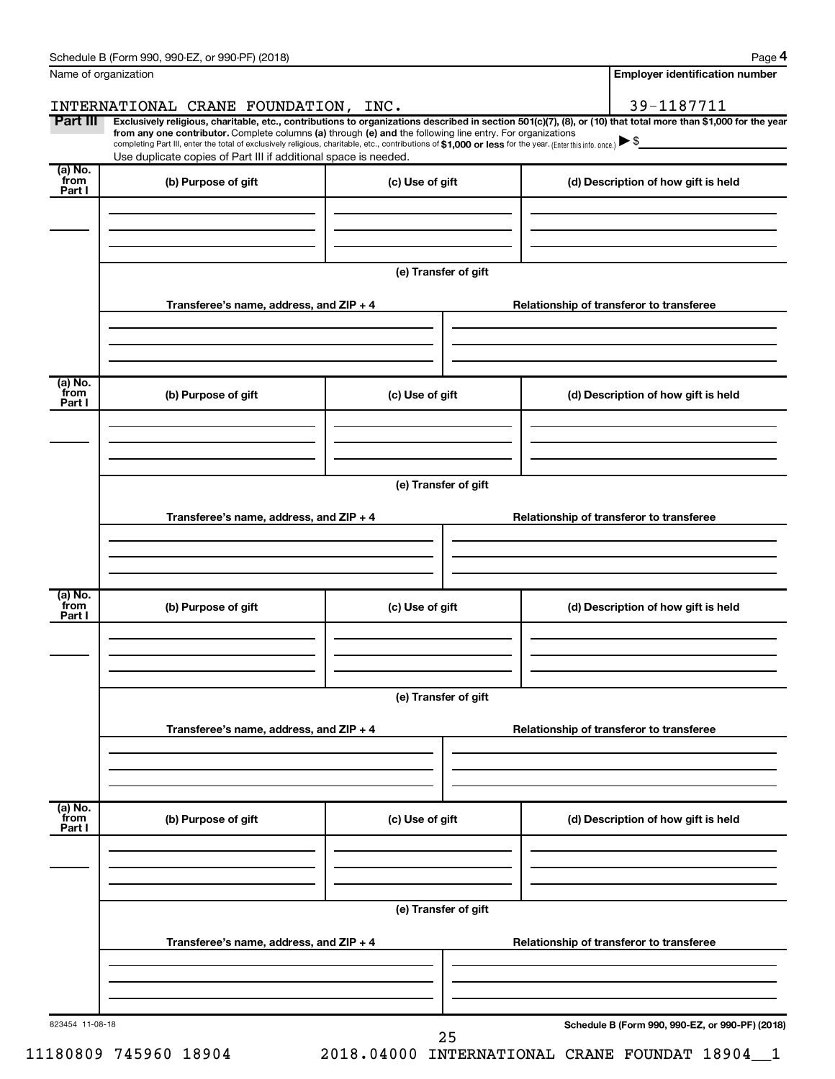| Name of organization        |                                                                                                                                                                                                                                                                                                                                           |                      | <b>Employer identification number</b>           |
|-----------------------------|-------------------------------------------------------------------------------------------------------------------------------------------------------------------------------------------------------------------------------------------------------------------------------------------------------------------------------------------|----------------------|-------------------------------------------------|
| Part III                    | INTERNATIONAL CRANE FOUNDATION, INC.<br>Exclusively religious, charitable, etc., contributions to organizations described in section 501(c)(7), (8), or (10) that total more than \$1,000 for the year                                                                                                                                    |                      | 39-1187711                                      |
|                             | from any one contributor. Complete columns (a) through (e) and the following line entry. For organizations<br>completing Part III, enter the total of exclusively religious, charitable, etc., contributions of \$1,000 or less for the year. (Enter this info. once.)<br>Use duplicate copies of Part III if additional space is needed. |                      |                                                 |
| (a) No.<br>from<br>Part I   | (b) Purpose of gift                                                                                                                                                                                                                                                                                                                       | (c) Use of gift      | (d) Description of how gift is held             |
|                             |                                                                                                                                                                                                                                                                                                                                           |                      |                                                 |
|                             |                                                                                                                                                                                                                                                                                                                                           | (e) Transfer of gift |                                                 |
|                             | Transferee's name, address, and ZIP + 4                                                                                                                                                                                                                                                                                                   |                      | Relationship of transferor to transferee        |
| (a) No.                     |                                                                                                                                                                                                                                                                                                                                           |                      |                                                 |
| from<br>Part I              | (b) Purpose of gift                                                                                                                                                                                                                                                                                                                       | (c) Use of gift      | (d) Description of how gift is held             |
|                             |                                                                                                                                                                                                                                                                                                                                           | (e) Transfer of gift |                                                 |
|                             | Transferee's name, address, and ZIP + 4                                                                                                                                                                                                                                                                                                   |                      | Relationship of transferor to transferee        |
|                             |                                                                                                                                                                                                                                                                                                                                           |                      |                                                 |
| $(a)$ No.<br>from<br>Part I | (b) Purpose of gift                                                                                                                                                                                                                                                                                                                       | (c) Use of gift      | (d) Description of how gift is held             |
|                             |                                                                                                                                                                                                                                                                                                                                           |                      |                                                 |
|                             |                                                                                                                                                                                                                                                                                                                                           | (e) Transfer of gift |                                                 |
|                             | Transferee's name, address, and ZIP + 4                                                                                                                                                                                                                                                                                                   |                      | Relationship of transferor to transferee        |
| (a) No.<br>from             |                                                                                                                                                                                                                                                                                                                                           |                      |                                                 |
| Part I                      | (b) Purpose of gift                                                                                                                                                                                                                                                                                                                       | (c) Use of gift      | (d) Description of how gift is held             |
|                             |                                                                                                                                                                                                                                                                                                                                           | (e) Transfer of gift |                                                 |
|                             | Transferee's name, address, and ZIP + 4                                                                                                                                                                                                                                                                                                   |                      | Relationship of transferor to transferee        |
|                             |                                                                                                                                                                                                                                                                                                                                           |                      |                                                 |
| 823454 11-08-18             |                                                                                                                                                                                                                                                                                                                                           | 25                   | Schedule B (Form 990, 990-EZ, or 990-PF) (2018) |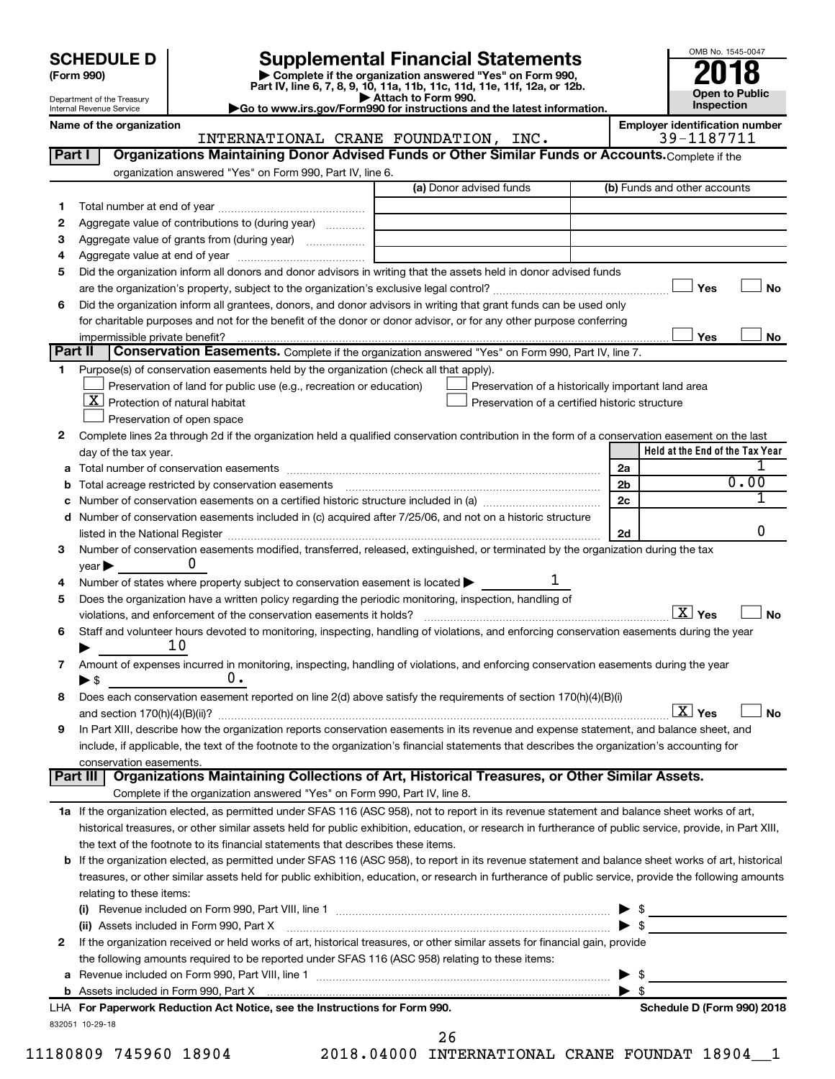# **SCHEDULE D Supplemental Financial Statements**<br> **Form 990 2018**<br> **Part IV** line 6.7.8.9.10, 11a, 11b, 11d, 11d, 11d, 11d, 11d, 12a, 0r, 12b



| (Form 990)<br>Department of the Treasury | ► Complete if the organization answered "Yes" on Form 990,<br>Part IV, line 6, 7, 8, 9, 10, 11a, 11b, 11c, 11d, 11e, 11f, 12a, or 12b.<br>► Attach to Form 990. | ZU IO<br><b>Open to Public</b>        |
|------------------------------------------|-----------------------------------------------------------------------------------------------------------------------------------------------------------------|---------------------------------------|
| Internal Revenue Service                 | Go to www.irs.gov/Form990 for instructions and the latest information.                                                                                          | <b>Inspection</b>                     |
| Name of the organization                 |                                                                                                                                                                 | <b>Employer identification number</b> |

OMB No. 1545-0047

|              | INTERNATIONAL CRANE FOUNDATION, INC.                                                                                                                      | 39-1187711                          |
|--------------|-----------------------------------------------------------------------------------------------------------------------------------------------------------|-------------------------------------|
| Part I       | Organizations Maintaining Donor Advised Funds or Other Similar Funds or Accounts. Complete if the                                                         |                                     |
|              | organization answered "Yes" on Form 990, Part IV, line 6.                                                                                                 |                                     |
|              | (a) Donor advised funds                                                                                                                                   | (b) Funds and other accounts        |
| 1            |                                                                                                                                                           |                                     |
| 2            | Aggregate value of contributions to (during year)                                                                                                         |                                     |
| 3            | Aggregate value of grants from (during year)                                                                                                              |                                     |
| 4            |                                                                                                                                                           |                                     |
| 5            | Did the organization inform all donors and donor advisors in writing that the assets held in donor advised funds                                          |                                     |
|              |                                                                                                                                                           | Yes<br>No                           |
| 6            | Did the organization inform all grantees, donors, and donor advisors in writing that grant funds can be used only                                         |                                     |
|              | for charitable purposes and not for the benefit of the donor or donor advisor, or for any other purpose conferring                                        |                                     |
|              | impermissible private benefit?                                                                                                                            | Yes<br>No                           |
| Part II      | Conservation Easements. Complete if the organization answered "Yes" on Form 990, Part IV, line 7.                                                         |                                     |
| 1            | Purpose(s) of conservation easements held by the organization (check all that apply).                                                                     |                                     |
|              | Preservation of land for public use (e.g., recreation or education)<br>Preservation of a historically important land area                                 |                                     |
|              | $\lfloor$ X $\rfloor$ Protection of natural habitat<br>Preservation of a certified historic structure                                                     |                                     |
|              | Preservation of open space                                                                                                                                |                                     |
| 2            | Complete lines 2a through 2d if the organization held a qualified conservation contribution in the form of a conservation easement on the last            |                                     |
|              | day of the tax year.                                                                                                                                      | Held at the End of the Tax Year     |
| а            |                                                                                                                                                           | 2a                                  |
| b            | Total acreage restricted by conservation easements manufactured acreage restricted by conservation easements                                              | 0.00<br>2 <sub>b</sub>              |
|              |                                                                                                                                                           | 2c                                  |
|              | d Number of conservation easements included in (c) acquired after 7/25/06, and not on a historic structure                                                |                                     |
|              |                                                                                                                                                           | 0<br>2d                             |
| 3            | Number of conservation easements modified, transferred, released, extinguished, or terminated by the organization during the tax                          |                                     |
|              | O<br>$year \blacktriangleright$                                                                                                                           |                                     |
| 4            | Number of states where property subject to conservation easement is located >                                                                             |                                     |
| 5            | Does the organization have a written policy regarding the periodic monitoring, inspection, handling of                                                    |                                     |
|              | violations, and enforcement of the conservation easements it holds?                                                                                       | $\boxed{\text{X}}$ Yes<br><b>No</b> |
| 6            | Staff and volunteer hours devoted to monitoring, inspecting, handling of violations, and enforcing conservation easements during the year                 |                                     |
|              | 10                                                                                                                                                        |                                     |
| 7            | Amount of expenses incurred in monitoring, inspecting, handling of violations, and enforcing conservation easements during the year                       |                                     |
|              | υ.<br>$\blacktriangleright$ \$                                                                                                                            |                                     |
| 8            | Does each conservation easement reported on line 2(d) above satisfy the requirements of section 170(h)(4)(B)(i)                                           |                                     |
|              |                                                                                                                                                           | $\overline{X}$ Yes<br>No            |
| 9            | In Part XIII, describe how the organization reports conservation easements in its revenue and expense statement, and balance sheet, and                   |                                     |
|              | include, if applicable, the text of the footnote to the organization's financial statements that describes the organization's accounting for              |                                     |
|              |                                                                                                                                                           |                                     |
|              | conservation easements.<br>Organizations Maintaining Collections of Art, Historical Treasures, or Other Similar Assets.<br>Part III                       |                                     |
|              | Complete if the organization answered "Yes" on Form 990, Part IV, line 8.                                                                                 |                                     |
|              | 1a If the organization elected, as permitted under SFAS 116 (ASC 958), not to report in its revenue statement and balance sheet works of art,             |                                     |
|              | historical treasures, or other similar assets held for public exhibition, education, or research in furtherance of public service, provide, in Part XIII, |                                     |
|              | the text of the footnote to its financial statements that describes these items.                                                                          |                                     |
|              |                                                                                                                                                           |                                     |
|              | b If the organization elected, as permitted under SFAS 116 (ASC 958), to report in its revenue statement and balance sheet works of art, historical       |                                     |
|              | treasures, or other similar assets held for public exhibition, education, or research in furtherance of public service, provide the following amounts     |                                     |
|              | relating to these items:                                                                                                                                  |                                     |
|              |                                                                                                                                                           | $\triangleright$ \$                 |
|              | (ii) Assets included in Form 990, Part X                                                                                                                  | $\blacktriangleright$ \$            |
| $\mathbf{2}$ | If the organization received or held works of art, historical treasures, or other similar assets for financial gain, provide                              |                                     |
|              | the following amounts required to be reported under SFAS 116 (ASC 958) relating to these items:                                                           |                                     |
| а            |                                                                                                                                                           | -\$<br>▶                            |
|              |                                                                                                                                                           | $\blacktriangleright$ \$            |
|              | LHA For Paperwork Reduction Act Notice, see the Instructions for Form 990.                                                                                | Schedule D (Form 990) 2018          |
|              | 832051 10-29-18<br>26                                                                                                                                     |                                     |
|              |                                                                                                                                                           |                                     |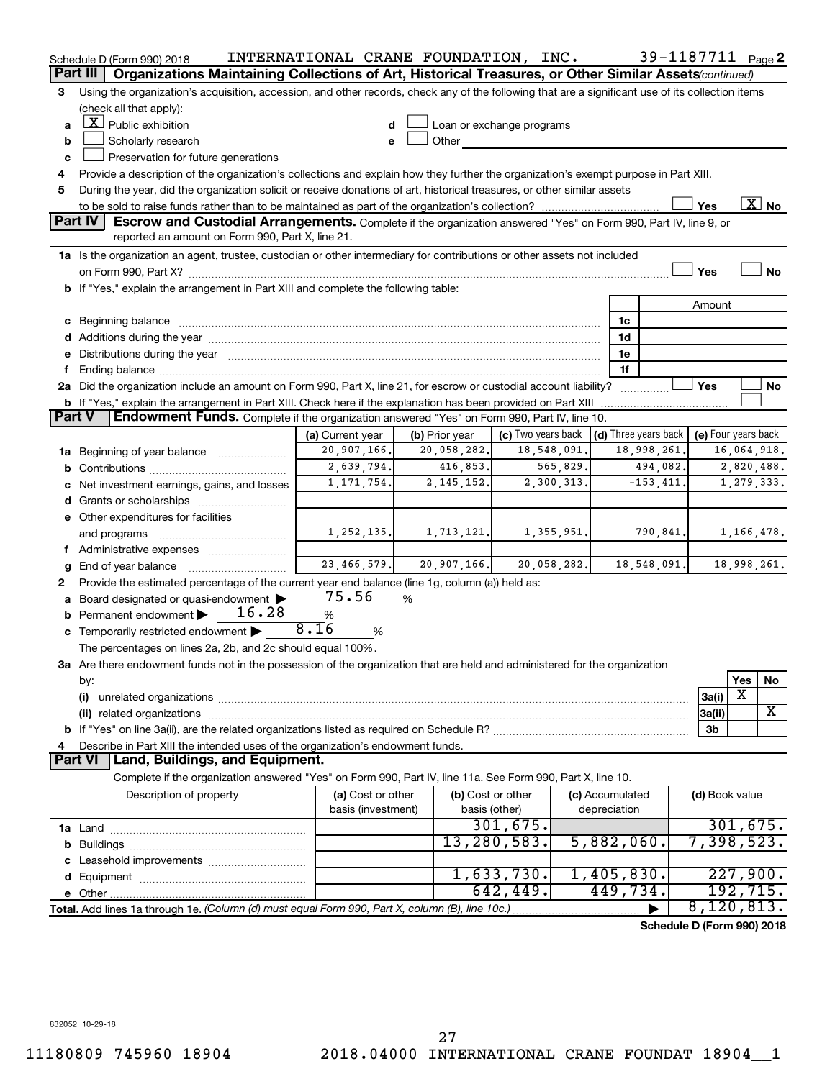|               | Schedule D (Form 990) 2018                                                                                                                                                                                                           | INTERNATIONAL CRANE FOUNDATION, INC. |                |                                                 |             |                 | 39-1187711 Page 2          |                     |             |                          |
|---------------|--------------------------------------------------------------------------------------------------------------------------------------------------------------------------------------------------------------------------------------|--------------------------------------|----------------|-------------------------------------------------|-------------|-----------------|----------------------------|---------------------|-------------|--------------------------|
|               | Part III<br>Organizations Maintaining Collections of Art, Historical Treasures, or Other Similar Assets (continued)                                                                                                                  |                                      |                |                                                 |             |                 |                            |                     |             |                          |
| 3             | Using the organization's acquisition, accession, and other records, check any of the following that are a significant use of its collection items                                                                                    |                                      |                |                                                 |             |                 |                            |                     |             |                          |
|               | (check all that apply):                                                                                                                                                                                                              |                                      |                |                                                 |             |                 |                            |                     |             |                          |
| a             | $X$ Public exhibition                                                                                                                                                                                                                |                                      |                | Loan or exchange programs                       |             |                 |                            |                     |             |                          |
| b             | Scholarly research                                                                                                                                                                                                                   |                                      | Other          |                                                 |             |                 |                            |                     |             |                          |
| c             | Preservation for future generations                                                                                                                                                                                                  |                                      |                |                                                 |             |                 |                            |                     |             |                          |
| 4             | Provide a description of the organization's collections and explain how they further the organization's exempt purpose in Part XIII.                                                                                                 |                                      |                |                                                 |             |                 |                            |                     |             |                          |
| 5             | During the year, did the organization solicit or receive donations of art, historical treasures, or other similar assets                                                                                                             |                                      |                |                                                 |             |                 |                            |                     |             |                          |
|               |                                                                                                                                                                                                                                      |                                      |                |                                                 |             |                 |                            | Yes                 |             | $\overline{\text{X}}$ No |
|               | Part IV<br><b>Escrow and Custodial Arrangements.</b> Complete if the organization answered "Yes" on Form 990, Part IV, line 9, or                                                                                                    |                                      |                |                                                 |             |                 |                            |                     |             |                          |
|               | reported an amount on Form 990, Part X, line 21.                                                                                                                                                                                     |                                      |                |                                                 |             |                 |                            |                     |             |                          |
|               | 1a Is the organization an agent, trustee, custodian or other intermediary for contributions or other assets not included                                                                                                             |                                      |                |                                                 |             |                 |                            | Yes                 |             | <b>No</b>                |
|               |                                                                                                                                                                                                                                      |                                      |                |                                                 |             |                 |                            |                     |             |                          |
|               | b If "Yes," explain the arrangement in Part XIII and complete the following table:                                                                                                                                                   |                                      |                |                                                 |             |                 |                            |                     |             |                          |
|               |                                                                                                                                                                                                                                      |                                      |                |                                                 |             | 1c              |                            | Amount              |             |                          |
|               | c Beginning balance <b>contract to the contract of the contract of the contract of the contract of the contract of the contract of the contract of the contract of the contract of the contract of the contract of the contract </b> |                                      |                |                                                 |             | 1d              |                            |                     |             |                          |
|               | e Distributions during the year manufactured and continuum and contact the year manufactured and contact the year manufactured and contact the year manufactured and contact the year manufactured and contact the year manufa       |                                      |                |                                                 |             | 1e              |                            |                     |             |                          |
|               |                                                                                                                                                                                                                                      |                                      |                |                                                 |             | 1f              |                            |                     |             |                          |
|               | 2a Did the organization include an amount on Form 990, Part X, line 21, for escrow or custodial account liability?                                                                                                                   |                                      |                |                                                 |             |                 |                            | Yes                 |             | No                       |
|               | <b>b</b> If "Yes," explain the arrangement in Part XIII. Check here if the explanation has been provided on Part XIII                                                                                                                |                                      |                |                                                 |             |                 |                            |                     |             |                          |
| <b>Part V</b> | <b>Endowment Funds.</b> Complete if the organization answered "Yes" on Form 990, Part IV, line 10.                                                                                                                                   |                                      |                |                                                 |             |                 |                            |                     |             |                          |
|               |                                                                                                                                                                                                                                      | (a) Current year                     | (b) Prior year | (c) Two years back $\vert$ (d) Three years back |             |                 |                            | (e) Four years back |             |                          |
|               | 1a Beginning of year balance                                                                                                                                                                                                         | 20,907,166.                          | 20,058,282.    | 18,548,091.                                     |             |                 | 18,998,261.                |                     | 16,064,918. |                          |
|               |                                                                                                                                                                                                                                      | 2,639,794.                           | 416,853.       |                                                 | 565,829.    |                 | 494,082.                   |                     | 2,820,488.  |                          |
|               | c Net investment earnings, gains, and losses                                                                                                                                                                                         | 1, 171, 754.                         | 2,145,152.     |                                                 | 2,300,313.  |                 | $-153, 411.$               |                     | 1,279,333.  |                          |
|               |                                                                                                                                                                                                                                      |                                      |                |                                                 |             |                 |                            |                     |             |                          |
|               | e Other expenditures for facilities                                                                                                                                                                                                  |                                      |                |                                                 |             |                 |                            |                     |             |                          |
|               | and programs                                                                                                                                                                                                                         | 1, 252, 135.                         | 1,713,121.     |                                                 | 1,355,951.  |                 | 790,841.                   |                     | 1,166,478.  |                          |
|               | f Administrative expenses                                                                                                                                                                                                            |                                      |                |                                                 |             |                 |                            |                     |             |                          |
| g             |                                                                                                                                                                                                                                      | 23,466,579.                          | 20,907,166.    |                                                 | 20,058,282. |                 | 18,548,091.                |                     | 18,998,261. |                          |
| 2             | Provide the estimated percentage of the current year end balance (line 1g, column (a)) held as:                                                                                                                                      |                                      |                |                                                 |             |                 |                            |                     |             |                          |
|               | a Board designated or quasi-endowment >                                                                                                                                                                                              | 75.56                                | %              |                                                 |             |                 |                            |                     |             |                          |
|               | <b>b</b> Permanent endowment $\blacktriangleright$<br>16.28                                                                                                                                                                          | %                                    |                |                                                 |             |                 |                            |                     |             |                          |
|               | <b>c</b> Temporarily restricted endowment $\blacktriangleright$                                                                                                                                                                      | 8.16<br>%                            |                |                                                 |             |                 |                            |                     |             |                          |
|               | The percentages on lines 2a, 2b, and 2c should equal 100%.                                                                                                                                                                           |                                      |                |                                                 |             |                 |                            |                     |             |                          |
|               | 3a Are there endowment funds not in the possession of the organization that are held and administered for the organization                                                                                                           |                                      |                |                                                 |             |                 |                            |                     |             |                          |
|               | by:                                                                                                                                                                                                                                  |                                      |                |                                                 |             |                 |                            |                     | Yes         | No                       |
|               | (i)                                                                                                                                                                                                                                  |                                      |                |                                                 |             |                 |                            | 3a(i)               | х           | X                        |
|               |                                                                                                                                                                                                                                      |                                      |                |                                                 |             |                 |                            | 3a(ii)              |             |                          |
|               |                                                                                                                                                                                                                                      |                                      |                |                                                 |             |                 |                            | 3b                  |             |                          |
| 4             | Describe in Part XIII the intended uses of the organization's endowment funds.<br><b>Part VI</b><br>Land, Buildings, and Equipment.                                                                                                  |                                      |                |                                                 |             |                 |                            |                     |             |                          |
|               | Complete if the organization answered "Yes" on Form 990, Part IV, line 11a. See Form 990, Part X, line 10.                                                                                                                           |                                      |                |                                                 |             |                 |                            |                     |             |                          |
|               | Description of property                                                                                                                                                                                                              | (a) Cost or other                    |                | (b) Cost or other                               |             | (c) Accumulated |                            | (d) Book value      |             |                          |
|               |                                                                                                                                                                                                                                      | basis (investment)                   |                | basis (other)                                   |             | depreciation    |                            |                     |             |                          |
|               |                                                                                                                                                                                                                                      |                                      |                | 301, 675.                                       |             |                 |                            |                     | 301,675.    |                          |
|               |                                                                                                                                                                                                                                      |                                      |                | 13,280,583.                                     |             | 5,882,060.      |                            | 7,398,523.          |             |                          |
|               |                                                                                                                                                                                                                                      |                                      |                |                                                 |             |                 |                            |                     |             |                          |
|               |                                                                                                                                                                                                                                      |                                      |                | 1,633,730.                                      |             | 1,405,830.      |                            |                     | 227,900.    |                          |
|               |                                                                                                                                                                                                                                      |                                      |                | 642, 449.                                       |             | 449,734.        |                            |                     | 192, 715.   |                          |
|               | Total. Add lines 1a through 1e. (Column (d) must equal Form 990, Part X, column (B), line 10c.)                                                                                                                                      |                                      |                |                                                 |             |                 |                            | 8,120,813.          |             |                          |
|               |                                                                                                                                                                                                                                      |                                      |                |                                                 |             |                 | Schedule D (Form 990) 2018 |                     |             |                          |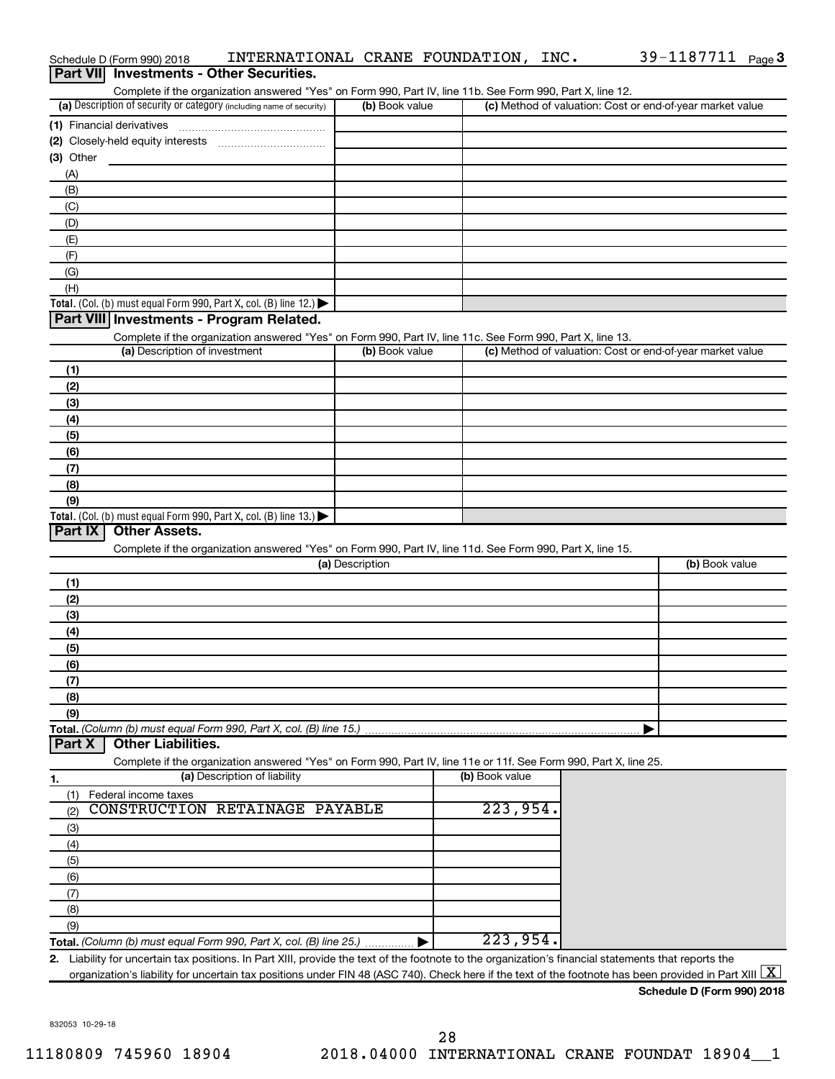|                  | Schedule D (Form 990) 2018    | INTERNATIONAL CRANE FOUNDATION, INC.                                                                                                                     |                 |                |  | 39-1187711 Page 3                                         |  |
|------------------|-------------------------------|----------------------------------------------------------------------------------------------------------------------------------------------------------|-----------------|----------------|--|-----------------------------------------------------------|--|
| <b>Part VIII</b> |                               | <b>Investments - Other Securities.</b>                                                                                                                   |                 |                |  |                                                           |  |
|                  |                               | Complete if the organization answered "Yes" on Form 990, Part IV, line 11b. See Form 990, Part X, line 12.                                               |                 |                |  |                                                           |  |
|                  |                               | (a) Description of security or category (including name of security)                                                                                     | (b) Book value  |                |  | (c) Method of valuation: Cost or end-of-year market value |  |
|                  |                               |                                                                                                                                                          |                 |                |  |                                                           |  |
|                  |                               |                                                                                                                                                          |                 |                |  |                                                           |  |
| (3) Other        |                               |                                                                                                                                                          |                 |                |  |                                                           |  |
| (A)              |                               |                                                                                                                                                          |                 |                |  |                                                           |  |
| (B)              |                               |                                                                                                                                                          |                 |                |  |                                                           |  |
| (C)              |                               |                                                                                                                                                          |                 |                |  |                                                           |  |
| (D)              |                               |                                                                                                                                                          |                 |                |  |                                                           |  |
| (E)              |                               |                                                                                                                                                          |                 |                |  |                                                           |  |
| (F)              |                               |                                                                                                                                                          |                 |                |  |                                                           |  |
| (G)              |                               |                                                                                                                                                          |                 |                |  |                                                           |  |
| (H)              |                               |                                                                                                                                                          |                 |                |  |                                                           |  |
|                  |                               | Total. (Col. (b) must equal Form 990, Part X, col. (B) line 12.)                                                                                         |                 |                |  |                                                           |  |
|                  |                               | Part VIII Investments - Program Related.                                                                                                                 |                 |                |  |                                                           |  |
|                  |                               | Complete if the organization answered "Yes" on Form 990, Part IV, line 11c. See Form 990, Part X, line 13.                                               |                 |                |  |                                                           |  |
|                  | (a) Description of investment |                                                                                                                                                          | (b) Book value  |                |  | (c) Method of valuation: Cost or end-of-year market value |  |
| (1)              |                               |                                                                                                                                                          |                 |                |  |                                                           |  |
| (2)              |                               |                                                                                                                                                          |                 |                |  |                                                           |  |
| (3)              |                               |                                                                                                                                                          |                 |                |  |                                                           |  |
| (4)              |                               |                                                                                                                                                          |                 |                |  |                                                           |  |
| (5)              |                               |                                                                                                                                                          |                 |                |  |                                                           |  |
| (6)              |                               |                                                                                                                                                          |                 |                |  |                                                           |  |
| (7)              |                               |                                                                                                                                                          |                 |                |  |                                                           |  |
| (8)              |                               |                                                                                                                                                          |                 |                |  |                                                           |  |
| (9)              |                               | Total. (Col. (b) must equal Form 990, Part X, col. (B) line 13.)                                                                                         |                 |                |  |                                                           |  |
| Part IX          | <b>Other Assets.</b>          |                                                                                                                                                          |                 |                |  |                                                           |  |
|                  |                               | Complete if the organization answered "Yes" on Form 990, Part IV, line 11d. See Form 990, Part X, line 15.                                               |                 |                |  |                                                           |  |
|                  |                               |                                                                                                                                                          | (a) Description |                |  | (b) Book value                                            |  |
| (1)              |                               |                                                                                                                                                          |                 |                |  |                                                           |  |
| (2)              |                               |                                                                                                                                                          |                 |                |  |                                                           |  |
| (3)              |                               |                                                                                                                                                          |                 |                |  |                                                           |  |
| (4)              |                               |                                                                                                                                                          |                 |                |  |                                                           |  |
| (5)              |                               |                                                                                                                                                          |                 |                |  |                                                           |  |
| (6)              |                               |                                                                                                                                                          |                 |                |  |                                                           |  |
| (7)              |                               |                                                                                                                                                          |                 |                |  |                                                           |  |
| (8)              |                               |                                                                                                                                                          |                 |                |  |                                                           |  |
| (9)              |                               |                                                                                                                                                          |                 |                |  |                                                           |  |
|                  |                               | Total. (Column (b) must equal Form 990, Part X, col. (B) line 15.)                                                                                       |                 |                |  |                                                           |  |
| Part X           | <b>Other Liabilities.</b>     |                                                                                                                                                          |                 |                |  |                                                           |  |
|                  |                               | Complete if the organization answered "Yes" on Form 990, Part IV, line 11e or 11f. See Form 990, Part X, line 25.                                        |                 |                |  |                                                           |  |
| 1.               |                               | (a) Description of liability                                                                                                                             |                 | (b) Book value |  |                                                           |  |
| (1)              | Federal income taxes          |                                                                                                                                                          |                 |                |  |                                                           |  |
| (2)              |                               | CONSTRUCTION RETAINAGE PAYABLE                                                                                                                           |                 | 223,954.       |  |                                                           |  |
| (3)              |                               |                                                                                                                                                          |                 |                |  |                                                           |  |
| (4)              |                               |                                                                                                                                                          |                 |                |  |                                                           |  |
| (5)              |                               |                                                                                                                                                          |                 |                |  |                                                           |  |
| (6)              |                               |                                                                                                                                                          |                 |                |  |                                                           |  |
| (7)              |                               |                                                                                                                                                          |                 |                |  |                                                           |  |
| (8)              |                               |                                                                                                                                                          |                 |                |  |                                                           |  |
| (9)              |                               |                                                                                                                                                          |                 |                |  |                                                           |  |
|                  |                               | Total. (Column (b) must equal Form 990, Part X, col. (B) line 25.)  ▶                                                                                    |                 | 223,954.       |  |                                                           |  |
|                  |                               | 2. Liability for uncertain tax positions. In Part XIII, provide the text of the footnote to the organization's financial statements that reports the     |                 |                |  |                                                           |  |
|                  |                               | organization's liability for uncertain tax positions under FIN 48 (ASC 740). Check here if the text of the footnote has been provided in Part XIII $ X $ |                 |                |  |                                                           |  |
|                  |                               |                                                                                                                                                          |                 |                |  | Schedule D (Form 990) 2018                                |  |

39-1187711 Page 3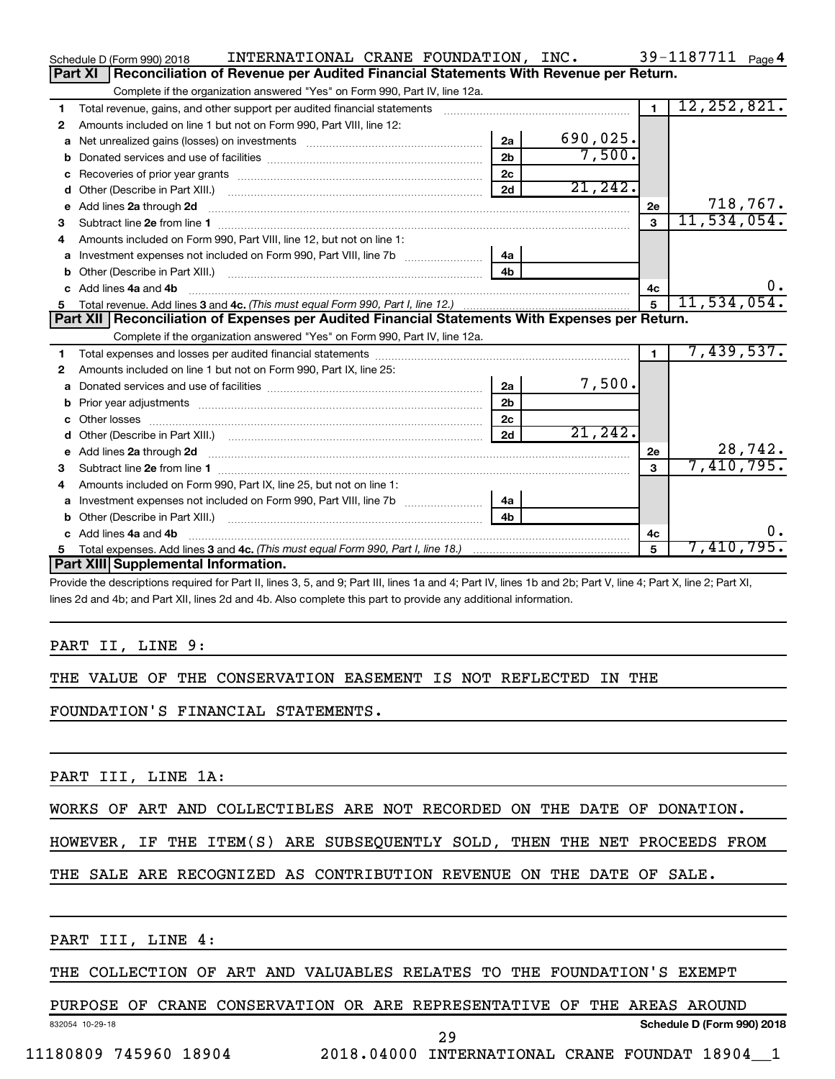|    | INTERNATIONAL CRANE FOUNDATION, INC.<br>Schedule D (Form 990) 2018                                                      |                |          |                | 39-1187711 Page 4  |
|----|-------------------------------------------------------------------------------------------------------------------------|----------------|----------|----------------|--------------------|
|    | Part XI<br>Reconciliation of Revenue per Audited Financial Statements With Revenue per Return.                          |                |          |                |                    |
|    | Complete if the organization answered "Yes" on Form 990, Part IV, line 12a.                                             |                |          |                |                    |
| 1  | Total revenue, gains, and other support per audited financial statements                                                |                |          | $\overline{1}$ | 12, 252, 821.      |
| 2  | Amounts included on line 1 but not on Form 990, Part VIII, line 12:                                                     |                |          |                |                    |
| a  |                                                                                                                         | 2a             | 690,025. |                |                    |
| b  |                                                                                                                         | 2 <sub>b</sub> | 7,500.   |                |                    |
| c  |                                                                                                                         | 2 <sub>c</sub> |          |                |                    |
| d  |                                                                                                                         | 2d             | 21, 242. |                |                    |
| е  | Add lines 2a through 2d                                                                                                 |                |          | 2е             | 718,767.           |
| з  | Subtract line 2e from line 1                                                                                            |                |          | 3              | 11,534,054.        |
| 4  | Amounts included on Form 990. Part VIII. line 12, but not on line 1:                                                    |                |          |                |                    |
|    |                                                                                                                         | 4a             |          |                |                    |
|    |                                                                                                                         | 4 <sub>b</sub> |          |                |                    |
| c. | Add lines 4a and 4b                                                                                                     |                |          | 4с             | $0$ .              |
|    |                                                                                                                         |                |          | $\overline{5}$ | 11,534,054.        |
|    |                                                                                                                         |                |          |                |                    |
|    | Part XII   Reconciliation of Expenses per Audited Financial Statements With Expenses per Return.                        |                |          |                |                    |
|    | Complete if the organization answered "Yes" on Form 990, Part IV, line 12a.                                             |                |          |                |                    |
| 1  |                                                                                                                         |                |          | $\blacksquare$ | 7,439,537.         |
| 2  | Amounts included on line 1 but not on Form 990, Part IX, line 25:                                                       |                |          |                |                    |
| a  |                                                                                                                         | 2a             | 7,500.   |                |                    |
| b  |                                                                                                                         | 2 <sub>b</sub> |          |                |                    |
|    |                                                                                                                         | 2 <sub>c</sub> |          |                |                    |
| d  |                                                                                                                         | 2d             | 21, 242. |                |                    |
| е  | Add lines 2a through 2d <b>contract and a contract and a contract a</b> contract a contract and a contract a contract a |                |          | 2e             | 28,742.            |
| З  |                                                                                                                         |                |          | $\mathbf{a}$   | 7,410,795.         |
| 4  | Amounts included on Form 990, Part IX, line 25, but not on line 1:                                                      |                |          |                |                    |
| a  |                                                                                                                         | 4a             |          |                |                    |
| b  |                                                                                                                         | 4 <sub>h</sub> |          |                |                    |
|    | c Add lines 4a and 4b                                                                                                   |                |          | 4c             | υ.                 |
| 5  | Part XIII Supplemental Information.                                                                                     |                |          | 5              | 7,410,795 <b>.</b> |

Provide the descriptions required for Part II, lines 3, 5, and 9; Part III, lines 1a and 4; Part IV, lines 1b and 2b; Part V, line 4; Part X, line 2; Part XI, lines 2d and 4b; and Part XII, lines 2d and 4b. Also complete this part to provide any additional information.

### PART II, LINE 9:

### THE VALUE OF THE CONSERVATION EASEMENT IS NOT REFLECTED IN THE

FOUNDATION'S FINANCIAL STATEMENTS.

PART III, LINE 1A:

### WORKS OF ART AND COLLECTIBLES ARE NOT RECORDED ON THE DATE OF DONATION.

### HOWEVER, IF THE ITEM(S) ARE SUBSEQUENTLY SOLD, THEN THE NET PROCEEDS FROM

### THE SALE ARE RECOGNIZED AS CONTRIBUTION REVENUE ON THE DATE OF SALE.

PART III, LINE 4:

### THE COLLECTION OF ART AND VALUABLES RELATES TO THE FOUNDATION'S EXEMPT

### PURPOSE OF CRANE CONSERVATION OR ARE REPRESENTATIVE OF THE AREAS AROUND

832054 10-29-18

29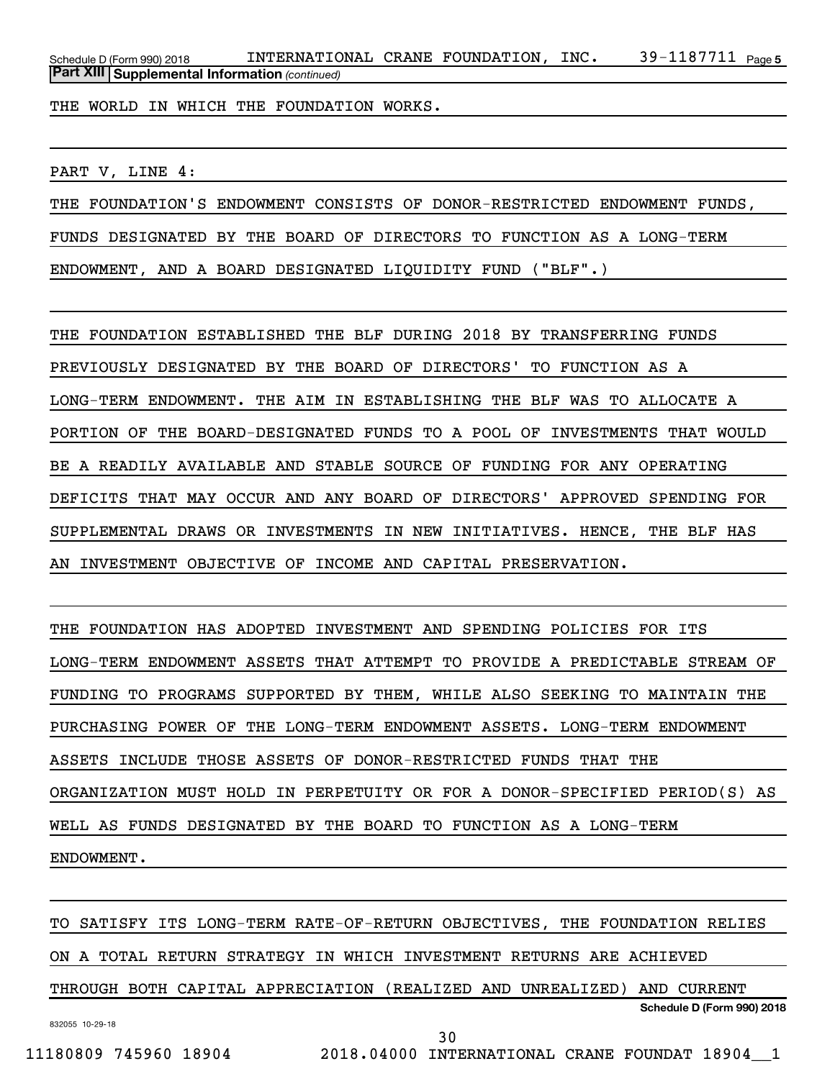39-1187711 Page 5 *(continued)* **Part XIII Supplemental Information**  Schedule D (Form 990) 2018  $\;$  <code>INTERNATIONAL CRANE FOUNDATION</code> , <code>INC</code>  $\;$  <code>39–1187711</code>  $\;$  <code>Page</code>

THE WORLD IN WHICH THE FOUNDATION WORKS.

PART V, LINE 4:

THE FOUNDATION'S ENDOWMENT CONSISTS OF DONOR-RESTRICTED ENDOWMENT FUNDS, FUNDS DESIGNATED BY THE BOARD OF DIRECTORS TO FUNCTION AS A LONG-TERM ENDOWMENT, AND A BOARD DESIGNATED LIQUIDITY FUND ("BLF".)

THE FOUNDATION ESTABLISHED THE BLF DURING 2018 BY TRANSFERRING FUNDS PREVIOUSLY DESIGNATED BY THE BOARD OF DIRECTORS' TO FUNCTION AS A LONG-TERM ENDOWMENT. THE AIM IN ESTABLISHING THE BLF WAS TO ALLOCATE A PORTION OF THE BOARD-DESIGNATED FUNDS TO A POOL OF INVESTMENTS THAT WOULD BE A READILY AVAILABLE AND STABLE SOURCE OF FUNDING FOR ANY OPERATING DEFICITS THAT MAY OCCUR AND ANY BOARD OF DIRECTORS' APPROVED SPENDING FOR SUPPLEMENTAL DRAWS OR INVESTMENTS IN NEW INITIATIVES. HENCE, THE BLF HAS AN INVESTMENT OBJECTIVE OF INCOME AND CAPITAL PRESERVATION.

THE FOUNDATION HAS ADOPTED INVESTMENT AND SPENDING POLICIES FOR ITS LONG-TERM ENDOWMENT ASSETS THAT ATTEMPT TO PROVIDE A PREDICTABLE STREAM OF FUNDING TO PROGRAMS SUPPORTED BY THEM, WHILE ALSO SEEKING TO MAINTAIN THE PURCHASING POWER OF THE LONG-TERM ENDOWMENT ASSETS. LONG-TERM ENDOWMENT ASSETS INCLUDE THOSE ASSETS OF DONOR-RESTRICTED FUNDS THAT THE ORGANIZATION MUST HOLD IN PERPETUITY OR FOR A DONOR-SPECIFIED PERIOD(S) AS WELL AS FUNDS DESIGNATED BY THE BOARD TO FUNCTION AS A LONG-TERM ENDOWMENT.

832055 10-29-18 **Schedule D (Form 990) 2018** TO SATISFY ITS LONG-TERM RATE-OF-RETURN OBJECTIVES, THE FOUNDATION RELIES ON A TOTAL RETURN STRATEGY IN WHICH INVESTMENT RETURNS ARE ACHIEVED THROUGH BOTH CAPITAL APPRECIATION (REALIZED AND UNREALIZED) AND CURRENT

30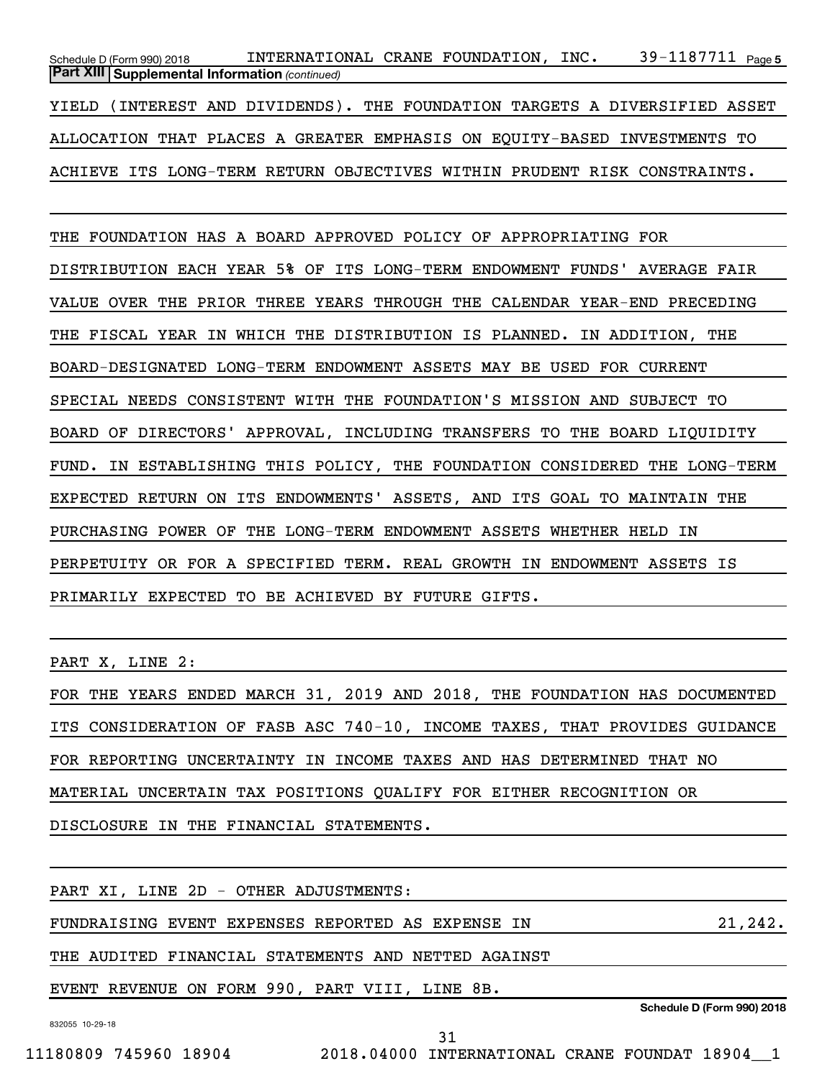39-1187711 Page 5 *(continued)* **Part XIII Supplemental Information**  Schedule D (Form 990) 2018  $\;$  <code>INTERNATIONAL CRANE FOUNDATION</code> , <code>INC</code>  $\;$  <code>39–1187711</code>  $\;$  <code>Page</code> YIELD (INTEREST AND DIVIDENDS). THE FOUNDATION TARGETS A DIVERSIFIED ASSET ALLOCATION THAT PLACES A GREATER EMPHASIS ON EQUITY-BASED INVESTMENTS TO ACHIEVE ITS LONG-TERM RETURN OBJECTIVES WITHIN PRUDENT RISK CONSTRAINTS.

THE FOUNDATION HAS A BOARD APPROVED POLICY OF APPROPRIATING FOR DISTRIBUTION EACH YEAR 5% OF ITS LONG-TERM ENDOWMENT FUNDS' AVERAGE FAIR VALUE OVER THE PRIOR THREE YEARS THROUGH THE CALENDAR YEAR-END PRECEDING THE FISCAL YEAR IN WHICH THE DISTRIBUTION IS PLANNED. IN ADDITION, THE BOARD-DESIGNATED LONG-TERM ENDOWMENT ASSETS MAY BE USED FOR CURRENT SPECIAL NEEDS CONSISTENT WITH THE FOUNDATION'S MISSION AND SUBJECT TO BOARD OF DIRECTORS' APPROVAL, INCLUDING TRANSFERS TO THE BOARD LIQUIDITY FUND. IN ESTABLISHING THIS POLICY, THE FOUNDATION CONSIDERED THE LONG-TERM EXPECTED RETURN ON ITS ENDOWMENTS' ASSETS, AND ITS GOAL TO MAINTAIN THE PURCHASING POWER OF THE LONG-TERM ENDOWMENT ASSETS WHETHER HELD IN PERPETUITY OR FOR A SPECIFIED TERM. REAL GROWTH IN ENDOWMENT ASSETS IS PRIMARILY EXPECTED TO BE ACHIEVED BY FUTURE GIFTS.

PART X, LINE 2:

FOR THE YEARS ENDED MARCH 31, 2019 AND 2018, THE FOUNDATION HAS DOCUMENTED ITS CONSIDERATION OF FASB ASC 740-10, INCOME TAXES, THAT PROVIDES GUIDANCE FOR REPORTING UNCERTAINTY IN INCOME TAXES AND HAS DETERMINED THAT NO MATERIAL UNCERTAIN TAX POSITIONS QUALIFY FOR EITHER RECOGNITION OR DISCLOSURE IN THE FINANCIAL STATEMENTS.

832055 10-29-18 **Schedule D (Form 990) 2018** PART XI, LINE 2D - OTHER ADJUSTMENTS: FUNDRAISING EVENT EXPENSES REPORTED AS EXPENSE IN 21,242. THE AUDITED FINANCIAL STATEMENTS AND NETTED AGAINST EVENT REVENUE ON FORM 990, PART VIII, LINE 8B. 31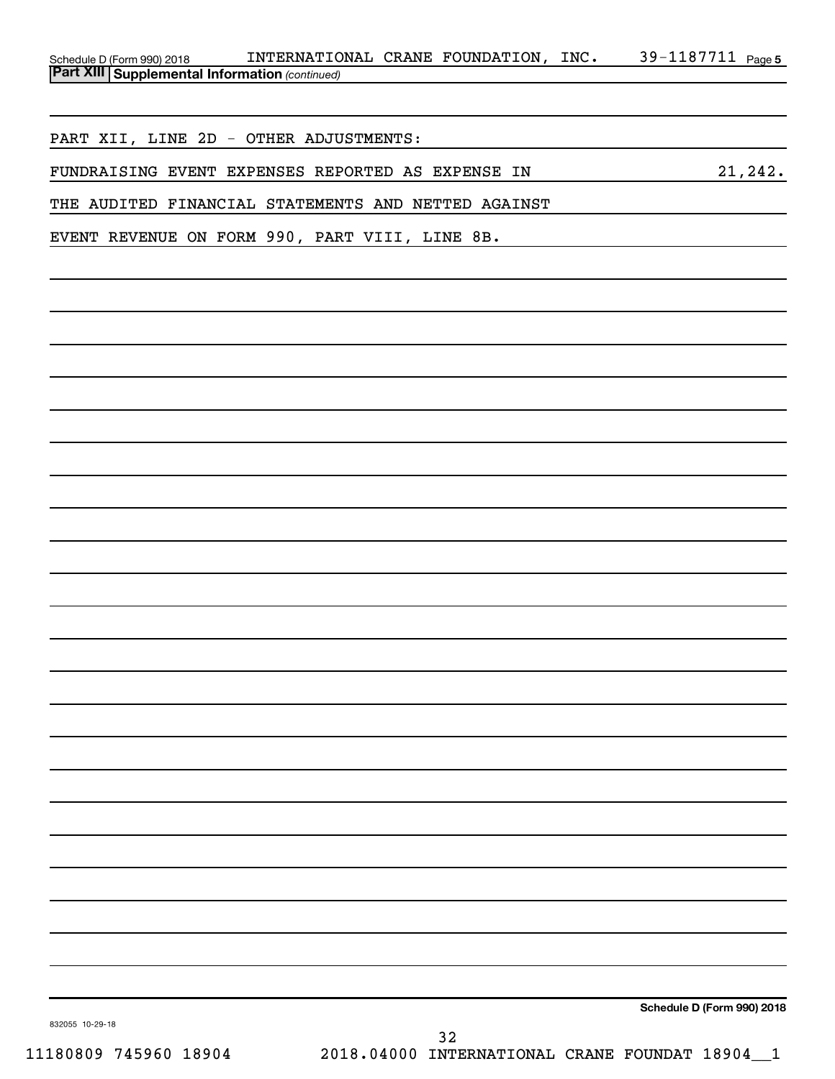| Schedule D (Form 990) 2018                            | INTERNATIONAL CRANE FOUNDATION, |  | INC. | 39-1187711 $_{Page 5}$ |  |
|-------------------------------------------------------|---------------------------------|--|------|------------------------|--|
| <b>Part XIII Supplemental Information (continued)</b> |                                 |  |      |                        |  |

PART XII, LINE 2D - OTHER ADJUSTMENTS:

FUNDRAISING EVENT EXPENSES REPORTED AS EXPENSE IN 21,242.

THE AUDITED FINANCIAL STATEMENTS AND NETTED AGAINST

EVENT REVENUE ON FORM 990, PART VIII, LINE 8B.

**Schedule D (Form 990) 2018**

832055 10-29-18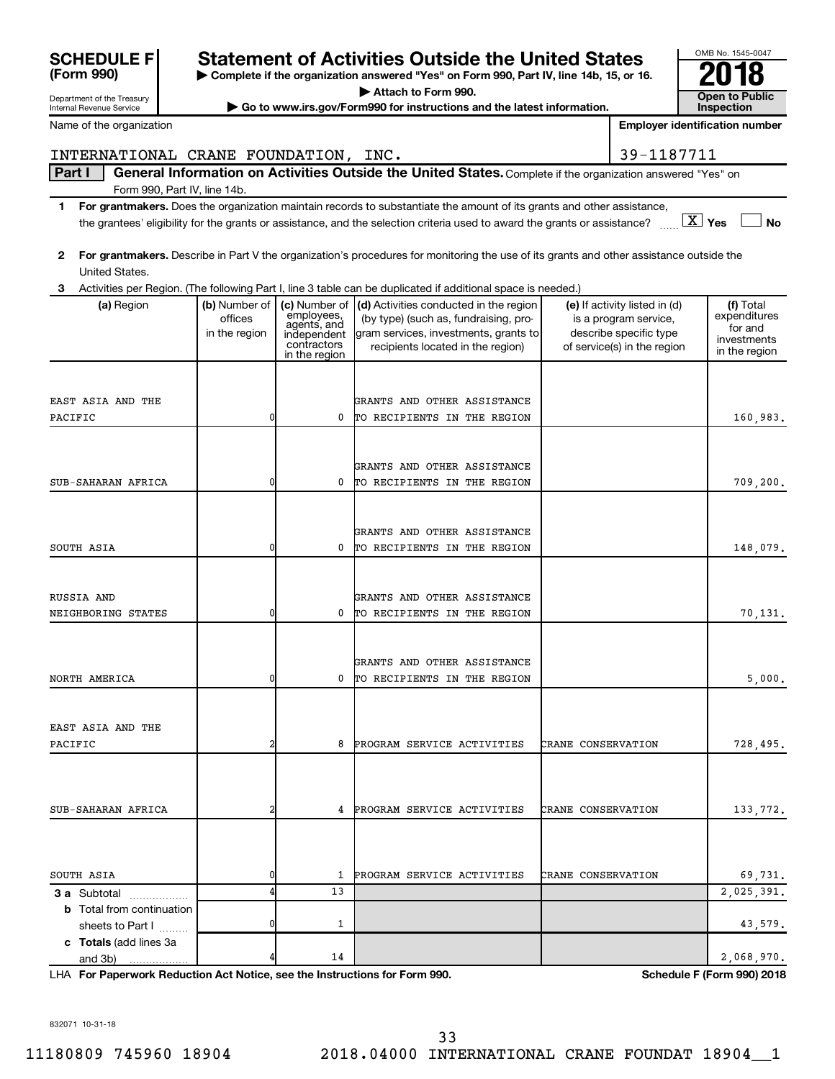| Department of the Treasury             |                          |                              | $\blacktriangleright$ Attach to Form 990.                                                                                                                    |                           |                                                        | <b>Open to Public</b>                 |
|----------------------------------------|--------------------------|------------------------------|--------------------------------------------------------------------------------------------------------------------------------------------------------------|---------------------------|--------------------------------------------------------|---------------------------------------|
| Internal Revenue Service               |                          |                              | Go to www.irs.gov/Form990 for instructions and the latest information.                                                                                       |                           |                                                        | <b>Inspection</b>                     |
| Name of the organization               |                          |                              |                                                                                                                                                              |                           |                                                        | <b>Employer identification number</b> |
| INTERNATIONAL CRANE FOUNDATION, INC.   |                          |                              |                                                                                                                                                              |                           | 39-1187711                                             |                                       |
| Part I<br>Form 990, Part IV, line 14b. |                          |                              | General Information on Activities Outside the United States. Complete if the organization answered "Yes" on                                                  |                           |                                                        |                                       |
| 1.                                     |                          |                              | For grantmakers. Does the organization maintain records to substantiate the amount of its grants and other assistance,                                       |                           |                                                        |                                       |
|                                        |                          |                              | the grantees' eligibility for the grants or assistance, and the selection criteria used to award the grants or assistance? $\ldots$ $\boxed{\mathbf{X}}$ Yes |                           |                                                        | No l                                  |
| $\mathbf{2}$                           |                          |                              | For grantmakers. Describe in Part V the organization's procedures for monitoring the use of its grants and other assistance outside the                      |                           |                                                        |                                       |
| United States.                         |                          |                              |                                                                                                                                                              |                           |                                                        |                                       |
|                                        |                          |                              | 3 Activities per Region. (The following Part I, line 3 table can be duplicated if additional space is needed.)                                               |                           |                                                        |                                       |
| (a) Region                             | (b) Number of<br>offices | employees,                   | (c) Number of $\vert$ (d) Activities conducted in the region<br>(by type) (such as, fundraising, pro-                                                        |                           | (e) If activity listed in (d)<br>is a program service, | (f) Total<br>expenditures             |
|                                        | in the region            | agents, and<br>independent   | gram services, investments, grants to                                                                                                                        |                           | describe specific type                                 | for and                               |
|                                        |                          | contractors<br>in the region | recipients located in the region)                                                                                                                            |                           | of service(s) in the region                            | investments<br>in the region          |
|                                        |                          |                              |                                                                                                                                                              |                           |                                                        |                                       |
|                                        |                          |                              |                                                                                                                                                              |                           |                                                        |                                       |
| EAST ASIA AND THE                      |                          |                              | GRANTS AND OTHER ASSISTANCE                                                                                                                                  |                           |                                                        |                                       |
| PACIFIC                                | $\overline{0}$           | 0                            | TO RECIPIENTS IN THE REGION                                                                                                                                  |                           |                                                        | 160,983.                              |
|                                        |                          |                              |                                                                                                                                                              |                           |                                                        |                                       |
|                                        |                          |                              | GRANTS AND OTHER ASSISTANCE                                                                                                                                  |                           |                                                        |                                       |
| SUB-SAHARAN AFRICA                     | 0                        | 0                            | TO RECIPIENTS IN THE REGION                                                                                                                                  |                           |                                                        | 709,200.                              |
|                                        |                          |                              |                                                                                                                                                              |                           |                                                        |                                       |
|                                        |                          |                              |                                                                                                                                                              |                           |                                                        |                                       |
|                                        |                          |                              | GRANTS AND OTHER ASSISTANCE                                                                                                                                  |                           |                                                        |                                       |
| SOUTH ASIA                             | 0                        | 0                            | TO RECIPIENTS IN THE REGION                                                                                                                                  |                           |                                                        | 148,079.                              |
|                                        |                          |                              |                                                                                                                                                              |                           |                                                        |                                       |
| RUSSIA AND                             |                          |                              | GRANTS AND OTHER ASSISTANCE                                                                                                                                  |                           |                                                        |                                       |
| NEIGHBORING STATES                     | $\overline{0}$           | 0                            | TO RECIPIENTS IN THE REGION                                                                                                                                  |                           |                                                        | 70,131.                               |
|                                        |                          |                              |                                                                                                                                                              |                           |                                                        |                                       |
|                                        |                          |                              | GRANTS AND OTHER ASSISTANCE                                                                                                                                  |                           |                                                        |                                       |
| NORTH AMERICA                          | 0                        | 0                            | TO RECIPIENTS IN THE REGION                                                                                                                                  |                           |                                                        | 5,000.                                |
|                                        |                          |                              |                                                                                                                                                              |                           |                                                        |                                       |
|                                        |                          |                              |                                                                                                                                                              |                           |                                                        |                                       |
| EAST ASIA AND THE                      |                          |                              |                                                                                                                                                              |                           |                                                        |                                       |
| PACIFIC                                |                          | 8                            | PROGRAM SERVICE ACTIVITIES                                                                                                                                   | CRANE CONSERVATION        |                                                        | 728,495.                              |
|                                        |                          |                              |                                                                                                                                                              |                           |                                                        |                                       |
|                                        |                          |                              |                                                                                                                                                              |                           |                                                        |                                       |
| SUB-SAHARAN AFRICA                     |                          | 4                            | PROGRAM SERVICE ACTIVITIES                                                                                                                                   | <b>CRANE CONSERVATION</b> |                                                        | 133,772.                              |
|                                        |                          |                              |                                                                                                                                                              |                           |                                                        |                                       |
|                                        |                          |                              |                                                                                                                                                              |                           |                                                        |                                       |
| SOUTH ASIA                             |                          | 1                            | PROGRAM SERVICE ACTIVITIES                                                                                                                                   | <b>CRANE CONSERVATION</b> |                                                        | 69,731.                               |
| <b>3 a</b> Subtotal                    |                          | 13                           |                                                                                                                                                              |                           |                                                        | 2,025,391.                            |
| <b>b</b> Total from continuation       |                          |                              |                                                                                                                                                              |                           |                                                        |                                       |
| sheets to Part I                       |                          | 1                            |                                                                                                                                                              |                           |                                                        | 43,579.                               |
| c Totals (add lines 3a                 |                          |                              |                                                                                                                                                              |                           |                                                        |                                       |
| and 3b)                                |                          | 14                           |                                                                                                                                                              |                           |                                                        | 2,068,970.                            |

**| Complete if the organization answered "Yes" on Form 990, Part IV, line 14b, 15, or 16. | Attach to Form 990.**

Statement of Activities Outside the United States<br> **Complete if the organization answered "Yes" on Form 990, Part IV, line 14b, 15, or 16. <b>2018** 

**For Paperwork Reduction Act Notice, see the Instructions for Form 990. Schedule F (Form 990) 2018** LHA

OMB No. 1545-0047

832071 10-31-18

**(Form 990)**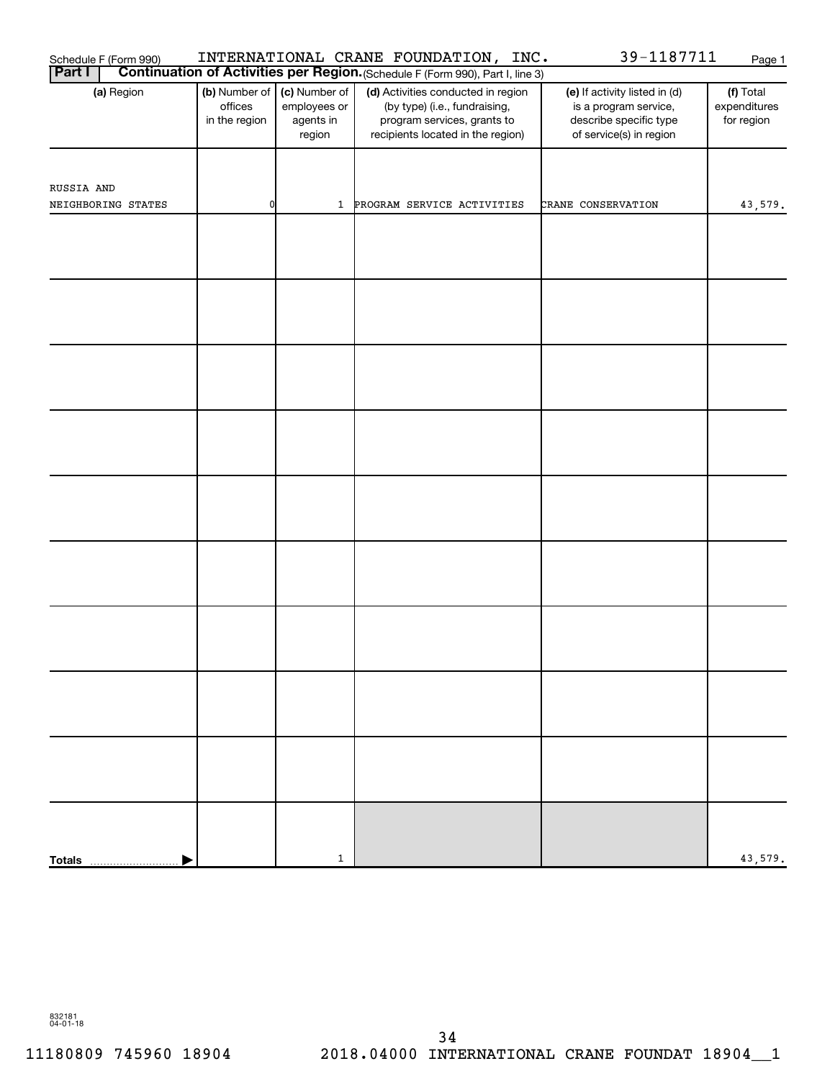| 39-1187711<br>INTERNATIONAL CRANE FOUNDATION, INC.<br>Schedule F (Form 990)<br>Page 1 |                                           |                                                      |                                                                                                                                         |                                                                                                             |                                         |  |  |  |  |  |  |
|---------------------------------------------------------------------------------------|-------------------------------------------|------------------------------------------------------|-----------------------------------------------------------------------------------------------------------------------------------------|-------------------------------------------------------------------------------------------------------------|-----------------------------------------|--|--|--|--|--|--|
| <b>Part I</b>                                                                         |                                           |                                                      | Continuation of Activities per Region. (Schedule F (Form 990), Part I, line 3)                                                          |                                                                                                             |                                         |  |  |  |  |  |  |
| (a) Region                                                                            | (b) Number of<br>offices<br>in the region | (c) Number of<br>employees or<br>agents in<br>region | (d) Activities conducted in region<br>(by type) (i.e., fundraising,<br>program services, grants to<br>recipients located in the region) | (e) If activity listed in (d)<br>is a program service,<br>describe specific type<br>of service(s) in region | (f) Total<br>expenditures<br>for region |  |  |  |  |  |  |
| RUSSIA AND<br>NEIGHBORING STATES                                                      | 0                                         | $\mathbf{1}$                                         | PROGRAM SERVICE ACTIVITIES                                                                                                              | CRANE CONSERVATION                                                                                          | 43,579.                                 |  |  |  |  |  |  |
|                                                                                       |                                           |                                                      |                                                                                                                                         |                                                                                                             |                                         |  |  |  |  |  |  |
|                                                                                       |                                           |                                                      |                                                                                                                                         |                                                                                                             |                                         |  |  |  |  |  |  |
|                                                                                       |                                           |                                                      |                                                                                                                                         |                                                                                                             |                                         |  |  |  |  |  |  |
|                                                                                       |                                           |                                                      |                                                                                                                                         |                                                                                                             |                                         |  |  |  |  |  |  |
|                                                                                       |                                           |                                                      |                                                                                                                                         |                                                                                                             |                                         |  |  |  |  |  |  |
|                                                                                       |                                           |                                                      |                                                                                                                                         |                                                                                                             |                                         |  |  |  |  |  |  |
|                                                                                       |                                           |                                                      |                                                                                                                                         |                                                                                                             |                                         |  |  |  |  |  |  |
|                                                                                       |                                           |                                                      |                                                                                                                                         |                                                                                                             |                                         |  |  |  |  |  |  |
|                                                                                       |                                           |                                                      |                                                                                                                                         |                                                                                                             |                                         |  |  |  |  |  |  |
| <b>Totals</b>                                                                         |                                           | $\mathbf{1}$                                         |                                                                                                                                         |                                                                                                             | 43,579.                                 |  |  |  |  |  |  |
|                                                                                       |                                           |                                                      |                                                                                                                                         |                                                                                                             |                                         |  |  |  |  |  |  |

832181 04-01-18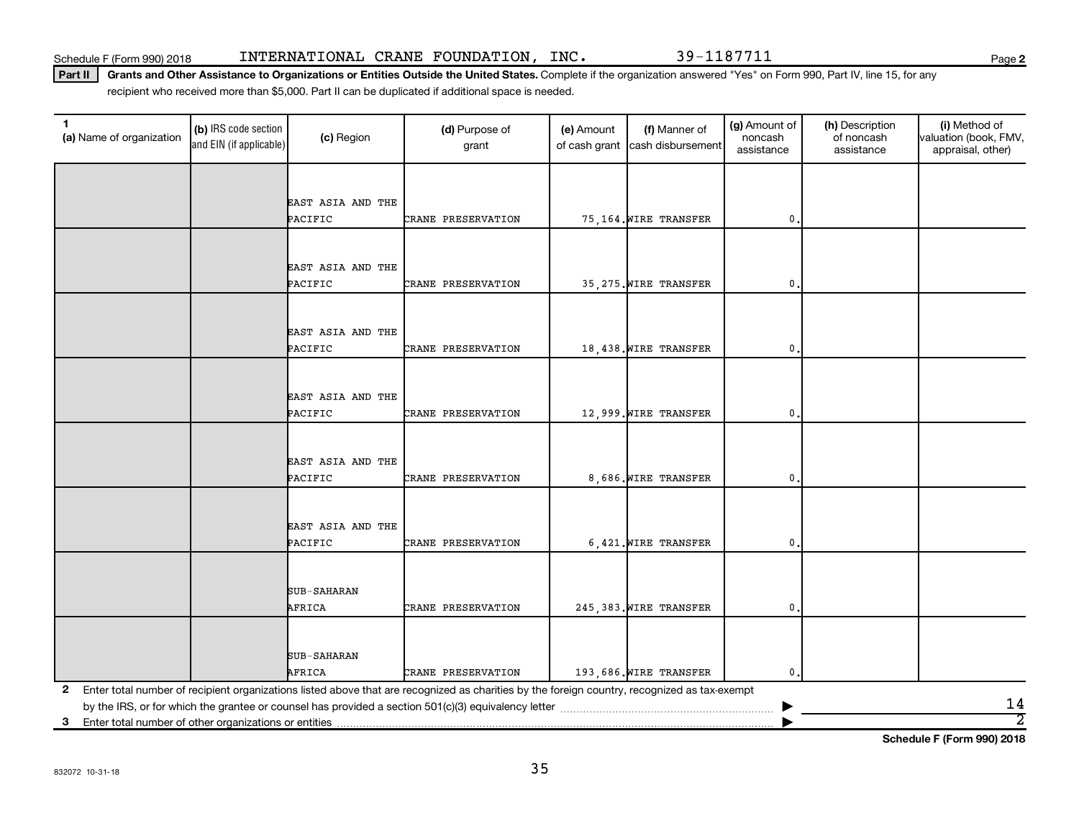**2**

Part II | Grants and Other Assistance to Organizations or Entities Outside the United States. Complete if the organization answered "Yes" on Form 990, Part IV, line 15, for any recipient who received more than \$5,000. Part II can be duplicated if additional space is needed.

| $\mathbf{1}$<br>(a) Name of organization                   | (b) IRS code section<br>and EIN (if applicable) | (c) Region                   | (d) Purpose of<br>grant                                                                                                                      | (e) Amount<br>of cash grant | (f) Manner of<br>cash disbursement | (g) Amount of<br>noncash<br>assistance | (h) Description<br>of noncash<br>assistance | (i) Method of<br>valuation (book, FMV,<br>appraisal, other) |
|------------------------------------------------------------|-------------------------------------------------|------------------------------|----------------------------------------------------------------------------------------------------------------------------------------------|-----------------------------|------------------------------------|----------------------------------------|---------------------------------------------|-------------------------------------------------------------|
|                                                            |                                                 |                              |                                                                                                                                              |                             |                                    |                                        |                                             |                                                             |
|                                                            |                                                 | EAST ASIA AND THE            |                                                                                                                                              |                             |                                    |                                        |                                             |                                                             |
|                                                            |                                                 | PACIFIC                      | CRANE PRESERVATION                                                                                                                           |                             | 75,164. WIRE TRANSFER              | 0                                      |                                             |                                                             |
|                                                            |                                                 |                              |                                                                                                                                              |                             |                                    |                                        |                                             |                                                             |
|                                                            |                                                 |                              |                                                                                                                                              |                             |                                    |                                        |                                             |                                                             |
|                                                            |                                                 | EAST ASIA AND THE            |                                                                                                                                              |                             |                                    |                                        |                                             |                                                             |
|                                                            |                                                 | PACIFIC                      | CRANE PRESERVATION                                                                                                                           |                             | 35,275. WIRE TRANSFER              | $\mathbf 0$                            |                                             |                                                             |
|                                                            |                                                 |                              |                                                                                                                                              |                             |                                    |                                        |                                             |                                                             |
|                                                            |                                                 |                              |                                                                                                                                              |                             |                                    |                                        |                                             |                                                             |
|                                                            |                                                 | EAST ASIA AND THE<br>PACIFIC | CRANE PRESERVATION                                                                                                                           |                             |                                    |                                        |                                             |                                                             |
|                                                            |                                                 |                              |                                                                                                                                              |                             | 18,438. WIRE TRANSFER              | 0                                      |                                             |                                                             |
|                                                            |                                                 |                              |                                                                                                                                              |                             |                                    |                                        |                                             |                                                             |
|                                                            |                                                 | EAST ASIA AND THE            |                                                                                                                                              |                             |                                    |                                        |                                             |                                                             |
|                                                            |                                                 | PACIFIC                      | CRANE PRESERVATION                                                                                                                           |                             | 12,999. WIRE TRANSFER              | $\mathbf 0$                            |                                             |                                                             |
|                                                            |                                                 |                              |                                                                                                                                              |                             |                                    |                                        |                                             |                                                             |
|                                                            |                                                 |                              |                                                                                                                                              |                             |                                    |                                        |                                             |                                                             |
|                                                            |                                                 | EAST ASIA AND THE            |                                                                                                                                              |                             |                                    |                                        |                                             |                                                             |
|                                                            |                                                 | PACIFIC                      | CRANE PRESERVATION                                                                                                                           |                             | 8,686. WIRE TRANSFER               | 0                                      |                                             |                                                             |
|                                                            |                                                 |                              |                                                                                                                                              |                             |                                    |                                        |                                             |                                                             |
|                                                            |                                                 | EAST ASIA AND THE            |                                                                                                                                              |                             |                                    |                                        |                                             |                                                             |
|                                                            |                                                 | PACIFIC                      | CRANE PRESERVATION                                                                                                                           |                             | 6,421. WIRE TRANSFER               | $\mathbf 0$ .                          |                                             |                                                             |
|                                                            |                                                 |                              |                                                                                                                                              |                             |                                    |                                        |                                             |                                                             |
|                                                            |                                                 |                              |                                                                                                                                              |                             |                                    |                                        |                                             |                                                             |
|                                                            |                                                 | SUB-SAHARAN                  |                                                                                                                                              |                             |                                    |                                        |                                             |                                                             |
|                                                            |                                                 | AFRICA                       | CRANE PRESERVATION                                                                                                                           |                             | 245,383. WIRE TRANSFER             | 0                                      |                                             |                                                             |
|                                                            |                                                 |                              |                                                                                                                                              |                             |                                    |                                        |                                             |                                                             |
|                                                            |                                                 |                              |                                                                                                                                              |                             |                                    |                                        |                                             |                                                             |
|                                                            |                                                 | <b>SUB-SAHARAN</b>           |                                                                                                                                              |                             |                                    |                                        |                                             |                                                             |
|                                                            |                                                 | AFRICA                       | CRANE PRESERVATION                                                                                                                           |                             | 193,686. WIRE TRANSFER             | 0                                      |                                             |                                                             |
| 2                                                          |                                                 |                              | Enter total number of recipient organizations listed above that are recognized as charities by the foreign country, recognized as tax-exempt |                             |                                    |                                        |                                             |                                                             |
|                                                            |                                                 |                              |                                                                                                                                              |                             |                                    |                                        |                                             | 14<br>$\overline{2}$                                        |
| Enter total number of other organizations or entities<br>3 |                                                 |                              |                                                                                                                                              |                             |                                    |                                        |                                             |                                                             |

**Schedule F (Form 990) 2018**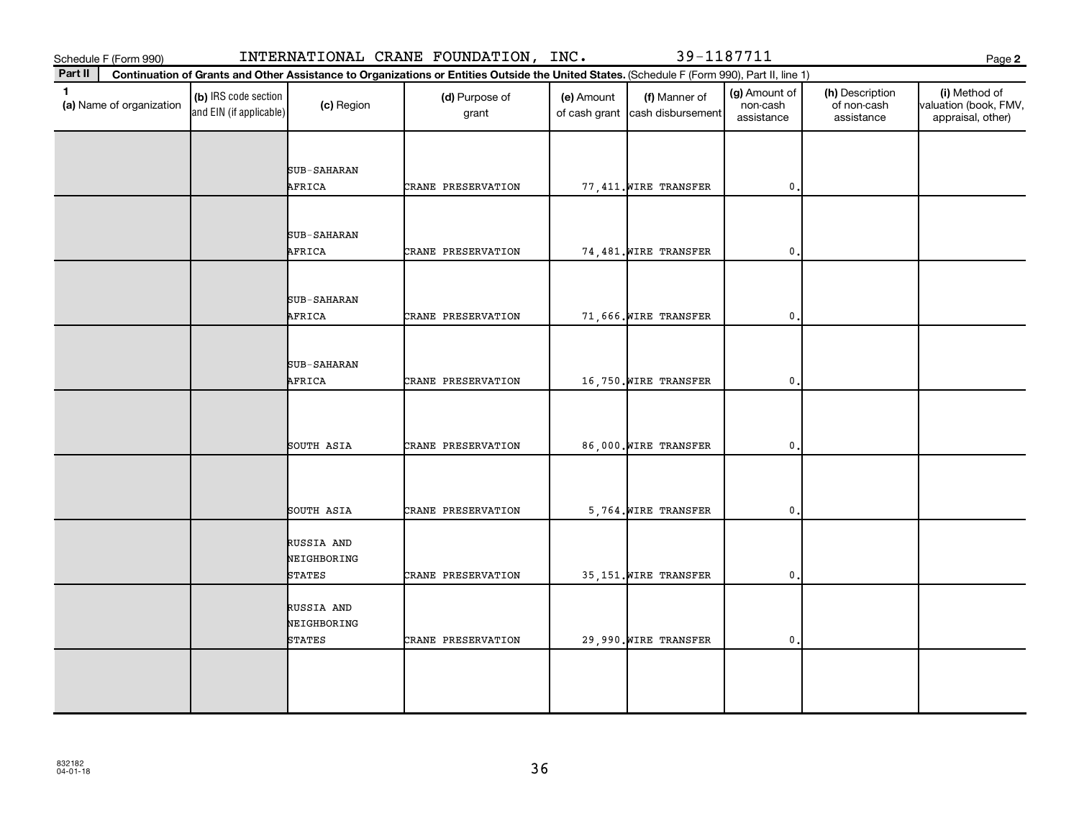Schedule F (Form 990) INTERNATIONAL CRANE FOUNDATION, INC. 39-1187711

**2**

| Part II                                  | Continuation of Grants and Other Assistance to Organizations or Entities Outside the United States. (Schedule F (Form 990), Part II, line 1) |                                            |                         |            |                                                  |                                         |                                              |                                                             |  |  |  |
|------------------------------------------|----------------------------------------------------------------------------------------------------------------------------------------------|--------------------------------------------|-------------------------|------------|--------------------------------------------------|-----------------------------------------|----------------------------------------------|-------------------------------------------------------------|--|--|--|
| $\mathbf{1}$<br>(a) Name of organization | (b) IRS code section<br>and EIN (if applicable)                                                                                              | (c) Region                                 | (d) Purpose of<br>grant | (e) Amount | (f) Manner of<br>of cash grant cash disbursement | (g) Amount of<br>non-cash<br>assistance | (h) Description<br>of non-cash<br>assistance | (i) Method of<br>valuation (book, FMV,<br>appraisal, other) |  |  |  |
|                                          |                                                                                                                                              | SUB-SAHARAN                                |                         |            |                                                  |                                         |                                              |                                                             |  |  |  |
|                                          |                                                                                                                                              | AFRICA                                     | CRANE PRESERVATION      |            | 77,411. WIRE TRANSFER                            | $\mathbf{0}$                            |                                              |                                                             |  |  |  |
|                                          |                                                                                                                                              | <b>SUB-SAHARAN</b><br>AFRICA               | CRANE PRESERVATION      |            | 74,481. WIRE TRANSFER                            | $\mathbf 0$ .                           |                                              |                                                             |  |  |  |
|                                          |                                                                                                                                              | SUB-SAHARAN                                |                         |            |                                                  |                                         |                                              |                                                             |  |  |  |
|                                          |                                                                                                                                              | AFRICA                                     | CRANE PRESERVATION      |            | 71,666. WIRE TRANSFER                            | $\mathbf{0}$                            |                                              |                                                             |  |  |  |
|                                          |                                                                                                                                              | SUB-SAHARAN<br>AFRICA                      | CRANE PRESERVATION      |            | 16,750. WIRE TRANSFER                            | $\mathbf 0$ .                           |                                              |                                                             |  |  |  |
|                                          |                                                                                                                                              |                                            |                         |            |                                                  |                                         |                                              |                                                             |  |  |  |
|                                          |                                                                                                                                              | SOUTH ASIA                                 | CRANE PRESERVATION      |            | 86,000. WIRE TRANSFER                            | $\mathbf{0}$                            |                                              |                                                             |  |  |  |
|                                          |                                                                                                                                              | SOUTH ASIA                                 | CRANE PRESERVATION      |            | 5,764. WIRE TRANSFER                             | $\mathbf 0$ .                           |                                              |                                                             |  |  |  |
|                                          |                                                                                                                                              | RUSSIA AND<br>NEIGHBORING<br>STATES        | CRANE PRESERVATION      |            | 35,151. WIRE TRANSFER                            | 0.                                      |                                              |                                                             |  |  |  |
|                                          |                                                                                                                                              | RUSSIA AND<br>NEIGHBORING<br><b>STATES</b> | CRANE PRESERVATION      |            | 29,990. WIRE TRANSFER                            | $\mathsf{0}$ .                          |                                              |                                                             |  |  |  |
|                                          |                                                                                                                                              |                                            |                         |            |                                                  |                                         |                                              |                                                             |  |  |  |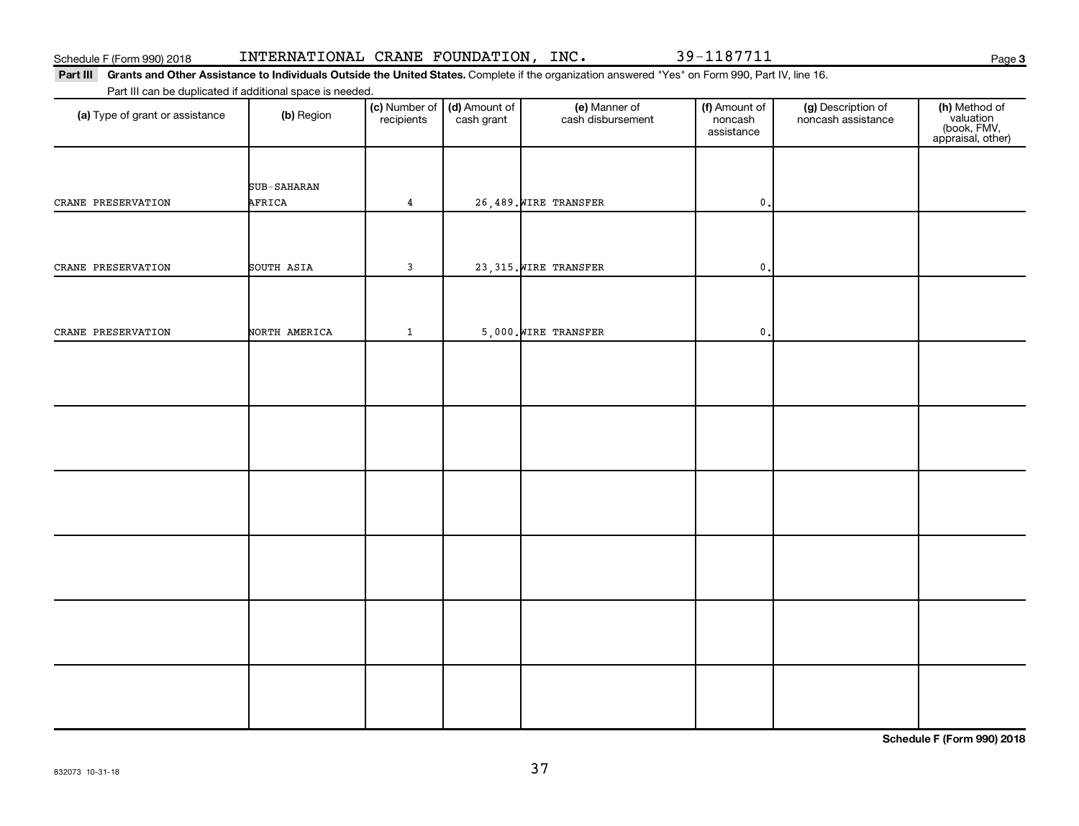832073 10-31-18

## Schedule F (Form 990) 2018 INTERNATIONAL CRANE FOUNDATION,INC. 39-1187711

Part III Grants and Other Assistance to Individuals Outside the United States. Complete if the organization answered "Yes" on Form 990, Part IV, line 16. Part III can be duplicated if additional space is needed.

| (a) Type of grant or assistance | (b) Region            | (c) Number of<br>recipients | (d) Amount of<br>cash grant | (e) Manner of<br>cash disbursement | (f) Amount of<br>noncash<br>assistance | (g) Description of<br>noncash assistance | (h) Method of<br>valuation<br>(book, FMV,<br>appraisal, other) |
|---------------------------------|-----------------------|-----------------------------|-----------------------------|------------------------------------|----------------------------------------|------------------------------------------|----------------------------------------------------------------|
| CRANE PRESERVATION              | SUB-SAHARAN<br>AFRICA | $\overline{4}$              |                             | 26,489. WIRE TRANSFER              | $\pmb{0}$                              |                                          |                                                                |
| CRANE PRESERVATION              | SOUTH ASIA            | $\mathbf{3}$                |                             | 23,315. WIRE TRANSFER              | $\mathbf 0$ .                          |                                          |                                                                |
| CRANE PRESERVATION              | NORTH AMERICA         | $\mathbf{1}$                |                             | 5,000. WIRE TRANSFER               | $\mathbf 0$ .                          |                                          |                                                                |
|                                 |                       |                             |                             |                                    |                                        |                                          |                                                                |
|                                 |                       |                             |                             |                                    |                                        |                                          |                                                                |
|                                 |                       |                             |                             |                                    |                                        |                                          |                                                                |
|                                 |                       |                             |                             |                                    |                                        |                                          |                                                                |
|                                 |                       |                             |                             |                                    |                                        |                                          |                                                                |
|                                 |                       |                             |                             |                                    |                                        |                                          |                                                                |

**Schedule F (Form 990) 2018**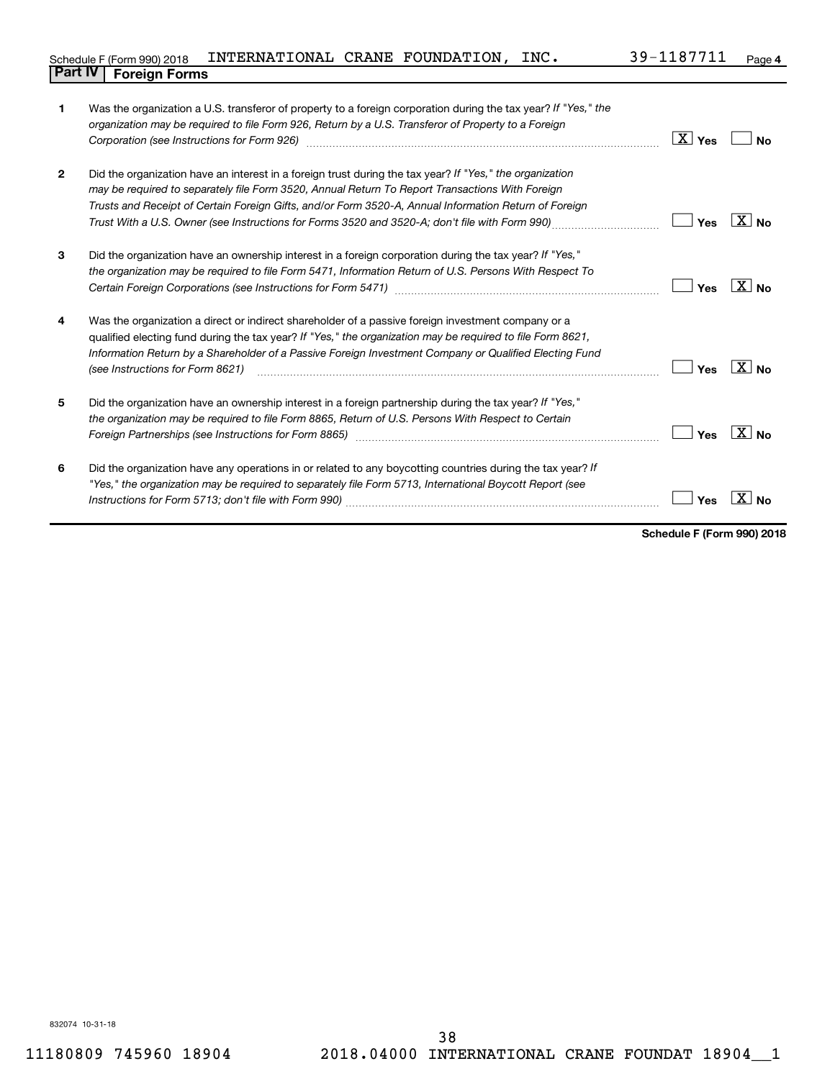|                                | Schedule F (Form 990) 2018 INTERNATIONAL CRANE FOUNDATION, $INC.$ |  | 39-1187711 | Page |
|--------------------------------|-------------------------------------------------------------------|--|------------|------|
| <b>Part IV   Foreign Forms</b> |                                                                   |  |            |      |

|                | Was the organization a U.S. transferor of property to a foreign corporation during the tax year? If "Yes," the<br>organization may be required to file Form 926, Return by a U.S. Transferor of Property to a Foreign<br>Corporation (see Instructions for Form 926) manufactured controller controller to the control of the control of                       | $\boxed{\text{X}}$ Yes | <b>No</b>       |
|----------------|----------------------------------------------------------------------------------------------------------------------------------------------------------------------------------------------------------------------------------------------------------------------------------------------------------------------------------------------------------------|------------------------|-----------------|
| $\overline{2}$ | Did the organization have an interest in a foreign trust during the tax year? If "Yes," the organization<br>may be required to separately file Form 3520, Annual Return To Report Transactions With Foreign<br>Trusts and Receipt of Certain Foreign Gifts, and/or Form 3520-A, Annual Information Return of Foreign                                           | Yes                    | $ X $ No        |
| 3              | Did the organization have an ownership interest in a foreign corporation during the tax year? If "Yes,"<br>the organization may be required to file Form 5471, Information Return of U.S. Persons With Respect To                                                                                                                                              | Yes                    | $X_{\text{No}}$ |
| 4              | Was the organization a direct or indirect shareholder of a passive foreign investment company or a<br>qualified electing fund during the tax year? If "Yes," the organization may be required to file Form 8621,<br>Information Return by a Shareholder of a Passive Foreign Investment Company or Qualified Electing Fund<br>(see Instructions for Form 8621) | Yes                    | $X_{\text{No}}$ |
| 5              | Did the organization have an ownership interest in a foreign partnership during the tax year? If "Yes,"<br>the organization may be required to file Form 8865, Return of U.S. Persons With Respect to Certain                                                                                                                                                  | Yes                    | $X_{\text{No}}$ |
| 6              | Did the organization have any operations in or related to any boycotting countries during the tax year? If<br>"Yes," the organization may be required to separately file Form 5713, International Boycott Report (see                                                                                                                                          | Yes                    | ΧI<br>Nο        |

**Schedule F (Form 990) 2018**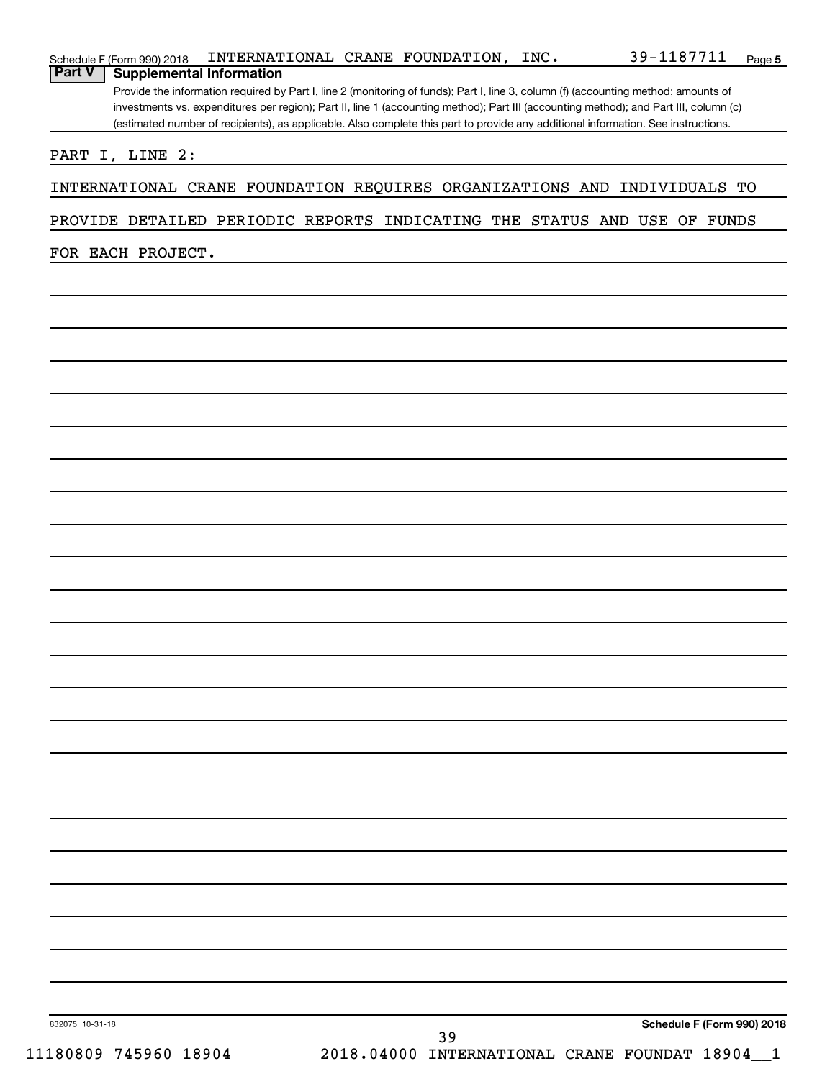| PROVIDE DETAILED PERIODIC REPORTS INDICATING THE STATUS AND USE OF FUNDS |                                                      |  |                            |
|--------------------------------------------------------------------------|------------------------------------------------------|--|----------------------------|
| FOR EACH PROJECT.                                                        |                                                      |  |                            |
|                                                                          |                                                      |  |                            |
|                                                                          |                                                      |  |                            |
|                                                                          |                                                      |  |                            |
|                                                                          |                                                      |  |                            |
|                                                                          |                                                      |  |                            |
|                                                                          |                                                      |  |                            |
|                                                                          |                                                      |  |                            |
|                                                                          |                                                      |  |                            |
|                                                                          |                                                      |  |                            |
|                                                                          |                                                      |  |                            |
|                                                                          |                                                      |  |                            |
|                                                                          |                                                      |  |                            |
|                                                                          |                                                      |  |                            |
|                                                                          |                                                      |  |                            |
|                                                                          |                                                      |  |                            |
|                                                                          |                                                      |  |                            |
|                                                                          |                                                      |  |                            |
|                                                                          |                                                      |  |                            |
|                                                                          |                                                      |  |                            |
|                                                                          |                                                      |  |                            |
|                                                                          |                                                      |  |                            |
|                                                                          |                                                      |  |                            |
|                                                                          |                                                      |  |                            |
|                                                                          |                                                      |  |                            |
|                                                                          |                                                      |  |                            |
|                                                                          |                                                      |  |                            |
| 832075 10-31-18                                                          |                                                      |  | Schedule F (Form 990) 2018 |
| 11180809 745960 18904                                                    | 39<br>2018.04000 INTERNATIONAL CRANE FOUNDAT 18904_1 |  |                            |

Schedule F (Form 990) 2018 Page INTERNATIONAL CRANE FOUNDATION, INC. 39-1187711

**Schedule F (Form 990) 2018 INTERNAT**<br>**Part V** | **Supplemental Information** 

Provide the information required by Part I, line 2 (monitoring of funds); Part I, line 3, column (f) (accounting method; amounts of investments vs. expenditures per region); Part II, line 1 (accounting method); Part III (accounting method); and Part III, column (c) (estimated number of recipients), as applicable. Also complete this part to provide any additional information. See instructions.

**5**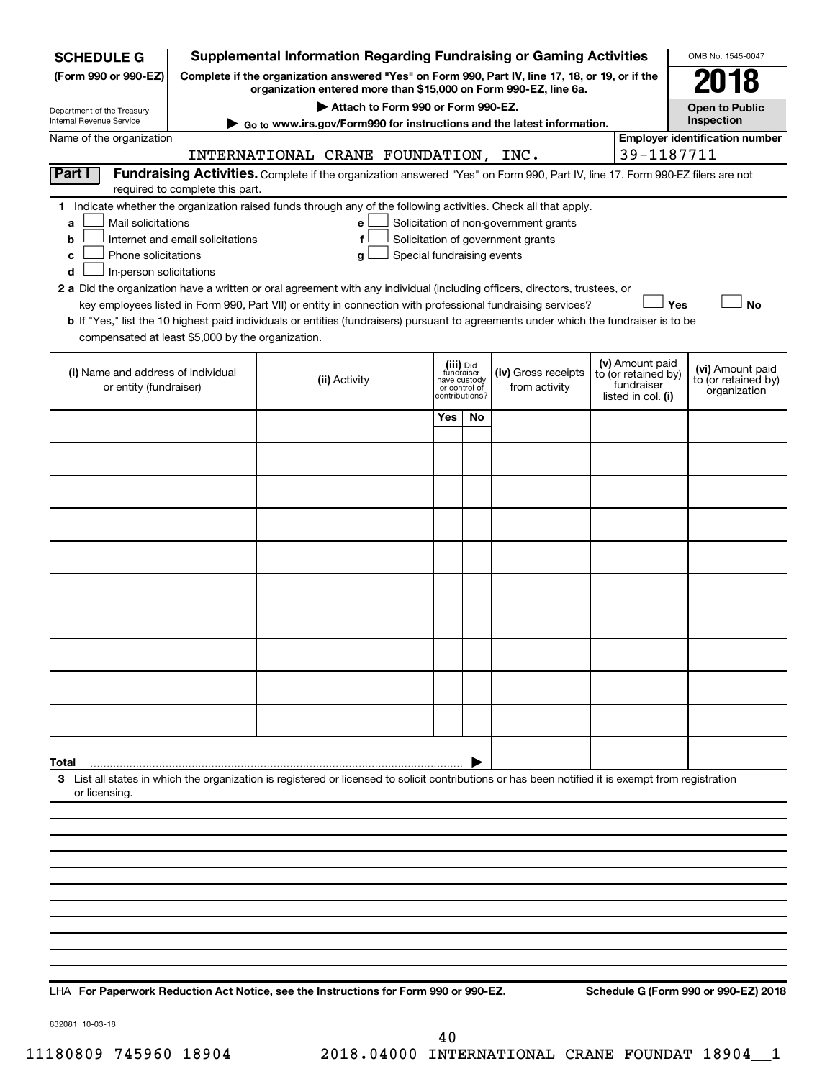| <b>SCHEDULE G</b>                                                                        |                                  | <b>Supplemental Information Regarding Fundraising or Gaming Activities</b>                                                                                                                                                                                                                 |                                                                            |    |                                                                            |  |                                                                            | OMB No. 1545-0047                                       |
|------------------------------------------------------------------------------------------|----------------------------------|--------------------------------------------------------------------------------------------------------------------------------------------------------------------------------------------------------------------------------------------------------------------------------------------|----------------------------------------------------------------------------|----|----------------------------------------------------------------------------|--|----------------------------------------------------------------------------|---------------------------------------------------------|
| (Form 990 or 990-EZ)                                                                     |                                  | Complete if the organization answered "Yes" on Form 990, Part IV, line 17, 18, or 19, or if the                                                                                                                                                                                            |                                                                            |    |                                                                            |  |                                                                            | 2018                                                    |
|                                                                                          |                                  | organization entered more than \$15,000 on Form 990-EZ, line 6a.                                                                                                                                                                                                                           |                                                                            |    |                                                                            |  |                                                                            |                                                         |
| Department of the Treasury<br>Internal Revenue Service                                   |                                  | Attach to Form 990 or Form 990-EZ.<br>► Go to www.irs.gov/Form990 for instructions and the latest information.                                                                                                                                                                             |                                                                            |    |                                                                            |  |                                                                            | <b>Open to Public</b><br>Inspection                     |
| Name of the organization                                                                 |                                  |                                                                                                                                                                                                                                                                                            |                                                                            |    |                                                                            |  |                                                                            | <b>Employer identification number</b>                   |
|                                                                                          |                                  | INTERNATIONAL CRANE FOUNDATION, INC.                                                                                                                                                                                                                                                       |                                                                            |    |                                                                            |  | 39-1187711                                                                 |                                                         |
| Part I                                                                                   | required to complete this part.  | Fundraising Activities. Complete if the organization answered "Yes" on Form 990, Part IV, line 17. Form 990-EZ filers are not                                                                                                                                                              |                                                                            |    |                                                                            |  |                                                                            |                                                         |
| Mail solicitations<br>a<br>b<br>Phone solicitations<br>c<br>In-person solicitations<br>d | Internet and email solicitations | 1 Indicate whether the organization raised funds through any of the following activities. Check all that apply.<br>е<br>f<br>Special fundraising events<br>g<br>2 a Did the organization have a written or oral agreement with any individual (including officers, directors, trustees, or |                                                                            |    | Solicitation of non-government grants<br>Solicitation of government grants |  |                                                                            |                                                         |
|                                                                                          |                                  | key employees listed in Form 990, Part VII) or entity in connection with professional fundraising services?                                                                                                                                                                                |                                                                            |    |                                                                            |  | Yes                                                                        | <b>No</b>                                               |
| compensated at least \$5,000 by the organization.                                        |                                  | b If "Yes," list the 10 highest paid individuals or entities (fundraisers) pursuant to agreements under which the fundraiser is to be                                                                                                                                                      |                                                                            |    |                                                                            |  |                                                                            |                                                         |
| (i) Name and address of individual<br>or entity (fundraiser)                             |                                  | (ii) Activity                                                                                                                                                                                                                                                                              | (iii) Did<br>fundraiser<br>have custody<br>or control of<br>contributions? |    | (iv) Gross receipts<br>from activity                                       |  | (v) Amount paid<br>to (or retained by)<br>fundraiser<br>listed in col. (i) | (vi) Amount paid<br>to (or retained by)<br>organization |
|                                                                                          |                                  |                                                                                                                                                                                                                                                                                            | Yes                                                                        | No |                                                                            |  |                                                                            |                                                         |
|                                                                                          |                                  |                                                                                                                                                                                                                                                                                            |                                                                            |    |                                                                            |  |                                                                            |                                                         |
|                                                                                          |                                  |                                                                                                                                                                                                                                                                                            |                                                                            |    |                                                                            |  |                                                                            |                                                         |
|                                                                                          |                                  |                                                                                                                                                                                                                                                                                            |                                                                            |    |                                                                            |  |                                                                            |                                                         |
|                                                                                          |                                  |                                                                                                                                                                                                                                                                                            |                                                                            |    |                                                                            |  |                                                                            |                                                         |
|                                                                                          |                                  |                                                                                                                                                                                                                                                                                            |                                                                            |    |                                                                            |  |                                                                            |                                                         |
|                                                                                          |                                  |                                                                                                                                                                                                                                                                                            |                                                                            |    |                                                                            |  |                                                                            |                                                         |
|                                                                                          |                                  |                                                                                                                                                                                                                                                                                            |                                                                            |    |                                                                            |  |                                                                            |                                                         |
|                                                                                          |                                  |                                                                                                                                                                                                                                                                                            |                                                                            |    |                                                                            |  |                                                                            |                                                         |
|                                                                                          |                                  |                                                                                                                                                                                                                                                                                            |                                                                            |    |                                                                            |  |                                                                            |                                                         |
| Total                                                                                    |                                  |                                                                                                                                                                                                                                                                                            |                                                                            |    |                                                                            |  |                                                                            |                                                         |
| or licensing.                                                                            |                                  | 3 List all states in which the organization is registered or licensed to solicit contributions or has been notified it is exempt from registration                                                                                                                                         |                                                                            |    |                                                                            |  |                                                                            |                                                         |
|                                                                                          |                                  |                                                                                                                                                                                                                                                                                            |                                                                            |    |                                                                            |  |                                                                            |                                                         |
|                                                                                          |                                  |                                                                                                                                                                                                                                                                                            |                                                                            |    |                                                                            |  |                                                                            |                                                         |
|                                                                                          |                                  |                                                                                                                                                                                                                                                                                            |                                                                            |    |                                                                            |  |                                                                            |                                                         |
|                                                                                          |                                  |                                                                                                                                                                                                                                                                                            |                                                                            |    |                                                                            |  |                                                                            |                                                         |
|                                                                                          |                                  |                                                                                                                                                                                                                                                                                            |                                                                            |    |                                                                            |  |                                                                            |                                                         |
|                                                                                          |                                  |                                                                                                                                                                                                                                                                                            |                                                                            |    |                                                                            |  |                                                                            |                                                         |
|                                                                                          |                                  |                                                                                                                                                                                                                                                                                            |                                                                            |    |                                                                            |  |                                                                            |                                                         |

**For Paperwork Reduction Act Notice, see the Instructions for Form 990 or 990-EZ. Schedule G (Form 990 or 990-EZ) 2018** LHA

832081 10-03-18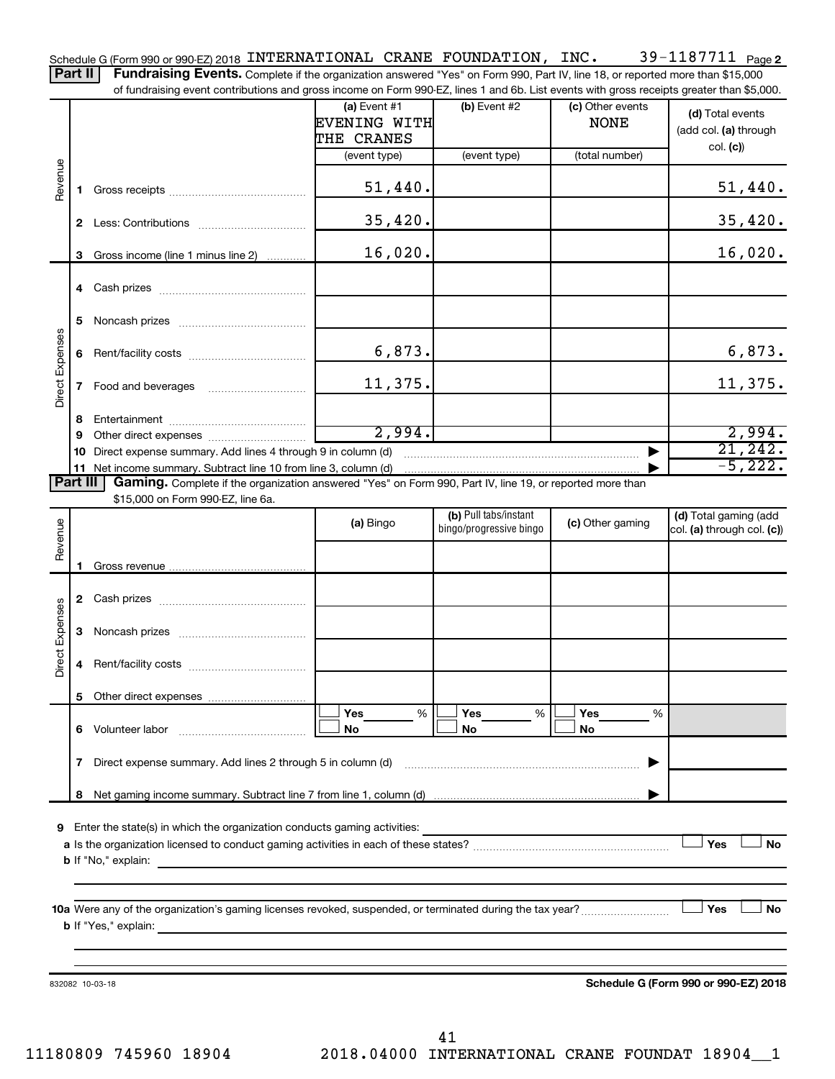39-1187711 Page 2 Schedule G (Form 990 or 990-EZ) 2018 <code>INTERNATIONAL CRANE FOUNDATION</code> , <code>INC</code> .  $39\text{--}1187711$  <code>Page</code> Part II | Fundraising Events. Complete if the organization answered "Yes" on Form 990, Part IV, line 18, or reported more than \$15,000

of fundraising event contributions and gross income on Form 990-EZ, lines 1 and 6b. List events with gross receipts greater than \$5,000.

|                        |                                                         | <u>ovont oorithodiloho dha grooo inoonio on i onni ooo EE, iliiloo T dha ob. Elot ovonto with grooo rooolpto grodtor than φο,οοο.</u>                                       |                                              |                                                  |                                 |                                                     |  |  |  |  |
|------------------------|---------------------------------------------------------|-----------------------------------------------------------------------------------------------------------------------------------------------------------------------------|----------------------------------------------|--------------------------------------------------|---------------------------------|-----------------------------------------------------|--|--|--|--|
|                        |                                                         |                                                                                                                                                                             | (a) Event $#1$<br>EVENING WITH<br>THE CRANES | (b) Event #2                                     | (c) Other events<br><b>NONE</b> | (d) Total events<br>(add col. (a) through           |  |  |  |  |
|                        |                                                         |                                                                                                                                                                             | (event type)                                 | (event type)                                     | (total number)                  | col. (c)                                            |  |  |  |  |
| Revenue                |                                                         |                                                                                                                                                                             | 51,440.                                      |                                                  |                                 | 51,440.                                             |  |  |  |  |
|                        |                                                         |                                                                                                                                                                             | 35,420.                                      |                                                  |                                 | 35,420.                                             |  |  |  |  |
|                        |                                                         | 3 Gross income (line 1 minus line 2)                                                                                                                                        | 16,020.                                      |                                                  |                                 | 16,020.                                             |  |  |  |  |
|                        |                                                         |                                                                                                                                                                             |                                              |                                                  |                                 |                                                     |  |  |  |  |
|                        | 5                                                       |                                                                                                                                                                             |                                              |                                                  |                                 |                                                     |  |  |  |  |
| Direct Expenses        | 6                                                       |                                                                                                                                                                             | 6,873.                                       |                                                  |                                 | 6,873.                                              |  |  |  |  |
|                        | 7                                                       |                                                                                                                                                                             | 11,375.                                      |                                                  |                                 | 11,375.                                             |  |  |  |  |
|                        | 8                                                       |                                                                                                                                                                             |                                              |                                                  |                                 |                                                     |  |  |  |  |
|                        | 9                                                       |                                                                                                                                                                             | 2,994.                                       |                                                  |                                 | 2,994.                                              |  |  |  |  |
|                        | 10                                                      | Direct expense summary. Add lines 4 through 9 in column (d)                                                                                                                 |                                              |                                                  |                                 | 21,242.<br>$-5,222.$                                |  |  |  |  |
| <b>Part III</b>        |                                                         | 11 Net income summary. Subtract line 10 from line 3, column (d)<br>Gaming. Complete if the organization answered "Yes" on Form 990, Part IV, line 19, or reported more than |                                              |                                                  |                                 |                                                     |  |  |  |  |
|                        |                                                         | \$15,000 on Form 990-EZ, line 6a.                                                                                                                                           |                                              |                                                  |                                 |                                                     |  |  |  |  |
| Revenue                |                                                         |                                                                                                                                                                             | (a) Bingo                                    | (b) Pull tabs/instant<br>bingo/progressive bingo | (c) Other gaming                | (d) Total gaming (add<br>col. (a) through col. (c)) |  |  |  |  |
|                        |                                                         |                                                                                                                                                                             |                                              |                                                  |                                 |                                                     |  |  |  |  |
|                        |                                                         |                                                                                                                                                                             |                                              |                                                  |                                 |                                                     |  |  |  |  |
|                        |                                                         |                                                                                                                                                                             |                                              |                                                  |                                 |                                                     |  |  |  |  |
| <b>Direct Expenses</b> | 3                                                       |                                                                                                                                                                             |                                              |                                                  |                                 |                                                     |  |  |  |  |
|                        | 4                                                       |                                                                                                                                                                             |                                              |                                                  |                                 |                                                     |  |  |  |  |
|                        |                                                         |                                                                                                                                                                             |                                              |                                                  |                                 |                                                     |  |  |  |  |
|                        | 6                                                       | Volunteer labor                                                                                                                                                             | Yes<br>%<br>No                               | Yes<br>%<br>No                                   | <b>Yes</b><br>%<br>No           |                                                     |  |  |  |  |
|                        | 7                                                       | Direct expense summary. Add lines 2 through 5 in column (d)                                                                                                                 |                                              |                                                  |                                 |                                                     |  |  |  |  |
|                        | 8                                                       |                                                                                                                                                                             |                                              |                                                  |                                 |                                                     |  |  |  |  |
|                        |                                                         |                                                                                                                                                                             |                                              |                                                  |                                 |                                                     |  |  |  |  |
| 9                      |                                                         | Enter the state(s) in which the organization conducts gaming activities:                                                                                                    |                                              |                                                  |                                 | Yes<br><b>No</b>                                    |  |  |  |  |
|                        |                                                         | <b>b</b> If "No," explain:                                                                                                                                                  |                                              |                                                  |                                 |                                                     |  |  |  |  |
|                        |                                                         |                                                                                                                                                                             |                                              |                                                  |                                 | Yes                                                 |  |  |  |  |
|                        |                                                         | 10a Were any of the organization's gaming licenses revoked, suspended, or terminated during the tax year?<br><b>b</b> If "Yes," explain:                                    |                                              |                                                  |                                 | No                                                  |  |  |  |  |
|                        |                                                         |                                                                                                                                                                             |                                              |                                                  |                                 |                                                     |  |  |  |  |
|                        | Schedule G (Form 990 or 990-EZ) 2018<br>832082 10-03-18 |                                                                                                                                                                             |                                              |                                                  |                                 |                                                     |  |  |  |  |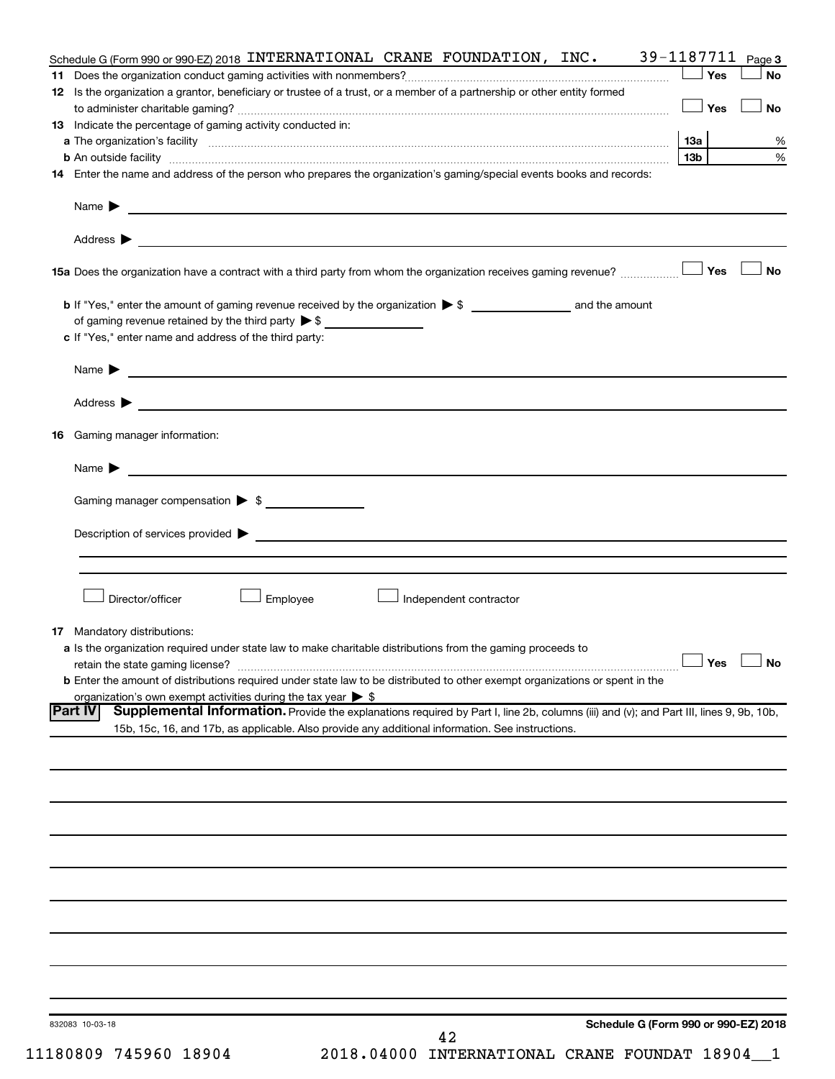| Schedule G (Form 990 or 990-EZ) 2018 INTERNATIONAL CRANE FOUNDATION, INC.                                                                                                                                                                | 39-1187711 $_{Page 3}$ |           |
|------------------------------------------------------------------------------------------------------------------------------------------------------------------------------------------------------------------------------------------|------------------------|-----------|
|                                                                                                                                                                                                                                          | Yes                    | <b>No</b> |
| 12 Is the organization a grantor, beneficiary or trustee of a trust, or a member of a partnership or other entity formed                                                                                                                 | ⊥ Yes                  | <b>No</b> |
| 13 Indicate the percentage of gaming activity conducted in:                                                                                                                                                                              |                        |           |
| a The organization's facility <b>contract to the contract of the contract of the contract of the contract of the contract of the contract of the contract of the contract of the contract of the contract of the contract of the</b>     |                        | %         |
|                                                                                                                                                                                                                                          | 13b l                  | %         |
| 14 Enter the name and address of the person who prepares the organization's gaming/special events books and records:                                                                                                                     |                        |           |
|                                                                                                                                                                                                                                          |                        |           |
|                                                                                                                                                                                                                                          |                        |           |
|                                                                                                                                                                                                                                          |                        | No        |
| of gaming revenue retained by the third party $\triangleright$ \$                                                                                                                                                                        |                        |           |
| c If "Yes," enter name and address of the third party:                                                                                                                                                                                   |                        |           |
| Name $\blacktriangleright$ $\frac{1}{\sqrt{1-\frac{1}{2}}\left(1-\frac{1}{2}\right)}$                                                                                                                                                    |                        |           |
|                                                                                                                                                                                                                                          |                        |           |
| <b>16</b> Gaming manager information:                                                                                                                                                                                                    |                        |           |
| Name $\triangleright$                                                                                                                                                                                                                    |                        |           |
| Gaming manager compensation > \$                                                                                                                                                                                                         |                        |           |
|                                                                                                                                                                                                                                          |                        |           |
|                                                                                                                                                                                                                                          |                        |           |
|                                                                                                                                                                                                                                          |                        |           |
| Director/officer<br>Employee<br>Independent contractor                                                                                                                                                                                   |                        |           |
| 17 Mandatory distributions:                                                                                                                                                                                                              |                        |           |
| a Is the organization required under state law to make charitable distributions from the gaming proceeds to                                                                                                                              |                        |           |
| retain the state gaming license?                                                                                                                                                                                                         | $\Box$ Yes $\Box$ No   |           |
| <b>b</b> Enter the amount of distributions required under state law to be distributed to other exempt organizations or spent in the                                                                                                      |                        |           |
| organization's own exempt activities during the tax year $\triangleright$ \$<br>Supplemental Information. Provide the explanations required by Part I, line 2b, columns (iii) and (v); and Part III, lines 9, 9b, 10b,<br><b>Part IV</b> |                        |           |
| 15b, 15c, 16, and 17b, as applicable. Also provide any additional information. See instructions.                                                                                                                                         |                        |           |
|                                                                                                                                                                                                                                          |                        |           |
|                                                                                                                                                                                                                                          |                        |           |
|                                                                                                                                                                                                                                          |                        |           |
|                                                                                                                                                                                                                                          |                        |           |
|                                                                                                                                                                                                                                          |                        |           |
|                                                                                                                                                                                                                                          |                        |           |
|                                                                                                                                                                                                                                          |                        |           |
|                                                                                                                                                                                                                                          |                        |           |
| Schedule G (Form 990 or 990-EZ) 2018<br>832083 10-03-18                                                                                                                                                                                  |                        |           |
| 42                                                                                                                                                                                                                                       |                        |           |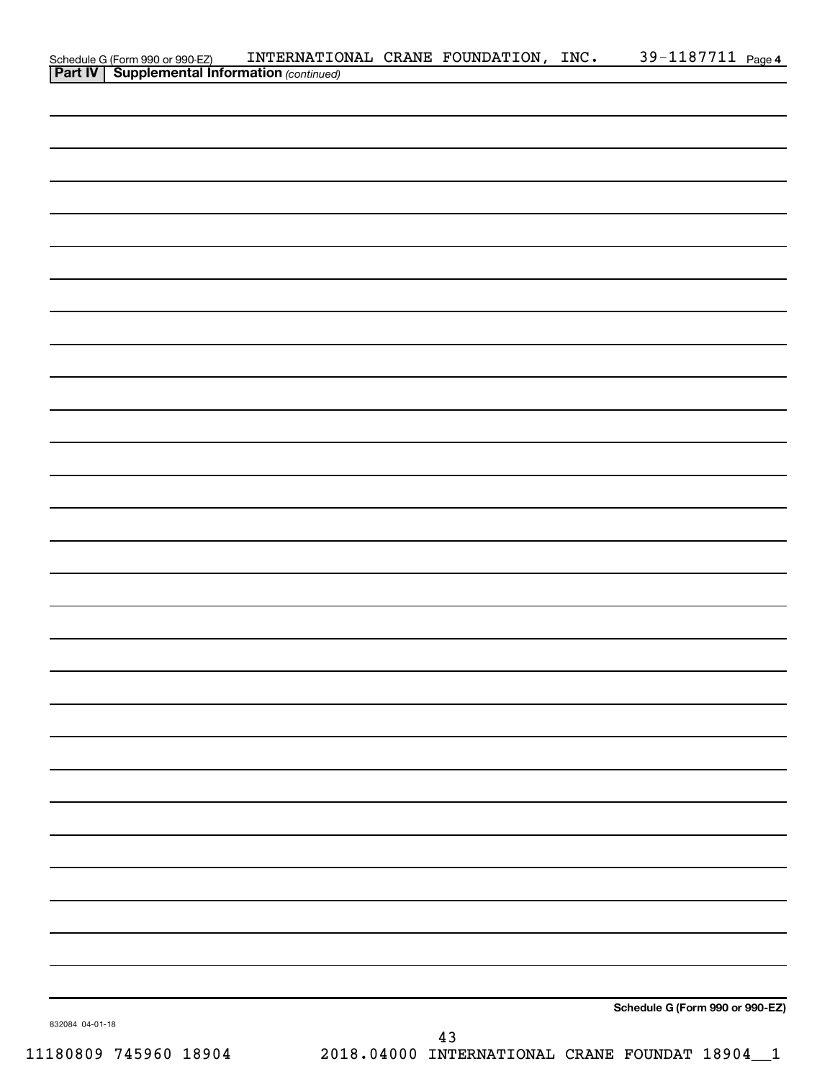|                 |                                                                                                      | INTERNATIONAL CRANE FOUNDATION, INC. 39-1187711 Page 4 |    |                                 |  |
|-----------------|------------------------------------------------------------------------------------------------------|--------------------------------------------------------|----|---------------------------------|--|
|                 | Schedule G (Form 990 or 990-EZ) INTERNATIO.<br><b>Part IV   Supplemental Information</b> (continued) |                                                        |    |                                 |  |
|                 |                                                                                                      |                                                        |    |                                 |  |
|                 |                                                                                                      |                                                        |    |                                 |  |
|                 |                                                                                                      |                                                        |    |                                 |  |
|                 |                                                                                                      |                                                        |    |                                 |  |
|                 |                                                                                                      |                                                        |    |                                 |  |
|                 |                                                                                                      |                                                        |    |                                 |  |
|                 |                                                                                                      |                                                        |    |                                 |  |
|                 |                                                                                                      |                                                        |    |                                 |  |
|                 |                                                                                                      |                                                        |    |                                 |  |
|                 |                                                                                                      |                                                        |    |                                 |  |
|                 |                                                                                                      |                                                        |    |                                 |  |
|                 |                                                                                                      |                                                        |    |                                 |  |
|                 |                                                                                                      |                                                        |    |                                 |  |
|                 |                                                                                                      |                                                        |    |                                 |  |
|                 |                                                                                                      |                                                        |    |                                 |  |
|                 |                                                                                                      |                                                        |    |                                 |  |
|                 |                                                                                                      |                                                        |    |                                 |  |
|                 |                                                                                                      |                                                        |    |                                 |  |
|                 |                                                                                                      |                                                        |    |                                 |  |
|                 |                                                                                                      |                                                        |    |                                 |  |
|                 |                                                                                                      |                                                        |    |                                 |  |
|                 |                                                                                                      |                                                        |    |                                 |  |
|                 |                                                                                                      |                                                        |    |                                 |  |
|                 |                                                                                                      |                                                        |    |                                 |  |
|                 |                                                                                                      |                                                        |    |                                 |  |
|                 |                                                                                                      |                                                        |    |                                 |  |
|                 |                                                                                                      |                                                        |    |                                 |  |
|                 |                                                                                                      |                                                        |    |                                 |  |
|                 |                                                                                                      |                                                        |    |                                 |  |
|                 |                                                                                                      |                                                        |    |                                 |  |
|                 |                                                                                                      |                                                        |    |                                 |  |
|                 |                                                                                                      |                                                        |    |                                 |  |
|                 |                                                                                                      |                                                        |    |                                 |  |
|                 |                                                                                                      |                                                        |    |                                 |  |
|                 |                                                                                                      |                                                        |    |                                 |  |
|                 |                                                                                                      |                                                        |    |                                 |  |
|                 |                                                                                                      |                                                        |    |                                 |  |
|                 |                                                                                                      |                                                        |    |                                 |  |
|                 |                                                                                                      |                                                        |    |                                 |  |
|                 |                                                                                                      |                                                        |    |                                 |  |
|                 |                                                                                                      |                                                        |    |                                 |  |
|                 |                                                                                                      |                                                        |    |                                 |  |
|                 |                                                                                                      |                                                        |    |                                 |  |
|                 |                                                                                                      |                                                        |    |                                 |  |
|                 |                                                                                                      |                                                        |    |                                 |  |
|                 |                                                                                                      |                                                        |    |                                 |  |
|                 |                                                                                                      |                                                        |    | Schedule G (Form 990 or 990-EZ) |  |
| 832084 04-01-18 |                                                                                                      |                                                        | 13 |                                 |  |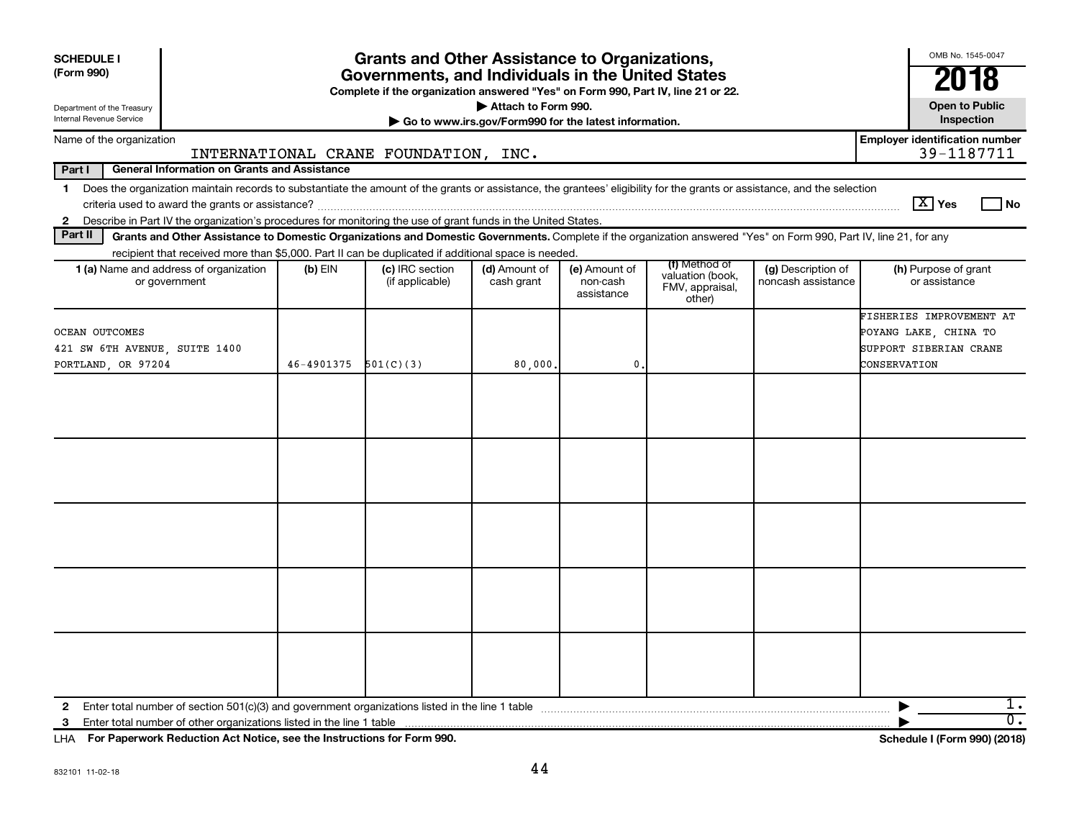| <b>SCHEDULE I</b><br>(Form 990)<br>Department of the Treasury |                                                                                                                                                                                                                                                                                           |            | <b>Grants and Other Assistance to Organizations,</b><br>Governments, and Individuals in the United States<br>Complete if the organization answered "Yes" on Form 990, Part IV, line 21 or 22. | Attach to Form 990.                                   |                                         |                                                                |                                          | OMB No. 1545-0047<br>2018<br><b>Open to Public</b>                                          |
|---------------------------------------------------------------|-------------------------------------------------------------------------------------------------------------------------------------------------------------------------------------------------------------------------------------------------------------------------------------------|------------|-----------------------------------------------------------------------------------------------------------------------------------------------------------------------------------------------|-------------------------------------------------------|-----------------------------------------|----------------------------------------------------------------|------------------------------------------|---------------------------------------------------------------------------------------------|
| Internal Revenue Service                                      |                                                                                                                                                                                                                                                                                           |            |                                                                                                                                                                                               | Go to www.irs.gov/Form990 for the latest information. |                                         |                                                                |                                          | Inspection                                                                                  |
|                                                               | Name of the organization                                                                                                                                                                                                                                                                  |            | INTERNATIONAL CRANE FOUNDATION, INC.                                                                                                                                                          |                                                       |                                         |                                                                |                                          | <b>Employer identification number</b><br>39-1187711                                         |
| Part I                                                        | <b>General Information on Grants and Assistance</b>                                                                                                                                                                                                                                       |            |                                                                                                                                                                                               |                                                       |                                         |                                                                |                                          |                                                                                             |
| $\mathbf 1$<br>$\mathbf{2}$                                   | Does the organization maintain records to substantiate the amount of the grants or assistance, the grantees' eligibility for the grants or assistance, and the selection<br>Describe in Part IV the organization's procedures for monitoring the use of grant funds in the United States. |            |                                                                                                                                                                                               |                                                       |                                         |                                                                |                                          | $\boxed{\text{X}}$ Yes<br>  No                                                              |
| Part II                                                       | Grants and Other Assistance to Domestic Organizations and Domestic Governments. Complete if the organization answered "Yes" on Form 990, Part IV, line 21, for any                                                                                                                        |            |                                                                                                                                                                                               |                                                       |                                         |                                                                |                                          |                                                                                             |
|                                                               | recipient that received more than \$5,000. Part II can be duplicated if additional space is needed.<br>1 (a) Name and address of organization<br>or government                                                                                                                            | $(b)$ EIN  | (c) IRC section<br>(if applicable)                                                                                                                                                            | (d) Amount of<br>cash grant                           | (e) Amount of<br>non-cash<br>assistance | (f) Method of<br>valuation (book,<br>FMV, appraisal,<br>other) | (g) Description of<br>noncash assistance | (h) Purpose of grant<br>or assistance                                                       |
| OCEAN OUTCOMES                                                | 421 SW 6TH AVENUE, SUITE 1400<br>PORTLAND, OR 97204                                                                                                                                                                                                                                       | 46-4901375 | 501(C)(3)                                                                                                                                                                                     | 80,000.                                               | 0.                                      |                                                                |                                          | FISHERIES IMPROVEMENT AT<br>POYANG LAKE, CHINA TO<br>SUPPORT SIBERIAN CRANE<br>CONSERVATION |
|                                                               |                                                                                                                                                                                                                                                                                           |            |                                                                                                                                                                                               |                                                       |                                         |                                                                |                                          |                                                                                             |
| $\mathbf{2}$<br>3                                             |                                                                                                                                                                                                                                                                                           |            |                                                                                                                                                                                               |                                                       |                                         |                                                                |                                          | ı.<br>$\overline{0}$ .                                                                      |

**For Paperwork Reduction Act Notice, see the Instructions for Form 990. Schedule I (Form 990) (2018)** LHA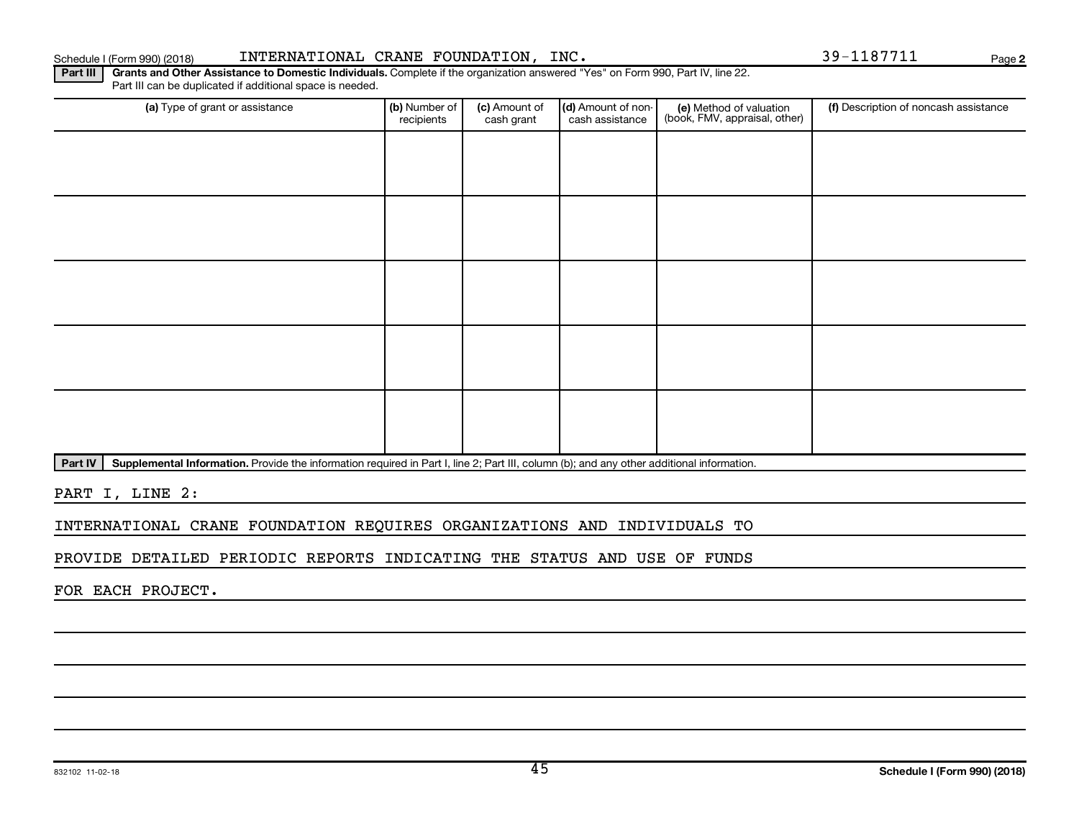Schedule I (Form 990) (2018) INTERNATIONAL CRANE FOUNDATION,INC. 39-1187711 Page

**2**

Part III | Grants and Other Assistance to Domestic Individuals. Complete if the organization answered "Yes" on Form 990, Part IV, line 22. Part III can be duplicated if additional space is needed.

| (a) Type of grant or assistance | (b) Number of<br>recipients | (c) Amount of<br>cash grant | (d) Amount of non-<br>cash assistance | (e) Method of valuation<br>(book, FMV, appraisal, other) | (f) Description of noncash assistance |
|---------------------------------|-----------------------------|-----------------------------|---------------------------------------|----------------------------------------------------------|---------------------------------------|
|                                 |                             |                             |                                       |                                                          |                                       |
|                                 |                             |                             |                                       |                                                          |                                       |
|                                 |                             |                             |                                       |                                                          |                                       |
|                                 |                             |                             |                                       |                                                          |                                       |
|                                 |                             |                             |                                       |                                                          |                                       |
|                                 |                             |                             |                                       |                                                          |                                       |
|                                 |                             |                             |                                       |                                                          |                                       |
|                                 |                             |                             |                                       |                                                          |                                       |
|                                 |                             |                             |                                       |                                                          |                                       |
|                                 |                             |                             |                                       |                                                          |                                       |

Part IV | Supplemental Information. Provide the information required in Part I, line 2; Part III, column (b); and any other additional information.

PART I, LINE 2:

INTERNATIONAL CRANE FOUNDATION REQUIRES ORGANIZATIONS AND INDIVIDUALS TO

PROVIDE DETAILED PERIODIC REPORTS INDICATING THE STATUS AND USE OF FUNDS

FOR EACH PROJECT.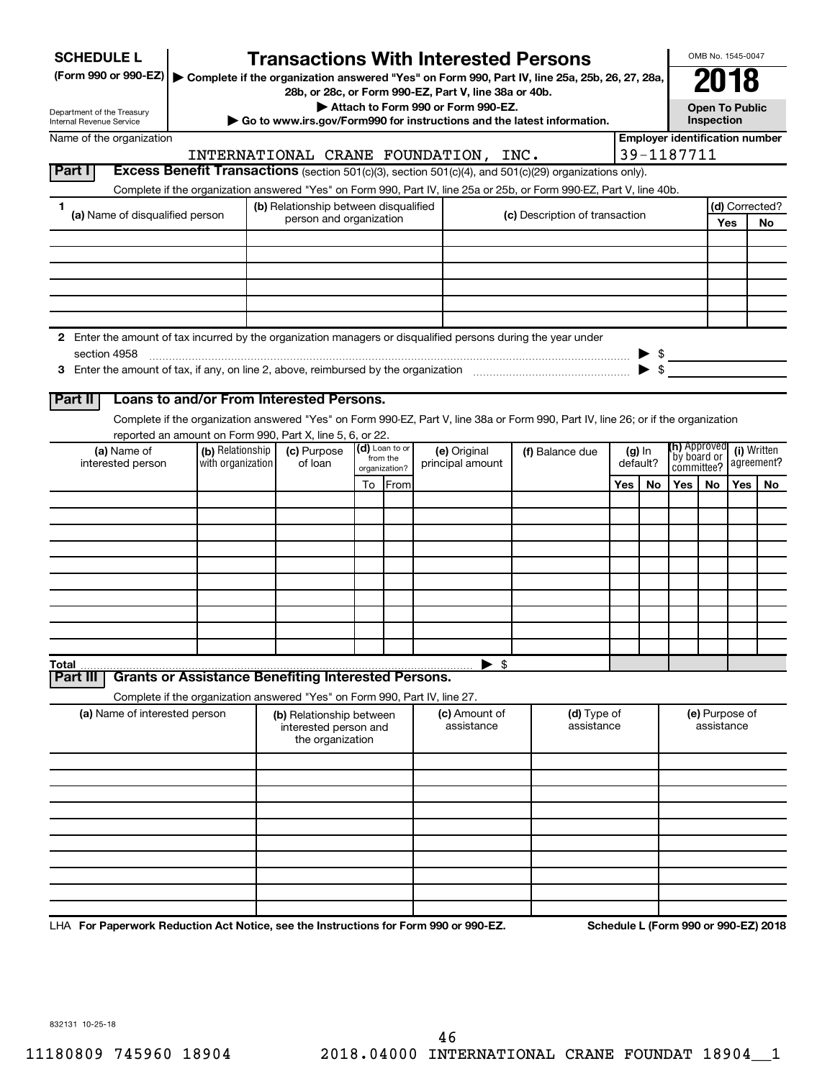| <b>SCHEDULE L</b>                                                                                                    |                                       |                                                                            |                          | <b>Transactions With Interested Persons</b>                                                                                        |            |                                |  |                                      |                     | OMB No. 1545-0047                       |            |                                       |
|----------------------------------------------------------------------------------------------------------------------|---------------------------------------|----------------------------------------------------------------------------|--------------------------|------------------------------------------------------------------------------------------------------------------------------------|------------|--------------------------------|--|--------------------------------------|---------------------|-----------------------------------------|------------|---------------------------------------|
| (Form 990 or 990-EZ)   Complete if the organization answered "Yes" on Form 990, Part IV, line 25a, 25b, 26, 27, 28a, |                                       |                                                                            |                          |                                                                                                                                    |            |                                |  |                                      |                     |                                         |            |                                       |
|                                                                                                                      |                                       |                                                                            |                          | 28b, or 28c, or Form 990-EZ, Part V, line 38a or 40b.                                                                              |            |                                |  |                                      |                     |                                         |            |                                       |
| Department of the Treasury<br>Internal Revenue Service                                                               |                                       |                                                                            |                          | Attach to Form 990 or Form 990-EZ.<br>Go to www.irs.gov/Form990 for instructions and the latest information.                       |            |                                |  |                                      |                     | <b>Open To Public</b><br>Inspection     |            |                                       |
| Name of the organization                                                                                             |                                       |                                                                            |                          |                                                                                                                                    |            |                                |  |                                      |                     |                                         |            | <b>Employer identification number</b> |
|                                                                                                                      |                                       |                                                                            |                          | INTERNATIONAL CRANE FOUNDATION, INC.                                                                                               |            |                                |  |                                      | 39-1187711          |                                         |            |                                       |
| <b>Part I</b>                                                                                                        |                                       |                                                                            |                          | Excess Benefit Transactions (section 501(c)(3), section 501(c)(4), and 501(c)(29) organizations only).                             |            |                                |  |                                      |                     |                                         |            |                                       |
|                                                                                                                      |                                       |                                                                            |                          | Complete if the organization answered "Yes" on Form 990, Part IV, line 25a or 25b, or Form 990-EZ, Part V, line 40b.               |            |                                |  |                                      |                     |                                         |            |                                       |
| 1.<br>(a) Name of disqualified person                                                                                |                                       | (b) Relationship between disqualified                                      |                          |                                                                                                                                    |            | (c) Description of transaction |  |                                      |                     |                                         |            | (d) Corrected?                        |
|                                                                                                                      |                                       | person and organization                                                    |                          |                                                                                                                                    |            |                                |  |                                      |                     |                                         | <b>Yes</b> | No                                    |
|                                                                                                                      |                                       |                                                                            |                          |                                                                                                                                    |            |                                |  |                                      |                     |                                         |            |                                       |
|                                                                                                                      |                                       |                                                                            |                          |                                                                                                                                    |            |                                |  |                                      |                     |                                         |            |                                       |
|                                                                                                                      |                                       |                                                                            |                          |                                                                                                                                    |            |                                |  |                                      |                     |                                         |            |                                       |
|                                                                                                                      |                                       |                                                                            |                          |                                                                                                                                    |            |                                |  |                                      |                     |                                         |            |                                       |
|                                                                                                                      |                                       |                                                                            |                          |                                                                                                                                    |            |                                |  |                                      |                     |                                         |            |                                       |
| 2 Enter the amount of tax incurred by the organization managers or disqualified persons during the year under        |                                       |                                                                            |                          |                                                                                                                                    |            |                                |  |                                      |                     |                                         |            |                                       |
| section 4958                                                                                                         |                                       |                                                                            |                          |                                                                                                                                    |            |                                |  |                                      |                     |                                         |            |                                       |
|                                                                                                                      |                                       |                                                                            |                          |                                                                                                                                    |            |                                |  | $\blacktriangleright$ \$             |                     |                                         |            |                                       |
|                                                                                                                      |                                       |                                                                            |                          |                                                                                                                                    |            |                                |  |                                      |                     |                                         |            |                                       |
| <b>Part II</b>                                                                                                       |                                       | Loans to and/or From Interested Persons.                                   |                          |                                                                                                                                    |            |                                |  |                                      |                     |                                         |            |                                       |
|                                                                                                                      |                                       |                                                                            |                          | Complete if the organization answered "Yes" on Form 990-EZ, Part V, line 38a or Form 990, Part IV, line 26; or if the organization |            |                                |  |                                      |                     |                                         |            |                                       |
|                                                                                                                      |                                       | reported an amount on Form 990, Part X, line 5, 6, or 22.                  | $(d)$ Loan to or         |                                                                                                                                    |            |                                |  |                                      | <b>(h)</b> Approved |                                         |            |                                       |
| (a) Name of<br>interested person                                                                                     | (b) Relationship<br>with organization | (c) Purpose<br>of loan                                                     | from the                 | (e) Original<br>principal amount                                                                                                   |            | (f) Balance due                |  | $(g)$ In<br>`by board or<br>default? |                     | (i) Written<br>agreement?<br>committee? |            |                                       |
|                                                                                                                      |                                       |                                                                            | organization?<br>To From |                                                                                                                                    |            |                                |  | <b>Yes</b><br>Yes<br>No.             |                     | No.                                     | Yes        | No.                                   |
|                                                                                                                      |                                       |                                                                            |                          |                                                                                                                                    |            |                                |  |                                      |                     |                                         |            |                                       |
|                                                                                                                      |                                       |                                                                            |                          |                                                                                                                                    |            |                                |  |                                      |                     |                                         |            |                                       |
|                                                                                                                      |                                       |                                                                            |                          |                                                                                                                                    |            |                                |  |                                      |                     |                                         |            |                                       |
|                                                                                                                      |                                       |                                                                            |                          |                                                                                                                                    |            |                                |  |                                      |                     |                                         |            |                                       |
|                                                                                                                      |                                       |                                                                            |                          |                                                                                                                                    |            |                                |  |                                      |                     |                                         |            |                                       |
|                                                                                                                      |                                       |                                                                            |                          |                                                                                                                                    |            |                                |  |                                      |                     |                                         |            |                                       |
|                                                                                                                      |                                       |                                                                            |                          |                                                                                                                                    |            |                                |  |                                      |                     |                                         |            |                                       |
|                                                                                                                      |                                       |                                                                            |                          |                                                                                                                                    |            |                                |  |                                      |                     |                                         |            |                                       |
|                                                                                                                      |                                       |                                                                            |                          |                                                                                                                                    |            |                                |  |                                      |                     |                                         |            |                                       |
|                                                                                                                      |                                       |                                                                            |                          |                                                                                                                                    |            |                                |  |                                      |                     |                                         |            |                                       |
| Total<br><b>Part III</b>                                                                                             |                                       | <b>Grants or Assistance Benefiting Interested Persons.</b>                 |                          | $\blacktriangleright$ \$                                                                                                           |            |                                |  |                                      |                     |                                         |            |                                       |
|                                                                                                                      |                                       | Complete if the organization answered "Yes" on Form 990, Part IV, line 27. |                          |                                                                                                                                    |            |                                |  |                                      |                     |                                         |            |                                       |
| (a) Name of interested person                                                                                        |                                       | (b) Relationship between                                                   |                          | (c) Amount of                                                                                                                      |            | (d) Type of                    |  |                                      |                     |                                         |            |                                       |
|                                                                                                                      |                                       | interested person and                                                      |                          | assistance                                                                                                                         | assistance |                                |  | (e) Purpose of<br>assistance         |                     |                                         |            |                                       |
|                                                                                                                      |                                       | the organization                                                           |                          |                                                                                                                                    |            |                                |  |                                      |                     |                                         |            |                                       |
|                                                                                                                      |                                       |                                                                            |                          |                                                                                                                                    |            |                                |  |                                      |                     |                                         |            |                                       |
|                                                                                                                      |                                       |                                                                            |                          |                                                                                                                                    |            |                                |  |                                      |                     |                                         |            |                                       |
|                                                                                                                      |                                       |                                                                            |                          |                                                                                                                                    |            |                                |  |                                      |                     |                                         |            |                                       |
|                                                                                                                      |                                       |                                                                            |                          |                                                                                                                                    |            |                                |  |                                      |                     |                                         |            |                                       |
|                                                                                                                      |                                       |                                                                            |                          |                                                                                                                                    |            |                                |  |                                      |                     |                                         |            |                                       |
|                                                                                                                      |                                       |                                                                            |                          |                                                                                                                                    |            |                                |  |                                      |                     |                                         |            |                                       |
|                                                                                                                      |                                       |                                                                            |                          |                                                                                                                                    |            |                                |  |                                      |                     |                                         |            |                                       |
|                                                                                                                      |                                       |                                                                            |                          |                                                                                                                                    |            |                                |  |                                      |                     |                                         |            |                                       |
|                                                                                                                      |                                       |                                                                            |                          |                                                                                                                                    |            |                                |  |                                      |                     |                                         |            |                                       |
| LHA For Paperwork Reduction Act Notice, see the Instructions for Form 990 or 990-EZ.                                 |                                       |                                                                            |                          |                                                                                                                                    |            |                                |  |                                      |                     |                                         |            | Schedule L (Form 990 or 990-EZ) 2018  |

832131 10-25-18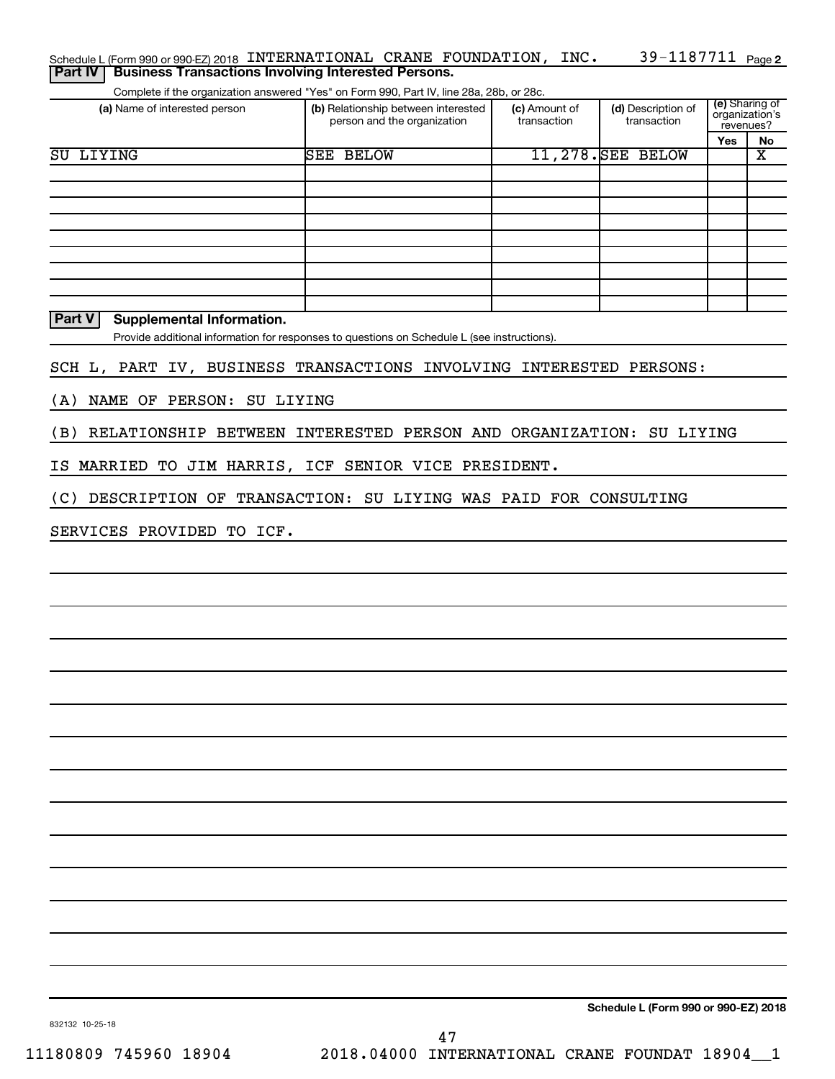| (a) Name of interested person                                       | Complete if the organization answered "Yes" on Form 990, Part IV, line 28a, 28b, or 28c.<br>(b) Relationship between interested | (c) Amount of | (d) Description of | (e) Sharing of<br>organization's |                             |  |
|---------------------------------------------------------------------|---------------------------------------------------------------------------------------------------------------------------------|---------------|--------------------|----------------------------------|-----------------------------|--|
|                                                                     | person and the organization                                                                                                     | transaction   | transaction        |                                  | revenues?                   |  |
| <b>SU LIYING</b>                                                    | <b>SEE BELOW</b>                                                                                                                |               | 11,278. SEE BELOW  | Yes                              | No<br>$\overline{\text{x}}$ |  |
|                                                                     |                                                                                                                                 |               |                    |                                  |                             |  |
|                                                                     |                                                                                                                                 |               |                    |                                  |                             |  |
|                                                                     |                                                                                                                                 |               |                    |                                  |                             |  |
|                                                                     |                                                                                                                                 |               |                    |                                  |                             |  |
|                                                                     |                                                                                                                                 |               |                    |                                  |                             |  |
|                                                                     |                                                                                                                                 |               |                    |                                  |                             |  |
| Part V<br><b>Supplemental Information.</b>                          | Provide additional information for responses to questions on Schedule L (see instructions).                                     |               |                    |                                  |                             |  |
| SCH L, PART IV, BUSINESS TRANSACTIONS INVOLVING INTERESTED PERSONS: |                                                                                                                                 |               |                    |                                  |                             |  |
| NAME OF PERSON: SU LIYING<br>(A)                                    |                                                                                                                                 |               |                    |                                  |                             |  |
| (B)                                                                 | RELATIONSHIP BETWEEN INTERESTED PERSON AND ORGANIZATION: SU LIYING                                                              |               |                    |                                  |                             |  |
| IS MARRIED TO JIM HARRIS, ICF SENIOR VICE PRESIDENT.                |                                                                                                                                 |               |                    |                                  |                             |  |
| (C)                                                                 | DESCRIPTION OF TRANSACTION: SU LIYING WAS PAID FOR CONSULTING                                                                   |               |                    |                                  |                             |  |
| SERVICES PROVIDED TO ICF.                                           |                                                                                                                                 |               |                    |                                  |                             |  |
|                                                                     |                                                                                                                                 |               |                    |                                  |                             |  |
|                                                                     |                                                                                                                                 |               |                    |                                  |                             |  |
|                                                                     |                                                                                                                                 |               |                    |                                  |                             |  |
|                                                                     |                                                                                                                                 |               |                    |                                  |                             |  |
|                                                                     |                                                                                                                                 |               |                    |                                  |                             |  |
|                                                                     |                                                                                                                                 |               |                    |                                  |                             |  |
|                                                                     |                                                                                                                                 |               |                    |                                  |                             |  |
|                                                                     |                                                                                                                                 |               |                    |                                  |                             |  |
|                                                                     |                                                                                                                                 |               |                    |                                  |                             |  |
|                                                                     |                                                                                                                                 |               |                    |                                  |                             |  |
|                                                                     |                                                                                                                                 |               |                    |                                  |                             |  |
|                                                                     |                                                                                                                                 |               |                    |                                  |                             |  |
|                                                                     |                                                                                                                                 |               |                    |                                  |                             |  |
|                                                                     |                                                                                                                                 |               |                    |                                  |                             |  |
|                                                                     |                                                                                                                                 |               |                    |                                  |                             |  |
|                                                                     |                                                                                                                                 |               |                    |                                  |                             |  |
|                                                                     |                                                                                                                                 |               |                    |                                  |                             |  |
|                                                                     |                                                                                                                                 |               |                    |                                  |                             |  |

832132 10-25-18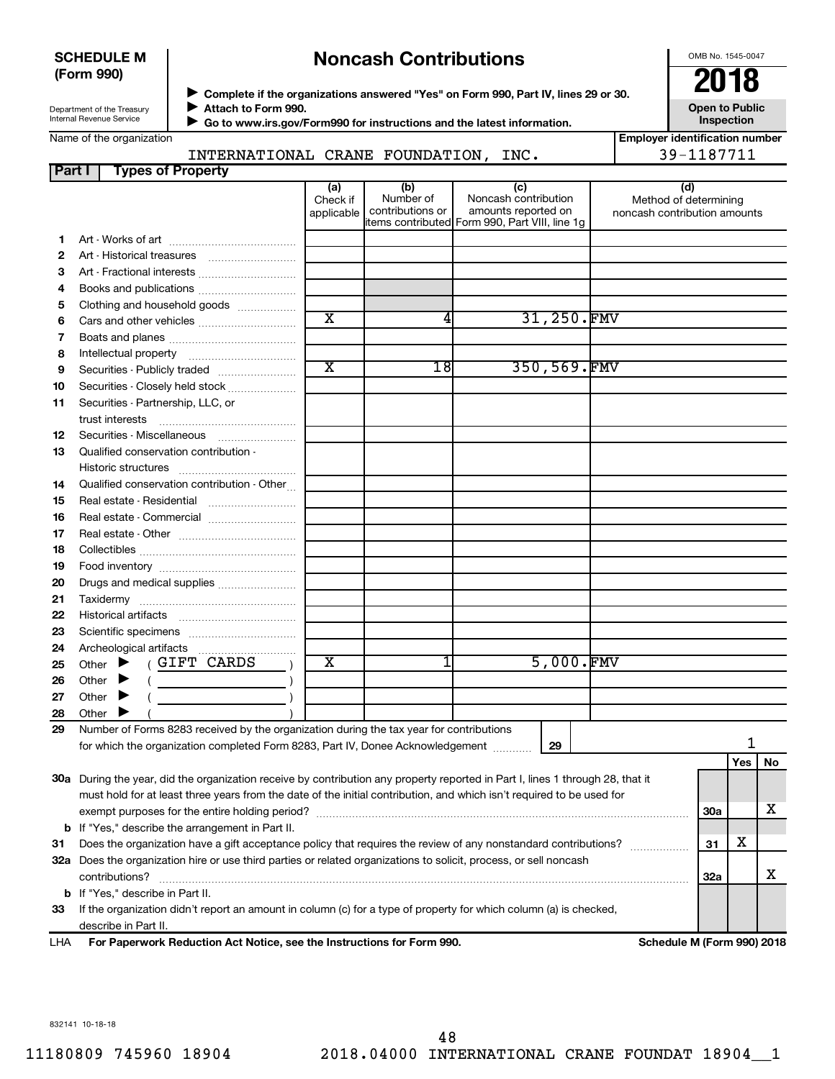### **SCHEDULE M (Form 990)**

# **Noncash Contributions**

OMB No. 1545-0047

Department of the Treasury Internal Revenue Service

◆ Complete if the organizations answered "Yes" on Form 990, Part IV, lines 29 or 30.<br>▶ Complete if the organizations answered "Yes" on Form 990, Part IV, lines 29 or 30. **Attach to Form 990.**

 $\blacktriangleright$  $\blacktriangleright$ 

 **Go to www.irs.gov/Form990 for instructions and the latest information.**

**Inspection Employer identification number**

**Open to Public**

| Name of the organization |  |
|--------------------------|--|
|--------------------------|--|

INTERNATIONAL CRANE FOUNDATION, INC. 39-1187711

| <b>Part I</b> | <b>Types of Property</b>                                                                                                       |                               |                                      |                                                                                                      |             |                                                              |            |     |    |
|---------------|--------------------------------------------------------------------------------------------------------------------------------|-------------------------------|--------------------------------------|------------------------------------------------------------------------------------------------------|-------------|--------------------------------------------------------------|------------|-----|----|
|               |                                                                                                                                | (a)<br>Check if<br>applicable | (b)<br>Number of<br>contributions or | (c)<br>Noncash contribution<br>amounts reported on<br>items contributed Form 990, Part VIII, line 1g |             | (d)<br>Method of determining<br>noncash contribution amounts |            |     |    |
| 1.            |                                                                                                                                |                               |                                      |                                                                                                      |             |                                                              |            |     |    |
|               |                                                                                                                                |                               |                                      |                                                                                                      |             |                                                              |            |     |    |
| 2             |                                                                                                                                |                               |                                      |                                                                                                      |             |                                                              |            |     |    |
| з             | Art - Fractional interests                                                                                                     |                               |                                      |                                                                                                      |             |                                                              |            |     |    |
| 4             |                                                                                                                                |                               |                                      |                                                                                                      |             |                                                              |            |     |    |
| 5             | Clothing and household goods                                                                                                   | $\overline{\text{x}}$         | 4                                    |                                                                                                      | 31,250.FMV  |                                                              |            |     |    |
| 6             | Cars and other vehicles                                                                                                        |                               |                                      |                                                                                                      |             |                                                              |            |     |    |
| 7             |                                                                                                                                |                               |                                      |                                                                                                      |             |                                                              |            |     |    |
| 8             |                                                                                                                                |                               |                                      |                                                                                                      |             |                                                              |            |     |    |
| 9             | Securities - Publicly traded                                                                                                   | $\overline{\text{x}}$         | 18                                   |                                                                                                      | 350,569.FMV |                                                              |            |     |    |
| 10            | Securities - Closely held stock                                                                                                |                               |                                      |                                                                                                      |             |                                                              |            |     |    |
| 11            | Securities - Partnership, LLC, or<br>trust interests                                                                           |                               |                                      |                                                                                                      |             |                                                              |            |     |    |
| 12            | Securities - Miscellaneous                                                                                                     |                               |                                      |                                                                                                      |             |                                                              |            |     |    |
| 13            | Qualified conservation contribution -                                                                                          |                               |                                      |                                                                                                      |             |                                                              |            |     |    |
|               |                                                                                                                                |                               |                                      |                                                                                                      |             |                                                              |            |     |    |
| 14            | Qualified conservation contribution - Other                                                                                    |                               |                                      |                                                                                                      |             |                                                              |            |     |    |
| 15            | Real estate - Residential                                                                                                      |                               |                                      |                                                                                                      |             |                                                              |            |     |    |
| 16            |                                                                                                                                |                               |                                      |                                                                                                      |             |                                                              |            |     |    |
| 17            |                                                                                                                                |                               |                                      |                                                                                                      |             |                                                              |            |     |    |
| 18            |                                                                                                                                |                               |                                      |                                                                                                      |             |                                                              |            |     |    |
| 19            |                                                                                                                                |                               |                                      |                                                                                                      |             |                                                              |            |     |    |
| 20            | Drugs and medical supplies                                                                                                     |                               |                                      |                                                                                                      |             |                                                              |            |     |    |
| 21            |                                                                                                                                |                               |                                      |                                                                                                      |             |                                                              |            |     |    |
| 22            |                                                                                                                                |                               |                                      |                                                                                                      |             |                                                              |            |     |    |
|               |                                                                                                                                |                               |                                      |                                                                                                      |             |                                                              |            |     |    |
| 23            |                                                                                                                                |                               |                                      |                                                                                                      |             |                                                              |            |     |    |
| 24            | (GIFT CARDS                                                                                                                    | х                             |                                      |                                                                                                      | 5,000.FMV   |                                                              |            |     |    |
| 25            | Other $\blacktriangleright$                                                                                                    |                               |                                      |                                                                                                      |             |                                                              |            |     |    |
| 26            | Other<br>$\overline{\phantom{a}}$                                                                                              |                               |                                      |                                                                                                      |             |                                                              |            |     |    |
| 27            | Other                                                                                                                          |                               |                                      |                                                                                                      |             |                                                              |            |     |    |
| 28            | Other                                                                                                                          |                               |                                      |                                                                                                      |             |                                                              |            |     |    |
| 29            | Number of Forms 8283 received by the organization during the tax year for contributions                                        |                               |                                      |                                                                                                      |             |                                                              |            | 1   |    |
|               | for which the organization completed Form 8283, Part IV, Donee Acknowledgement [10001]                                         |                               |                                      |                                                                                                      | 29          |                                                              |            |     |    |
|               |                                                                                                                                |                               |                                      |                                                                                                      |             |                                                              |            | Yes | No |
|               | 30a During the year, did the organization receive by contribution any property reported in Part I, lines 1 through 28, that it |                               |                                      |                                                                                                      |             |                                                              |            |     |    |
|               | must hold for at least three years from the date of the initial contribution, and which isn't required to be used for          |                               |                                      |                                                                                                      |             |                                                              |            |     |    |
|               | exempt purposes for the entire holding period?                                                                                 |                               |                                      |                                                                                                      |             |                                                              | 30a        |     | x  |
|               | <b>b</b> If "Yes," describe the arrangement in Part II.                                                                        |                               |                                      |                                                                                                      |             |                                                              |            |     |    |
| 31            | Does the organization have a gift acceptance policy that requires the review of any nonstandard contributions?                 |                               |                                      |                                                                                                      |             |                                                              | 31         | х   |    |
|               | 32a Does the organization hire or use third parties or related organizations to solicit, process, or sell noncash              |                               |                                      |                                                                                                      |             |                                                              |            |     |    |
|               | contributions?                                                                                                                 |                               |                                      |                                                                                                      |             |                                                              | <b>32a</b> |     | х  |
|               | <b>b</b> If "Yes," describe in Part II.                                                                                        |                               |                                      |                                                                                                      |             |                                                              |            |     |    |
| 33            | If the organization didn't report an amount in column (c) for a type of property for which column (a) is checked,              |                               |                                      |                                                                                                      |             |                                                              |            |     |    |
|               | describe in Part II.                                                                                                           |                               |                                      |                                                                                                      |             |                                                              |            |     |    |
| LHA           | For Paperwork Reduction Act Notice, see the Instructions for Form 990.                                                         |                               |                                      |                                                                                                      |             | Schedule M (Form 990) 2018                                   |            |     |    |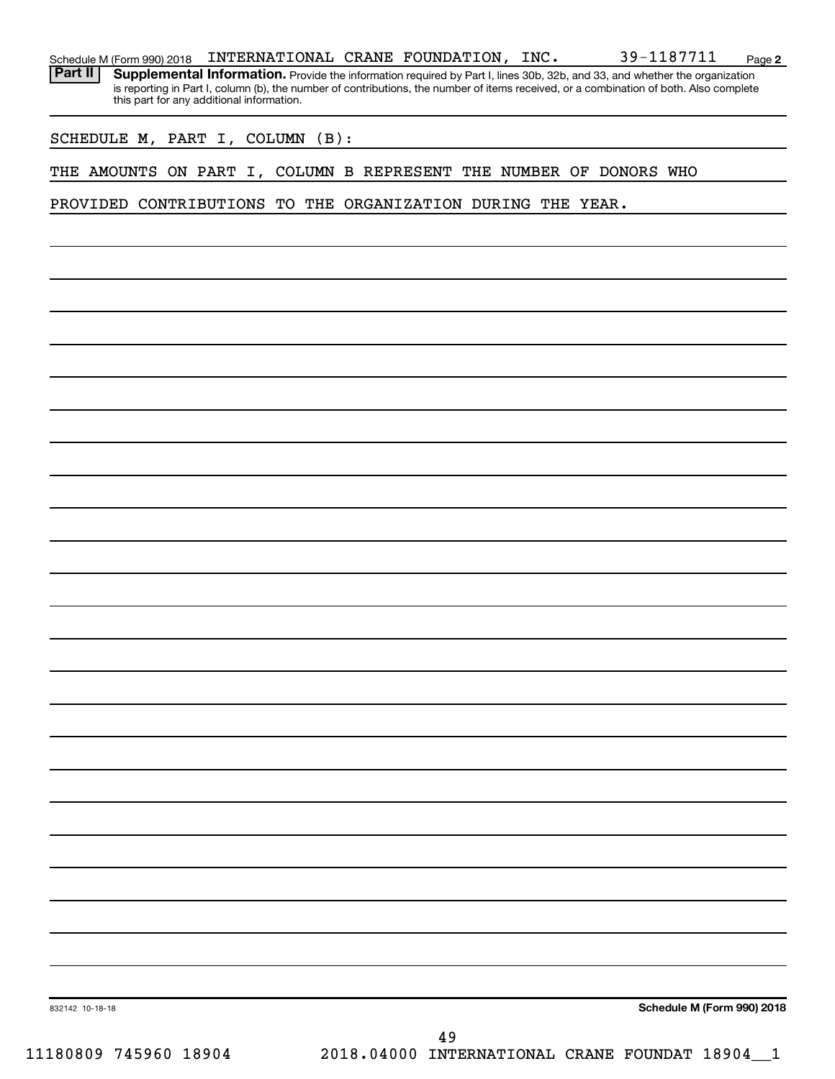| Schedule M (Form 990) 2018 | INTERNATIONAL CRANE FOUNDATION,           |  | INC. | 39-1187711                                                                                                                             | Page 2 |
|----------------------------|-------------------------------------------|--|------|----------------------------------------------------------------------------------------------------------------------------------------|--------|
| <b>Part II</b>             |                                           |  |      | Supplemental Information. Provide the information required by Part I, lines 30b, 32b, and 33, and whether the organization             |        |
|                            | this part for any additional information. |  |      | is reporting in Part I, column (b), the number of contributions, the number of items received, or a combination of both. Also complete |        |

SCHEDULE M, PART I, COLUMN (B):

THE AMOUNTS ON PART I, COLUMN B REPRESENT THE NUMBER OF DONORS WHO

PROVIDED CONTRIBUTIONS TO THE ORGANIZATION DURING THE YEAR.

**Schedule M (Form 990) 2018**

832142 10-18-18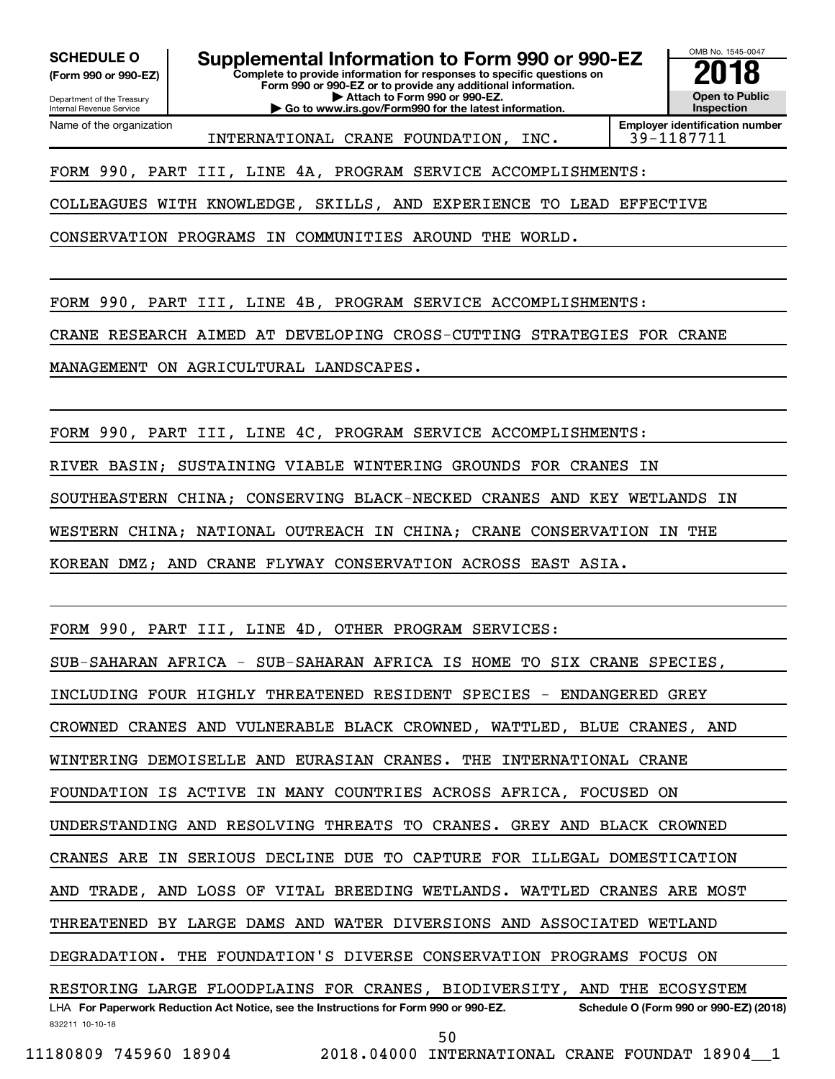Department of the Treasury **(Form 990 or 990-EZ)**

Internal Revenue Service

SCHEDULE O **Supplemental Information to Form 990 or 990-EZ 2018**<br>(Form 990 or 990-EZ) Complete to provide information for responses to specific questions on

**Complete to provide information for responses to specific questions on Form 990 or 990-EZ or to provide any additional information. | Attach to Form 990 or 990-EZ.**

**| Go to www.irs.gov/Form990 for the latest information.**



Name of the organization INTERNATIONAL CRANE FOUNDATION, INC. 39-1187711

**Employer identification number**

FORM 990, PART III, LINE 4A, PROGRAM SERVICE ACCOMPLISHMENTS:

COLLEAGUES WITH KNOWLEDGE, SKILLS, AND EXPERIENCE TO LEAD EFFECTIVE

CONSERVATION PROGRAMS IN COMMUNITIES AROUND THE WORLD.

FORM 990, PART III, LINE 4B, PROGRAM SERVICE ACCOMPLISHMENTS:

CRANE RESEARCH AIMED AT DEVELOPING CROSS-CUTTING STRATEGIES FOR CRANE

MANAGEMENT ON AGRICULTURAL LANDSCAPES.

FORM 990, PART III, LINE 4C, PROGRAM SERVICE ACCOMPLISHMENTS:

RIVER BASIN; SUSTAINING VIABLE WINTERING GROUNDS FOR CRANES IN

SOUTHEASTERN CHINA; CONSERVING BLACK-NECKED CRANES AND KEY WETLANDS IN

WESTERN CHINA; NATIONAL OUTREACH IN CHINA; CRANE CONSERVATION IN THE

KOREAN DMZ; AND CRANE FLYWAY CONSERVATION ACROSS EAST ASIA.

FORM 990, PART III, LINE 4D, OTHER PROGRAM SERVICES:

SUB-SAHARAN AFRICA - SUB-SAHARAN AFRICA IS HOME TO SIX CRANE SPECIES,

INCLUDING FOUR HIGHLY THREATENED RESIDENT SPECIES - ENDANGERED GREY

CROWNED CRANES AND VULNERABLE BLACK CROWNED, WATTLED, BLUE CRANES, AND

WINTERING DEMOISELLE AND EURASIAN CRANES. THE INTERNATIONAL CRANE

FOUNDATION IS ACTIVE IN MANY COUNTRIES ACROSS AFRICA, FOCUSED ON

UNDERSTANDING AND RESOLVING THREATS TO CRANES. GREY AND BLACK CROWNED

CRANES ARE IN SERIOUS DECLINE DUE TO CAPTURE FOR ILLEGAL DOMESTICATION

AND TRADE, AND LOSS OF VITAL BREEDING WETLANDS. WATTLED CRANES ARE MOST

THREATENED BY LARGE DAMS AND WATER DIVERSIONS AND ASSOCIATED WETLAND

DEGRADATION. THE FOUNDATION'S DIVERSE CONSERVATION PROGRAMS FOCUS ON

832211 10-10-18 LHA For Paperwork Reduction Act Notice, see the Instructions for Form 990 or 990-EZ. Schedule O (Form 990 or 990-EZ) (2018) RESTORING LARGE FLOODPLAINS FOR CRANES, BIODIVERSITY, AND THE ECOSYSTEM

50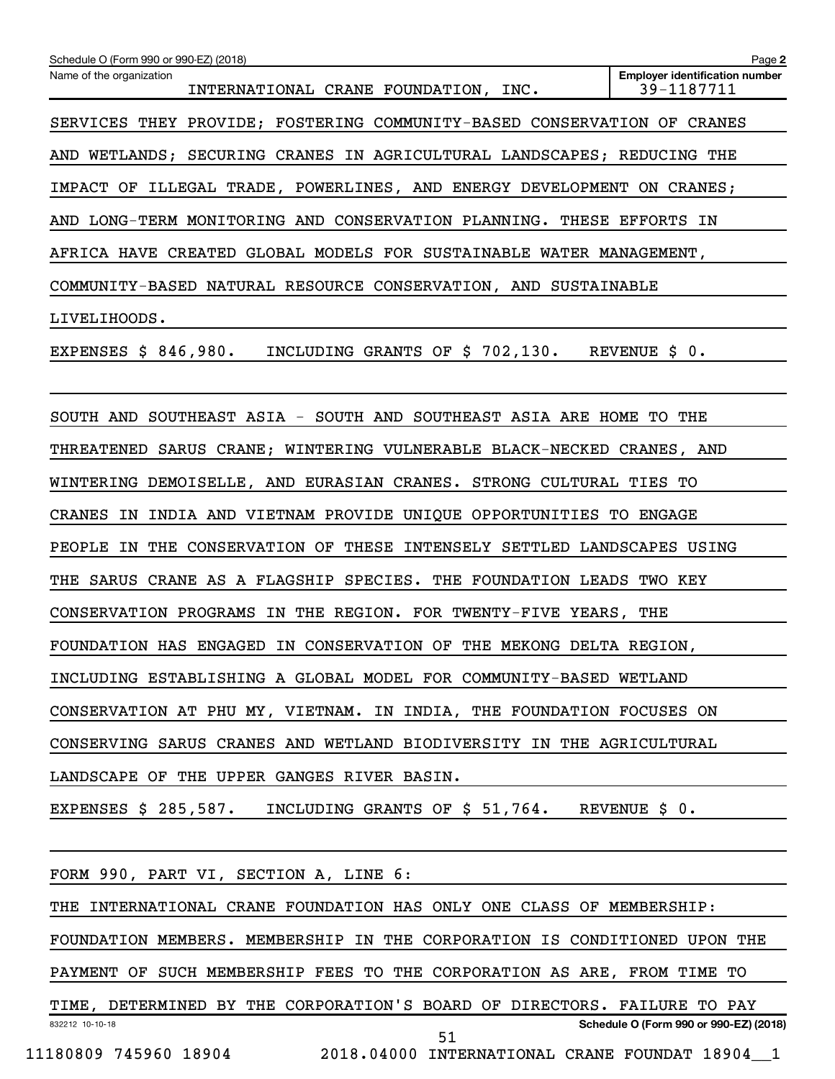| Schedule O (Form 990 or 990-EZ) (2018)                                    | Page 2                                              |
|---------------------------------------------------------------------------|-----------------------------------------------------|
| Name of the organization<br>INTERNATIONAL CRANE FOUNDATION, INC.          | <b>Employer identification number</b><br>39-1187711 |
| SERVICES THEY PROVIDE; FOSTERING COMMUNITY-BASED CONSERVATION OF CRANES   |                                                     |
| AND WETLANDS; SECURING CRANES IN AGRICULTURAL LANDSCAPES; REDUCING THE    |                                                     |
| IMPACT OF ILLEGAL TRADE, POWERLINES, AND ENERGY DEVELOPMENT ON CRANES;    |                                                     |
| AND LONG-TERM MONITORING AND CONSERVATION PLANNING. THESE EFFORTS IN      |                                                     |
| AFRICA HAVE CREATED GLOBAL MODELS FOR SUSTAINABLE WATER MANAGEMENT,       |                                                     |
| COMMUNITY-BASED NATURAL RESOURCE CONSERVATION, AND SUSTAINABLE            |                                                     |
| LIVELIHOODS.                                                              |                                                     |
| EXPENSES \$ 846,980. INCLUDING GRANTS OF \$ 702,130. REVENUE \$ 0.        |                                                     |
|                                                                           |                                                     |
| SOUTH AND SOUTHEAST ASIA - SOUTH AND SOUTHEAST ASIA ARE HOME TO THE       |                                                     |
| THREATENED SARUS CRANE; WINTERING VULNERABLE BLACK-NECKED CRANES, AND     |                                                     |
| WINTERING DEMOISELLE, AND EURASIAN CRANES. STRONG CULTURAL TIES TO        |                                                     |
| CRANES IN INDIA AND VIETNAM PROVIDE UNIQUE OPPORTUNITIES TO ENGAGE        |                                                     |
| PEOPLE IN THE CONSERVATION OF THESE INTENSELY SETTLED LANDSCAPES USING    |                                                     |
| THE SARUS CRANE AS A FLAGSHIP SPECIES. THE FOUNDATION LEADS TWO KEY       |                                                     |
| CONSERVATION PROGRAMS IN THE REGION. FOR TWENTY-FIVE YEARS, THE           |                                                     |
| FOUNDATION HAS ENGAGED IN CONSERVATION OF THE MEKONG DELTA REGION,        |                                                     |
| INCLUDING ESTABLISHING A GLOBAL MODEL FOR COMMUNITY-BASED WETLAND         |                                                     |
| CONSERVATION AT PHU MY, VIETNAM. IN INDIA, THE FOUNDATION FOCUSES ON      |                                                     |
| CONSERVING SARUS CRANES AND WETLAND BIODIVERSITY IN THE AGRICULTURAL      |                                                     |
| LANDSCAPE OF THE UPPER GANGES RIVER BASIN.                                |                                                     |
| EXPENSES \$ 285,587. INCLUDING GRANTS OF \$ 51,764. REVENUE \$ 0.         |                                                     |
|                                                                           |                                                     |
| FORM 990, PART VI, SECTION A, LINE 6:                                     |                                                     |
| THE INTERNATIONAL CRANE FOUNDATION HAS ONLY ONE CLASS OF MEMBERSHIP:      |                                                     |
| FOUNDATION MEMBERS. MEMBERSHIP IN THE CORPORATION IS CONDITIONED UPON THE |                                                     |
| PAYMENT OF SUCH MEMBERSHIP FEES TO THE CORPORATION AS ARE, FROM TIME TO   |                                                     |
| TIME, DETERMINED BY THE CORPORATION'S BOARD OF DIRECTORS. FAILURE TO PAY  |                                                     |
| 832212 10-10-18<br>51                                                     | Schedule O (Form 990 or 990-EZ) (2018)              |
| 11180809 745960 18904<br>2018.04000 INTERNATIONAL CRANE FOUNDAT 18904 1   |                                                     |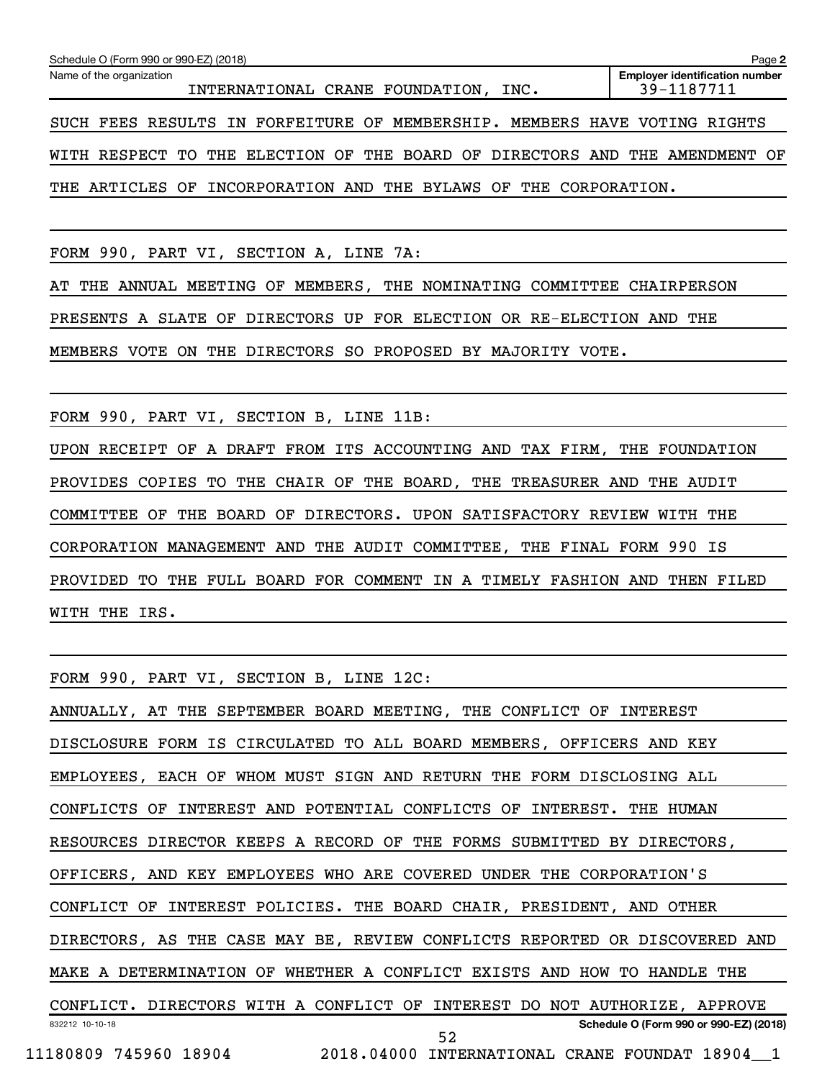| Schedule O (Form 990 or 990-EZ) (2018)                                      | Page 2                                              |
|-----------------------------------------------------------------------------|-----------------------------------------------------|
| Name of the organization<br>INTERNATIONAL CRANE FOUNDATION, INC.            | <b>Employer identification number</b><br>39-1187711 |
| SUCH FEES RESULTS IN FORFEITURE OF MEMBERSHIP. MEMBERS HAVE VOTING RIGHTS   |                                                     |
| WITH RESPECT TO THE ELECTION OF THE BOARD OF DIRECTORS AND THE AMENDMENT OF |                                                     |
| THE ARTICLES OF INCORPORATION AND THE BYLAWS OF THE CORPORATION.            |                                                     |

FORM 990, PART VI, SECTION A, LINE 7A:

AT THE ANNUAL MEETING OF MEMBERS, THE NOMINATING COMMITTEE CHAIRPERSON

PRESENTS A SLATE OF DIRECTORS UP FOR ELECTION OR RE-ELECTION AND THE

MEMBERS VOTE ON THE DIRECTORS SO PROPOSED BY MAJORITY VOTE.

FORM 990, PART VI, SECTION B, LINE 11B:

UPON RECEIPT OF A DRAFT FROM ITS ACCOUNTING AND TAX FIRM, THE FOUNDATION PROVIDES COPIES TO THE CHAIR OF THE BOARD, THE TREASURER AND THE AUDIT COMMITTEE OF THE BOARD OF DIRECTORS. UPON SATISFACTORY REVIEW WITH THE CORPORATION MANAGEMENT AND THE AUDIT COMMITTEE, THE FINAL FORM 990 IS PROVIDED TO THE FULL BOARD FOR COMMENT IN A TIMELY FASHION AND THEN FILED WITH THE IRS.

FORM 990, PART VI, SECTION B, LINE 12C:

832212 10-10-18 **Schedule O (Form 990 or 990-EZ) (2018)** ANNUALLY, AT THE SEPTEMBER BOARD MEETING, THE CONFLICT OF INTEREST DISCLOSURE FORM IS CIRCULATED TO ALL BOARD MEMBERS, OFFICERS AND KEY EMPLOYEES, EACH OF WHOM MUST SIGN AND RETURN THE FORM DISCLOSING ALL CONFLICTS OF INTEREST AND POTENTIAL CONFLICTS OF INTEREST. THE HUMAN RESOURCES DIRECTOR KEEPS A RECORD OF THE FORMS SUBMITTED BY DIRECTORS, OFFICERS, AND KEY EMPLOYEES WHO ARE COVERED UNDER THE CORPORATION'S CONFLICT OF INTEREST POLICIES. THE BOARD CHAIR, PRESIDENT, AND OTHER DIRECTORS, AS THE CASE MAY BE, REVIEW CONFLICTS REPORTED OR DISCOVERED AND MAKE A DETERMINATION OF WHETHER A CONFLICT EXISTS AND HOW TO HANDLE THE CONFLICT. DIRECTORS WITH A CONFLICT OF INTEREST DO NOT AUTHORIZE, APPROVE 11180809 745960 18904 2018.04000 INTERNATIONAL CRANE FOUNDAT 18904\_\_1 52